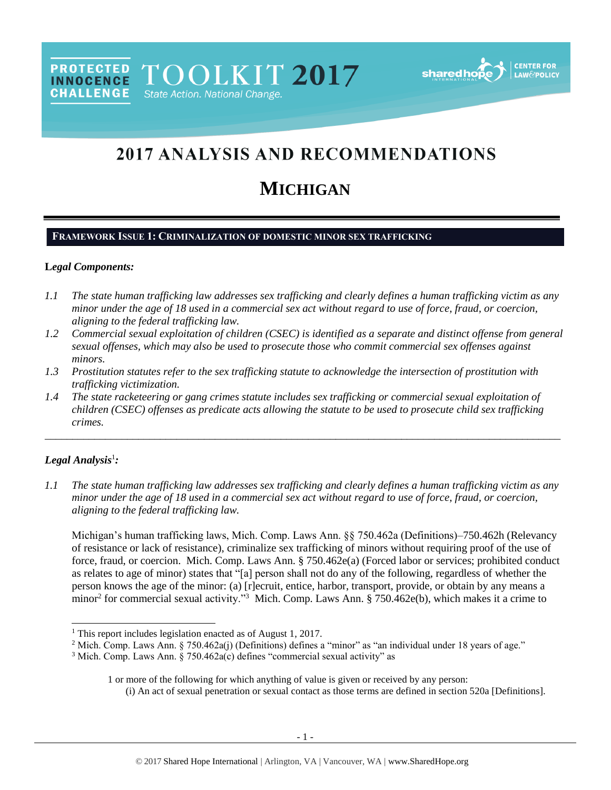**PROTECTED** TOOLKIT 2017 **INNOCENCE CHALLENGE** State Action. National Change.



# 2017 ANALYSIS AND RECOMMENDATIONS

# **MICHIGAN**

# **FRAMEWORK ISSUE 1: CRIMINALIZATION OF DOMESTIC MINOR SEX TRAFFICKING**

#### **L***egal Components:*

- *1.1 The state human trafficking law addresses sex trafficking and clearly defines a human trafficking victim as any minor under the age of 18 used in a commercial sex act without regard to use of force, fraud, or coercion, aligning to the federal trafficking law.*
- *1.2 Commercial sexual exploitation of children (CSEC) is identified as a separate and distinct offense from general sexual offenses, which may also be used to prosecute those who commit commercial sex offenses against minors.*
- *1.3 Prostitution statutes refer to the sex trafficking statute to acknowledge the intersection of prostitution with trafficking victimization.*
- *1.4 The state racketeering or gang crimes statute includes sex trafficking or commercial sexual exploitation of children (CSEC) offenses as predicate acts allowing the statute to be used to prosecute child sex trafficking crimes.*

# *Legal Analysis*<sup>1</sup> *:*

 $\overline{a}$ 

*1.1 The state human trafficking law addresses sex trafficking and clearly defines a human trafficking victim as any minor under the age of 18 used in a commercial sex act without regard to use of force, fraud, or coercion, aligning to the federal trafficking law.*

\_\_\_\_\_\_\_\_\_\_\_\_\_\_\_\_\_\_\_\_\_\_\_\_\_\_\_\_\_\_\_\_\_\_\_\_\_\_\_\_\_\_\_\_\_\_\_\_\_\_\_\_\_\_\_\_\_\_\_\_\_\_\_\_\_\_\_\_\_\_\_\_\_\_\_\_\_\_\_\_\_\_\_\_\_\_\_\_\_\_\_\_\_\_

Michigan's human trafficking laws, Mich. Comp. Laws Ann. §§ 750.462a (Definitions)–750.462h (Relevancy of resistance or lack of resistance), criminalize sex trafficking of minors without requiring proof of the use of force, fraud, or coercion. Mich. Comp. Laws Ann. § 750.462e(a) (Forced labor or services; prohibited conduct as relates to age of minor) states that "[a] person shall not do any of the following, regardless of whether the person knows the age of the minor: (a) [r]ecruit, entice, harbor, transport, provide, or obtain by any means a minor<sup>2</sup> for commercial sexual activity."<sup>3</sup> Mich. Comp. Laws Ann. § 750.462e(b), which makes it a crime to

<sup>&</sup>lt;sup>1</sup> This report includes legislation enacted as of August 1, 2017.

<sup>&</sup>lt;sup>2</sup> Mich. Comp. Laws Ann. § 750.462a(j) (Definitions) defines a "minor" as "an individual under 18 years of age."

 $3$  Mich. Comp. Laws Ann. § 750.462a(c) defines "commercial sexual activity" as

<sup>1</sup> or more of the following for which anything of value is given or received by any person: (i) An act of sexual penetration or sexual contact as those terms are defined in section 520a [Definitions].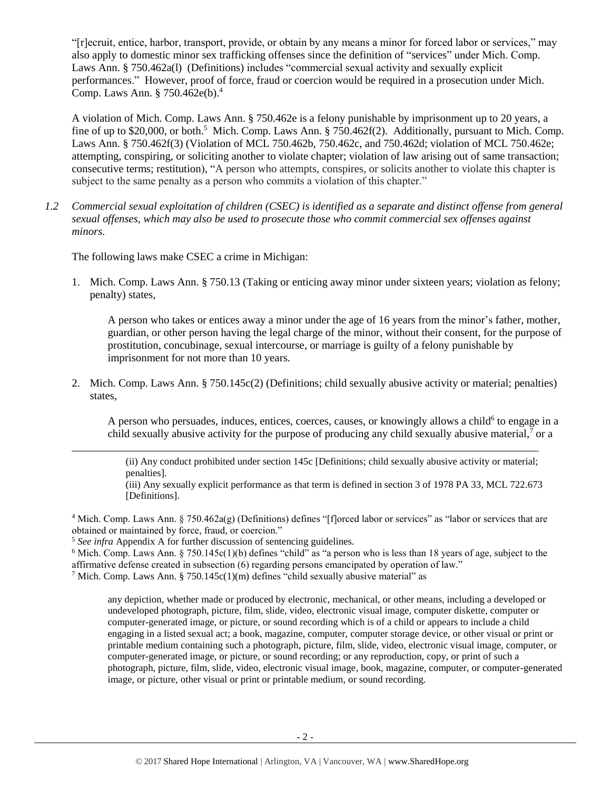"[r]ecruit, entice, harbor, transport, provide, or obtain by any means a minor for forced labor or services," may also apply to domestic minor sex trafficking offenses since the definition of "services" under Mich. Comp. Laws Ann. § 750.462a(l) (Definitions) includes "commercial sexual activity and sexually explicit performances." However, proof of force, fraud or coercion would be required in a prosecution under Mich. Comp. Laws Ann. § 750.462e(b). 4

A violation of Mich. Comp. Laws Ann. § 750.462e is a felony punishable by imprisonment up to 20 years, a fine of up to \$20,000, or both.<sup>5</sup> Mich. Comp. Laws Ann. § 750.462f(2). Additionally, pursuant to Mich. Comp. Laws Ann. § 750.462f(3) (Violation of MCL 750.462b, 750.462c, and 750.462d; violation of MCL 750.462e; attempting, conspiring, or soliciting another to violate chapter; violation of law arising out of same transaction; consecutive terms; restitution), "A person who attempts, conspires, or solicits another to violate this chapter is subject to the same penalty as a person who commits a violation of this chapter."

*1.2 Commercial sexual exploitation of children (CSEC) is identified as a separate and distinct offense from general sexual offenses, which may also be used to prosecute those who commit commercial sex offenses against minors.*

The following laws make CSEC a crime in Michigan:

 $\overline{a}$ 

1. Mich. Comp. Laws Ann. § 750.13 (Taking or enticing away minor under sixteen years; violation as felony; penalty) states,

A person who takes or entices away a minor under the age of 16 years from the minor's father, mother, guardian, or other person having the legal charge of the minor, without their consent, for the purpose of prostitution, concubinage, sexual intercourse, or marriage is guilty of a felony punishable by imprisonment for not more than 10 years.

2. Mich. Comp. Laws Ann. § 750.145c(2) (Definitions; child sexually abusive activity or material; penalties) states,

A person who persuades, induces, entices, coerces, causes, or knowingly allows a child<sup>6</sup> to engage in a child sexually abusive activity for the purpose of producing any child sexually abusive material,<sup>7</sup> or a

(ii) Any conduct prohibited under section 145c [Definitions; child sexually abusive activity or material; penalties].

(iii) Any sexually explicit performance as that term is defined in section 3 of 1978 PA 33, MCL 722.673 [Definitions].

<sup>4</sup> Mich. Comp. Laws Ann. § 750.462a(g) (Definitions) defines "[f]orced labor or services" as "labor or services that are obtained or maintained by force, fraud, or coercion."

<sup>5</sup> *See infra* Appendix A for further discussion of sentencing guidelines.

<sup>6</sup> Mich. Comp. Laws Ann. § 750.145c(1)(b) defines "child" as "a person who is less than 18 years of age, subject to the affirmative defense created in subsection (6) regarding persons emancipated by operation of law."

<sup>7</sup> Mich. Comp. Laws Ann. § 750.145c(1)(m) defines "child sexually abusive material" as

any depiction, whether made or produced by electronic, mechanical, or other means, including a developed or undeveloped photograph, picture, film, slide, video, electronic visual image, computer diskette, computer or computer-generated image, or picture, or sound recording which is of a child or appears to include a child engaging in a listed sexual act; a book, magazine, computer, computer storage device, or other visual or print or printable medium containing such a photograph, picture, film, slide, video, electronic visual image, computer, or computer-generated image, or picture, or sound recording; or any reproduction, copy, or print of such a photograph, picture, film, slide, video, electronic visual image, book, magazine, computer, or computer-generated image, or picture, other visual or print or printable medium, or sound recording.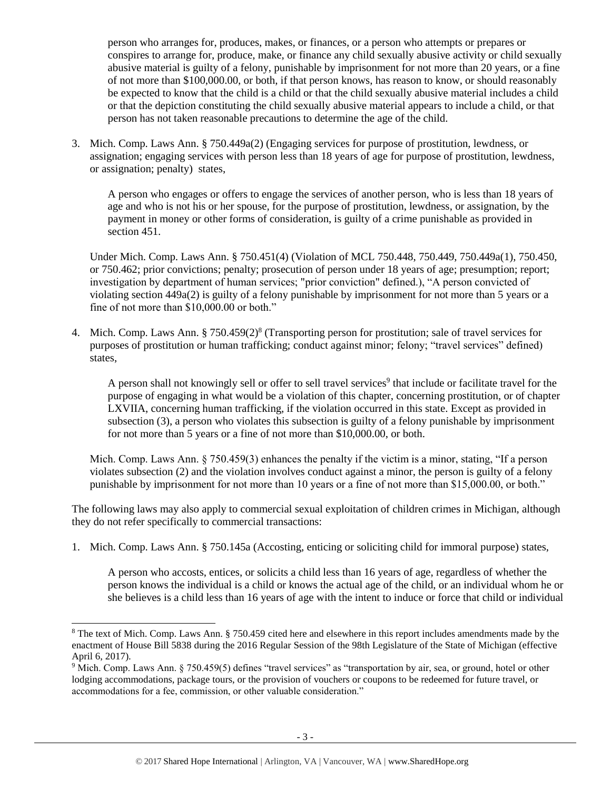person who arranges for, produces, makes, or finances, or a person who attempts or prepares or conspires to arrange for, produce, make, or finance any child sexually abusive activity or child sexually abusive material is guilty of a felony, punishable by imprisonment for not more than 20 years, or a fine of not more than \$100,000.00, or both, if that person knows, has reason to know, or should reasonably be expected to know that the child is a child or that the child sexually abusive material includes a child or that the depiction constituting the child sexually abusive material appears to include a child, or that person has not taken reasonable precautions to determine the age of the child.

3. Mich. Comp. Laws Ann. § 750.449a(2) (Engaging services for purpose of prostitution, lewdness, or assignation; engaging services with person less than 18 years of age for purpose of prostitution, lewdness, or assignation; penalty) states,

A person who engages or offers to engage the services of another person, who is less than 18 years of age and who is not his or her spouse, for the purpose of prostitution, lewdness, or assignation, by the payment in money or other forms of consideration, is guilty of a crime punishable as provided in section 451.

Under Mich. Comp. Laws Ann. § 750.451(4) (Violation of MCL 750.448, 750.449, 750.449a(1), 750.450, or 750.462; prior convictions; penalty; prosecution of person under 18 years of age; presumption; report; investigation by department of human services; "prior conviction" defined.), "A person convicted of violating section 449a(2) is guilty of a felony punishable by imprisonment for not more than 5 years or a fine of not more than \$10,000.00 or both."

4. Mich. Comp. Laws Ann. § 750.459(2)<sup>8</sup> (Transporting person for prostitution; sale of travel services for purposes of prostitution or human trafficking; conduct against minor; felony; "travel services" defined) states,

<span id="page-2-0"></span>A person shall not knowingly sell or offer to sell travel services<sup>9</sup> that include or facilitate travel for the purpose of engaging in what would be a violation of this chapter, concerning prostitution, or of chapter LXVIIA, concerning human trafficking, if the violation occurred in this state. Except as provided in subsection (3), a person who violates this subsection is guilty of a felony punishable by imprisonment for not more than 5 years or a fine of not more than \$10,000.00, or both.

Mich. Comp. Laws Ann. § 750.459(3) enhances the penalty if the victim is a minor, stating, "If a person violates subsection (2) and the violation involves conduct against a minor, the person is guilty of a felony punishable by imprisonment for not more than 10 years or a fine of not more than \$15,000.00, or both."

The following laws may also apply to commercial sexual exploitation of children crimes in Michigan, although they do not refer specifically to commercial transactions:

1. Mich. Comp. Laws Ann. § 750.145a (Accosting, enticing or soliciting child for immoral purpose) states,

A person who accosts, entices, or solicits a child less than 16 years of age, regardless of whether the person knows the individual is a child or knows the actual age of the child, or an individual whom he or she believes is a child less than 16 years of age with the intent to induce or force that child or individual

<sup>&</sup>lt;sup>8</sup> The text of Mich. Comp. Laws Ann. § 750.459 cited here and elsewhere in this report includes amendments made by the enactment of House Bill 5838 during the 2016 Regular Session of the 98th Legislature of the State of Michigan (effective April 6, 2017).

<sup>9</sup> Mich. Comp. Laws Ann. § 750.459(5) defines "travel services" as "transportation by air, sea, or ground, hotel or other lodging accommodations, package tours, or the provision of vouchers or coupons to be redeemed for future travel, or accommodations for a fee, commission, or other valuable consideration."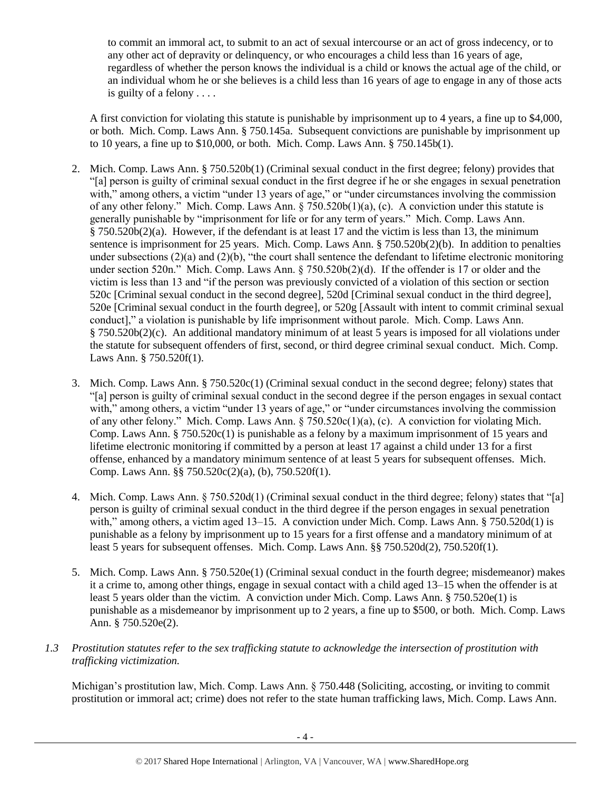to commit an immoral act, to submit to an act of sexual intercourse or an act of gross indecency, or to any other act of depravity or delinquency, or who encourages a child less than 16 years of age, regardless of whether the person knows the individual is a child or knows the actual age of the child, or an individual whom he or she believes is a child less than 16 years of age to engage in any of those acts is guilty of a felony . . . .

A first conviction for violating this statute is punishable by imprisonment up to 4 years, a fine up to \$4,000, or both. Mich. Comp. Laws Ann. § 750.145a. Subsequent convictions are punishable by imprisonment up to 10 years, a fine up to \$10,000, or both. Mich. Comp. Laws Ann. § 750.145b(1).

- 2. Mich. Comp. Laws Ann. § 750.520b(1) (Criminal sexual conduct in the first degree; felony) provides that "[a] person is guilty of criminal sexual conduct in the first degree if he or she engages in sexual penetration with," among others, a victim "under 13 years of age," or "under circumstances involving the commission of any other felony." Mich. Comp. Laws Ann.  $\S 750.520b(1)(a)$ , (c). A conviction under this statute is generally punishable by "imprisonment for life or for any term of years." Mich. Comp. Laws Ann. § 750.520b(2)(a). However, if the defendant is at least 17 and the victim is less than 13, the minimum sentence is imprisonment for 25 years. Mich. Comp. Laws Ann. § 750.520b(2)(b). In addition to penalties under subsections  $(2)(a)$  and  $(2)(b)$ , "the court shall sentence the defendant to lifetime electronic monitoring under section 520n." Mich. Comp. Laws Ann. § 750.520b(2)(d). If the offender is 17 or older and the victim is less than 13 and "if the person was previously convicted of a violation of this section or section 520c [Criminal sexual conduct in the second degree], 520d [Criminal sexual conduct in the third degree], 520e [Criminal sexual conduct in the fourth degree], or 520g [Assault with intent to commit criminal sexual conduct]," a violation is punishable by life imprisonment without parole. Mich. Comp. Laws Ann. § 750.520b(2)(c). An additional mandatory minimum of at least 5 years is imposed for all violations under the statute for subsequent offenders of first, second, or third degree criminal sexual conduct. Mich. Comp. Laws Ann. § 750.520f(1).
- 3. Mich. Comp. Laws Ann. § 750.520c(1) (Criminal sexual conduct in the second degree; felony) states that "[a] person is guilty of criminal sexual conduct in the second degree if the person engages in sexual contact with," among others, a victim "under 13 years of age," or "under circumstances involving the commission of any other felony." Mich. Comp. Laws Ann. § 750.520c(1)(a), (c). A conviction for violating Mich. Comp. Laws Ann. § 750.520c(1) is punishable as a felony by a maximum imprisonment of 15 years and lifetime electronic monitoring if committed by a person at least 17 against a child under 13 for a first offense, enhanced by a mandatory minimum sentence of at least 5 years for subsequent offenses. Mich. Comp. Laws Ann. §§ 750.520c(2)(a), (b), 750.520f(1).
- 4. Mich. Comp. Laws Ann. § 750.520d(1) (Criminal sexual conduct in the third degree; felony) states that "[a] person is guilty of criminal sexual conduct in the third degree if the person engages in sexual penetration with," among others, a victim aged 13–15. A conviction under Mich. Comp. Laws Ann. § 750.520d(1) is punishable as a felony by imprisonment up to 15 years for a first offense and a mandatory minimum of at least 5 years for subsequent offenses. Mich. Comp. Laws Ann. §§ 750.520d(2), 750.520f(1).
- 5. Mich. Comp. Laws Ann. § 750.520e(1) (Criminal sexual conduct in the fourth degree; misdemeanor) makes it a crime to, among other things, engage in sexual contact with a child aged 13–15 when the offender is at least 5 years older than the victim. A conviction under Mich. Comp. Laws Ann. § 750.520e(1) is punishable as a misdemeanor by imprisonment up to 2 years, a fine up to \$500, or both. Mich. Comp. Laws Ann. § 750.520e(2).
- *1.3 Prostitution statutes refer to the sex trafficking statute to acknowledge the intersection of prostitution with trafficking victimization.*

Michigan's prostitution law, Mich. Comp. Laws Ann. § 750.448 (Soliciting, accosting, or inviting to commit prostitution or immoral act; crime) does not refer to the state human trafficking laws, Mich. Comp. Laws Ann.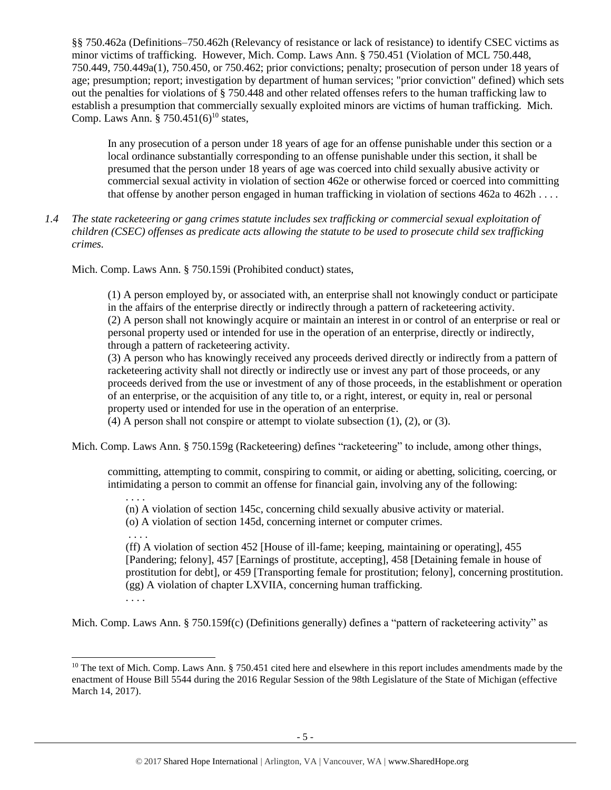§§ 750.462a (Definitions–750.462h (Relevancy of resistance or lack of resistance) to identify CSEC victims as minor victims of trafficking. However, Mich. Comp. Laws Ann. § 750.451 (Violation of MCL 750.448, 750.449, 750.449a(1), 750.450, or 750.462; prior convictions; penalty; prosecution of person under 18 years of age; presumption; report; investigation by department of human services; "prior conviction" defined) which sets out the penalties for violations of § 750.448 and other related offenses refers to the human trafficking law to establish a presumption that commercially sexually exploited minors are victims of human trafficking. Mich. Comp. Laws Ann.  $\S 750.451(6)^{10}$  states,

<span id="page-4-0"></span>In any prosecution of a person under 18 years of age for an offense punishable under this section or a local ordinance substantially corresponding to an offense punishable under this section, it shall be presumed that the person under 18 years of age was coerced into child sexually abusive activity or commercial sexual activity in violation of section 462e or otherwise forced or coerced into committing that offense by another person engaged in human trafficking in violation of sections 462a to 462h . . . .

*1.4 The state racketeering or gang crimes statute includes sex trafficking or commercial sexual exploitation of children (CSEC) offenses as predicate acts allowing the statute to be used to prosecute child sex trafficking crimes.* 

Mich. Comp. Laws Ann. § 750.159i (Prohibited conduct) states,

(1) A person employed by, or associated with, an enterprise shall not knowingly conduct or participate in the affairs of the enterprise directly or indirectly through a pattern of racketeering activity. (2) A person shall not knowingly acquire or maintain an interest in or control of an enterprise or real or personal property used or intended for use in the operation of an enterprise, directly or indirectly, through a pattern of racketeering activity.

(3) A person who has knowingly received any proceeds derived directly or indirectly from a pattern of racketeering activity shall not directly or indirectly use or invest any part of those proceeds, or any proceeds derived from the use or investment of any of those proceeds, in the establishment or operation of an enterprise, or the acquisition of any title to, or a right, interest, or equity in, real or personal property used or intended for use in the operation of an enterprise.

(4) A person shall not conspire or attempt to violate subsection (1), (2), or (3).

Mich. Comp. Laws Ann. § 750.159g (Racketeering) defines "racketeering" to include, among other things,

committing, attempting to commit, conspiring to commit, or aiding or abetting, soliciting, coercing, or intimidating a person to commit an offense for financial gain, involving any of the following:

(n) A violation of section 145c, concerning child sexually abusive activity or material.

(o) A violation of section 145d, concerning internet or computer crimes.

. . . .

. . . .

(ff) A violation of section 452 [House of ill-fame; keeping, maintaining or operating], 455 [Pandering; felony], 457 [Earnings of prostitute, accepting], 458 [Detaining female in house of prostitution for debt], or 459 [Transporting female for prostitution; felony], concerning prostitution. (gg) A violation of chapter LXVIIA, concerning human trafficking.

. . . .

 $\overline{a}$ 

Mich. Comp. Laws Ann. § 750.159f(c) (Definitions generally) defines a "pattern of racketeering activity" as

 $10$  The text of Mich. Comp. Laws Ann. § 750.451 cited here and elsewhere in this report includes amendments made by the enactment of House Bill 5544 during the 2016 Regular Session of the 98th Legislature of the State of Michigan (effective March 14, 2017).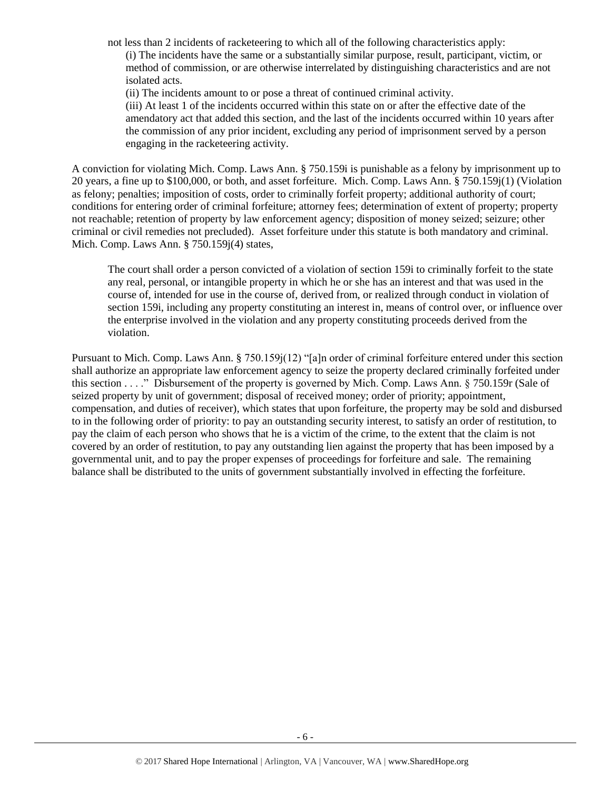not less than 2 incidents of racketeering to which all of the following characteristics apply:

(i) The incidents have the same or a substantially similar purpose, result, participant, victim, or method of commission, or are otherwise interrelated by distinguishing characteristics and are not isolated acts.

(ii) The incidents amount to or pose a threat of continued criminal activity.

(iii) At least 1 of the incidents occurred within this state on or after the effective date of the amendatory act that added this section, and the last of the incidents occurred within 10 years after the commission of any prior incident, excluding any period of imprisonment served by a person engaging in the racketeering activity.

A conviction for violating Mich. Comp. Laws Ann. § 750.159i is punishable as a felony by imprisonment up to 20 years, a fine up to \$100,000, or both, and asset forfeiture. Mich. Comp. Laws Ann. § 750.159j(1) (Violation as felony; penalties; imposition of costs, order to criminally forfeit property; additional authority of court; conditions for entering order of criminal forfeiture; attorney fees; determination of extent of property; property not reachable; retention of property by law enforcement agency; disposition of money seized; seizure; other criminal or civil remedies not precluded). Asset forfeiture under this statute is both mandatory and criminal. Mich. Comp. Laws Ann. § 750.159j(4) states,

The court shall order a person convicted of a violation of section 159i to criminally forfeit to the state any real, personal, or intangible property in which he or she has an interest and that was used in the course of, intended for use in the course of, derived from, or realized through conduct in violation of section 159i, including any property constituting an interest in, means of control over, or influence over the enterprise involved in the violation and any property constituting proceeds derived from the violation.

Pursuant to Mich. Comp. Laws Ann. § 750.159j(12) "[a]n order of criminal forfeiture entered under this section shall authorize an appropriate law enforcement agency to seize the property declared criminally forfeited under this section . . . ." Disbursement of the property is governed by Mich. Comp. Laws Ann. § 750.159r (Sale of seized property by unit of government; disposal of received money; order of priority; appointment, compensation, and duties of receiver), which states that upon forfeiture, the property may be sold and disbursed to in the following order of priority: to pay an outstanding security interest, to satisfy an order of restitution, to pay the claim of each person who shows that he is a victim of the crime, to the extent that the claim is not covered by an order of restitution, to pay any outstanding lien against the property that has been imposed by a governmental unit, and to pay the proper expenses of proceedings for forfeiture and sale. The remaining balance shall be distributed to the units of government substantially involved in effecting the forfeiture.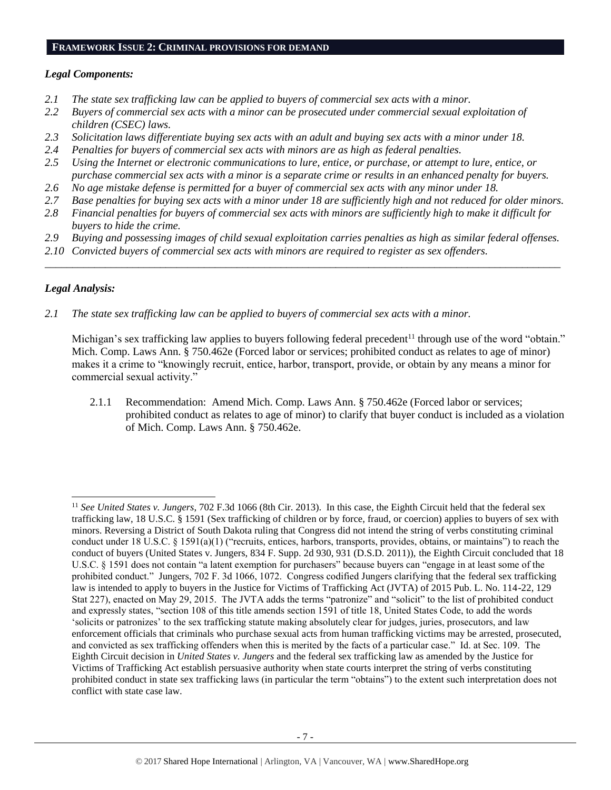#### **FRAMEWORK ISSUE 2: CRIMINAL PROVISIONS FOR DEMAND**

# *Legal Components:*

- *2.1 The state sex trafficking law can be applied to buyers of commercial sex acts with a minor.*
- *2.2 Buyers of commercial sex acts with a minor can be prosecuted under commercial sexual exploitation of children (CSEC) laws.*
- *2.3 Solicitation laws differentiate buying sex acts with an adult and buying sex acts with a minor under 18.*
- *2.4 Penalties for buyers of commercial sex acts with minors are as high as federal penalties.*
- *2.5 Using the Internet or electronic communications to lure, entice, or purchase, or attempt to lure, entice, or purchase commercial sex acts with a minor is a separate crime or results in an enhanced penalty for buyers.*
- *2.6 No age mistake defense is permitted for a buyer of commercial sex acts with any minor under 18.*
- *2.7 Base penalties for buying sex acts with a minor under 18 are sufficiently high and not reduced for older minors.*
- *2.8 Financial penalties for buyers of commercial sex acts with minors are sufficiently high to make it difficult for buyers to hide the crime.*
- *2.9 Buying and possessing images of child sexual exploitation carries penalties as high as similar federal offenses.*

\_\_\_\_\_\_\_\_\_\_\_\_\_\_\_\_\_\_\_\_\_\_\_\_\_\_\_\_\_\_\_\_\_\_\_\_\_\_\_\_\_\_\_\_\_\_\_\_\_\_\_\_\_\_\_\_\_\_\_\_\_\_\_\_\_\_\_\_\_\_\_\_\_\_\_\_\_\_\_\_\_\_\_\_\_\_\_\_\_\_\_\_\_\_

*2.10 Convicted buyers of commercial sex acts with minors are required to register as sex offenders.* 

# *Legal Analysis:*

l

*2.1 The state sex trafficking law can be applied to buyers of commercial sex acts with a minor.*

Michigan's sex trafficking law applies to buyers following federal precedent<sup>11</sup> through use of the word "obtain." Mich. Comp. Laws Ann. § 750.462e (Forced labor or services; prohibited conduct as relates to age of minor) makes it a crime to "knowingly recruit, entice, harbor, transport, provide, or obtain by any means a minor for commercial sexual activity."

2.1.1 Recommendation: Amend Mich. Comp. Laws Ann. § 750.462e (Forced labor or services; prohibited conduct as relates to age of minor) to clarify that buyer conduct is included as a violation of Mich. Comp. Laws Ann. § 750.462e.

<sup>11</sup> *See United States v. Jungers*, 702 F.3d 1066 (8th Cir. 2013). In this case, the Eighth Circuit held that the federal sex trafficking law, 18 U.S.C. § 1591 (Sex trafficking of children or by force, fraud, or coercion) applies to buyers of sex with minors. Reversing a District of South Dakota ruling that Congress did not intend the string of verbs constituting criminal conduct under 18 U.S.C. § 1591(a)(1) ("recruits, entices, harbors, transports, provides, obtains, or maintains") to reach the conduct of buyers (United States v. Jungers, 834 F. Supp. 2d 930, 931 (D.S.D. 2011)), the Eighth Circuit concluded that 18 U.S.C. § 1591 does not contain "a latent exemption for purchasers" because buyers can "engage in at least some of the prohibited conduct." Jungers, 702 F. 3d 1066, 1072. Congress codified Jungers clarifying that the federal sex trafficking law is intended to apply to buyers in the Justice for Victims of Trafficking Act (JVTA) of 2015 Pub. L. No. 114-22, 129 Stat 227), enacted on May 29, 2015. The JVTA adds the terms "patronize" and "solicit" to the list of prohibited conduct and expressly states, "section 108 of this title amends section 1591 of title 18, United States Code, to add the words 'solicits or patronizes' to the sex trafficking statute making absolutely clear for judges, juries, prosecutors, and law enforcement officials that criminals who purchase sexual acts from human trafficking victims may be arrested, prosecuted, and convicted as sex trafficking offenders when this is merited by the facts of a particular case." Id. at Sec. 109. The Eighth Circuit decision in *United States v. Jungers* and the federal sex trafficking law as amended by the Justice for Victims of Trafficking Act establish persuasive authority when state courts interpret the string of verbs constituting prohibited conduct in state sex trafficking laws (in particular the term "obtains") to the extent such interpretation does not conflict with state case law.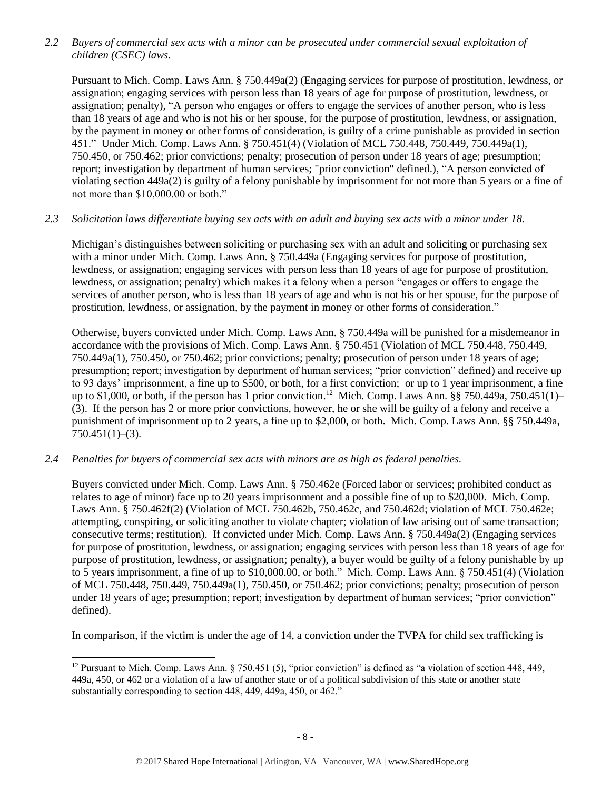*2.2 Buyers of commercial sex acts with a minor can be prosecuted under commercial sexual exploitation of children (CSEC) laws.*

Pursuant to Mich. Comp. Laws Ann. § 750.449a(2) (Engaging services for purpose of prostitution, lewdness, or assignation; engaging services with person less than 18 years of age for purpose of prostitution, lewdness, or assignation; penalty), "A person who engages or offers to engage the services of another person, who is less than 18 years of age and who is not his or her spouse, for the purpose of prostitution, lewdness, or assignation, by the payment in money or other forms of consideration, is guilty of a crime punishable as provided in section 451." Under Mich. Comp. Laws Ann. § 750.451(4) (Violation of MCL 750.448, 750.449, 750.449a(1), 750.450, or 750.462; prior convictions; penalty; prosecution of person under 18 years of age; presumption; report; investigation by department of human services; "prior conviction" defined.), "A person convicted of violating section 449a(2) is guilty of a felony punishable by imprisonment for not more than 5 years or a fine of not more than \$10,000.00 or both."

### *2.3 Solicitation laws differentiate buying sex acts with an adult and buying sex acts with a minor under 18.*

Michigan's distinguishes between soliciting or purchasing sex with an adult and soliciting or purchasing sex with a minor under Mich. Comp. Laws Ann. § 750.449a (Engaging services for purpose of prostitution, lewdness, or assignation; engaging services with person less than 18 years of age for purpose of prostitution, lewdness, or assignation; penalty) which makes it a felony when a person "engages or offers to engage the services of another person, who is less than 18 years of age and who is not his or her spouse, for the purpose of prostitution, lewdness, or assignation, by the payment in money or other forms of consideration."

Otherwise, buyers convicted under Mich. Comp. Laws Ann. § 750.449a will be punished for a misdemeanor in accordance with the provisions of Mich. Comp. Laws Ann. § 750.451 (Violation of MCL 750.448, 750.449, 750.449a(1), 750.450, or 750.462; prior convictions; penalty; prosecution of person under 18 years of age; presumption; report; investigation by department of human services; "prior conviction" defined) and receive up to 93 days' imprisonment, a fine up to \$500, or both, for a first conviction; or up to 1 year imprisonment, a fine up to \$1,000, or both, if the person has 1 prior conviction. <sup>12</sup> Mich. Comp. Laws Ann. §§ 750.449a, 750.451(1)– (3). If the person has 2 or more prior convictions, however, he or she will be guilty of a felony and receive a punishment of imprisonment up to 2 years, a fine up to \$2,000, or both. Mich. Comp. Laws Ann. §§ 750.449a,  $750.451(1)–(3)$ .

# *2.4 Penalties for buyers of commercial sex acts with minors are as high as federal penalties.*

 $\overline{a}$ 

Buyers convicted under Mich. Comp. Laws Ann. § 750.462e (Forced labor or services; prohibited conduct as relates to age of minor) face up to 20 years imprisonment and a possible fine of up to \$20,000. Mich. Comp. Laws Ann. § 750.462f(2) (Violation of MCL 750.462b, 750.462c, and 750.462d; violation of MCL 750.462e; attempting, conspiring, or soliciting another to violate chapter; violation of law arising out of same transaction; consecutive terms; restitution). If convicted under Mich. Comp. Laws Ann. § 750.449a(2) (Engaging services for purpose of prostitution, lewdness, or assignation; engaging services with person less than 18 years of age for purpose of prostitution, lewdness, or assignation; penalty), a buyer would be guilty of a felony punishable by up to 5 years imprisonment, a fine of up to \$10,000.00, or both." Mich. Comp. Laws Ann. § 750.451(4) (Violation of MCL 750.448, 750.449, 750.449a(1), 750.450, or 750.462; prior convictions; penalty; prosecution of person under 18 years of age; presumption; report; investigation by department of human services; "prior conviction" defined).

In comparison, if the victim is under the age of 14, a conviction under the TVPA for child sex trafficking is

<sup>&</sup>lt;sup>12</sup> Pursuant to Mich. Comp. Laws Ann. § 750.451 (5), "prior conviction" is defined as "a violation of section 448, 449, 449a, 450, or 462 or a violation of a law of another state or of a political subdivision of this state or another state substantially corresponding to section 448, 449, 449a, 450, or 462."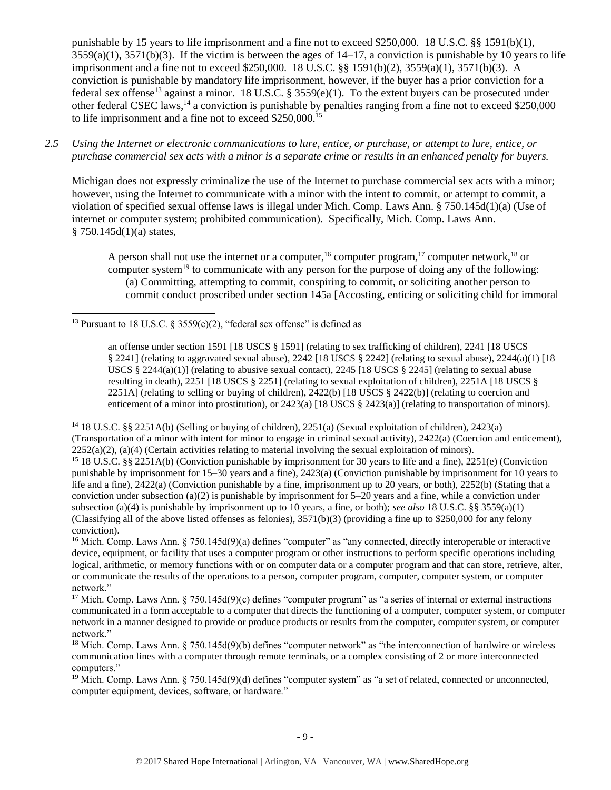<span id="page-8-0"></span>punishable by 15 years to life imprisonment and a fine not to exceed \$250,000. 18 U.S.C. §§ 1591(b)(1),  $3559(a)(1)$ ,  $3571(b)(3)$ . If the victim is between the ages of  $14-17$ , a conviction is punishable by 10 years to life imprisonment and a fine not to exceed \$250,000. 18 U.S.C. §§ 1591(b)(2), 3559(a)(1), 3571(b)(3). A conviction is punishable by mandatory life imprisonment, however, if the buyer has a prior conviction for a federal sex offense<sup>13</sup> against a minor. 18 U.S.C. § 3559(e)(1). To the extent buyers can be prosecuted under other federal CSEC laws,<sup>14</sup> a conviction is punishable by penalties ranging from a fine not to exceed \$250,000 to life imprisonment and a fine not to exceed \$250,000.<sup>15</sup>

*2.5 Using the Internet or electronic communications to lure, entice, or purchase, or attempt to lure, entice, or purchase commercial sex acts with a minor is a separate crime or results in an enhanced penalty for buyers.*

Michigan does not expressly criminalize the use of the Internet to purchase commercial sex acts with a minor; however, using the Internet to communicate with a minor with the intent to commit, or attempt to commit, a violation of specified sexual offense laws is illegal under Mich. Comp. Laws Ann. § 750.145d(1)(a) (Use of internet or computer system; prohibited communication). Specifically, Mich. Comp. Laws Ann.  $§ 750.145d(1)(a) states,$ 

<span id="page-8-4"></span><span id="page-8-3"></span><span id="page-8-2"></span><span id="page-8-1"></span>A person shall not use the internet or a computer, <sup>16</sup> computer program, <sup>17</sup> computer network, <sup>18</sup> or computer system<sup>19</sup> to communicate with any person for the purpose of doing any of the following: (a) Committing, attempting to commit, conspiring to commit, or soliciting another person to commit conduct proscribed under section 145a [Accosting, enticing or soliciting child for immoral

an offense under section 1591 [18 USCS § 1591] (relating to sex trafficking of children), 2241 [18 USCS § 2241] (relating to aggravated sexual abuse), 2242 [18 USCS § 2242] (relating to sexual abuse), 2244(a)(1) [18 USCS  $\S 2244(a)(1)$  (relating to abusive sexual contact), 2245 [18 USCS  $\S 2245$ ] (relating to sexual abuse resulting in death), 2251 [18 USCS § 2251] (relating to sexual exploitation of children), 2251A [18 USCS § 2251A] (relating to selling or buying of children), 2422(b) [18 USCS § 2422(b)] (relating to coercion and enticement of a minor into prostitution), or  $2423(a)$  [18 USCS §  $2423(a)$ ] (relating to transportation of minors).

<sup>14</sup> 18 U.S.C. §§ 2251A(b) (Selling or buying of children), 2251(a) (Sexual exploitation of children), 2423(a) (Transportation of a minor with intent for minor to engage in criminal sexual activity), 2422(a) (Coercion and enticement),  $2252(a)(2)$ , (a)(4) (Certain activities relating to material involving the sexual exploitation of minors). <sup>15</sup> 18 U.S.C. §§ 2251A(b) (Conviction punishable by imprisonment for 30 years to life and a fine), 2251(e) (Conviction punishable by imprisonment for 15–30 years and a fine), 2423(a) (Conviction punishable by imprisonment for 10 years to life and a fine), 2422(a) (Conviction punishable by a fine, imprisonment up to 20 years, or both), 2252(b) (Stating that a conviction under subsection (a)(2) is punishable by imprisonment for  $5-20$  years and a fine, while a conviction under subsection (a)(4) is punishable by imprisonment up to 10 years, a fine, or both); *see also* 18 U.S.C. §§ 3559(a)(1) (Classifying all of the above listed offenses as felonies),  $3571(b)(3)$  (providing a fine up to \$250,000 for any felony conviction).

<sup>16</sup> Mich. Comp. Laws Ann. § 750.145d(9)(a) defines "computer" as "any connected, directly interoperable or interactive device, equipment, or facility that uses a computer program or other instructions to perform specific operations including logical, arithmetic, or memory functions with or on computer data or a computer program and that can store, retrieve, alter, or communicate the results of the operations to a person, computer program, computer, computer system, or computer network."

<sup>17</sup> Mich. Comp. Laws Ann.  $\S 750.145d(9)(c)$  defines "computer program" as "a series of internal or external instructions communicated in a form acceptable to a computer that directs the functioning of a computer, computer system, or computer network in a manner designed to provide or produce products or results from the computer, computer system, or computer network."

<sup>18</sup> Mich. Comp. Laws Ann.  $\S 750.145d(9)$  defines "computer network" as "the interconnection of hardwire or wireless communication lines with a computer through remote terminals, or a complex consisting of 2 or more interconnected computers."

<sup>19</sup> Mich. Comp. Laws Ann. § 750.145d(9)(d) defines "computer system" as "a set of related, connected or unconnected, computer equipment, devices, software, or hardware."

 $\overline{a}$ <sup>13</sup> Pursuant to 18 U.S.C. § 3559(e)(2), "federal sex offense" is defined as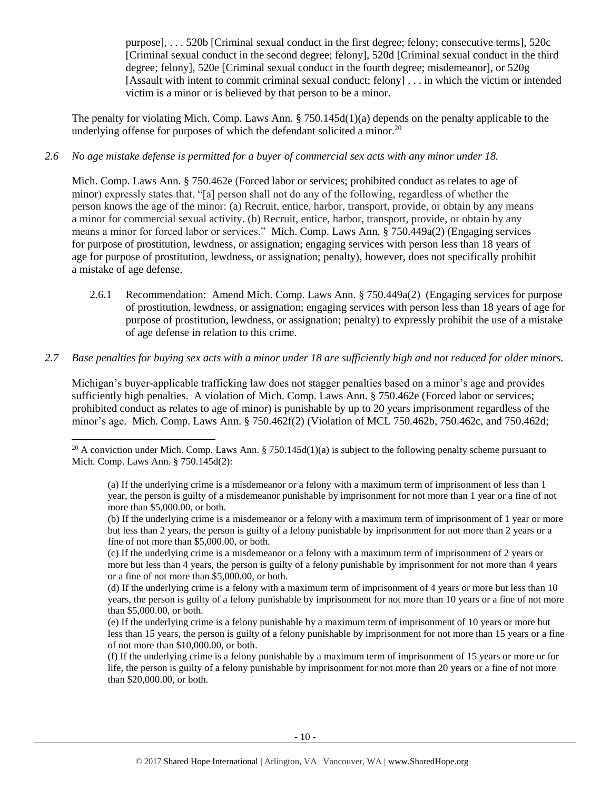<span id="page-9-0"></span>purpose], . . . 520b [Criminal sexual conduct in the first degree; felony; consecutive terms], 520c [Criminal sexual conduct in the second degree; felony], 520d [Criminal sexual conduct in the third degree; felony], 520e [Criminal sexual conduct in the fourth degree; misdemeanor], or 520g [Assault with intent to commit criminal sexual conduct; felony] . . . in which the victim or intended victim is a minor or is believed by that person to be a minor.

The penalty for violating Mich. Comp. Laws Ann. § 750.145d(1)(a) depends on the penalty applicable to the underlying offense for purposes of which the defendant solicited a minor.<sup>20</sup>

## *2.6 No age mistake defense is permitted for a buyer of commercial sex acts with any minor under 18.*

Mich. Comp. Laws Ann. § 750.462e (Forced labor or services; prohibited conduct as relates to age of minor) expressly states that, "[a] person shall not do any of the following, regardless of whether the person knows the age of the minor: (a) Recruit, entice, harbor, transport, provide, or obtain by any means a minor for commercial sexual activity. (b) Recruit, entice, harbor, transport, provide, or obtain by any means a minor for forced labor or services." Mich. Comp. Laws Ann. § 750.449a(2) (Engaging services for purpose of prostitution, lewdness, or assignation; engaging services with person less than 18 years of age for purpose of prostitution, lewdness, or assignation; penalty), however, does not specifically prohibit a mistake of age defense.

2.6.1 Recommendation: Amend Mich. Comp. Laws Ann. § 750.449a(2) (Engaging services for purpose of prostitution, lewdness, or assignation; engaging services with person less than 18 years of age for purpose of prostitution, lewdness, or assignation; penalty) to expressly prohibit the use of a mistake of age defense in relation to this crime.

#### *2.7 Base penalties for buying sex acts with a minor under 18 are sufficiently high and not reduced for older minors.*

Michigan's buyer-applicable trafficking law does not stagger penalties based on a minor's age and provides sufficiently high penalties. A violation of Mich. Comp. Laws Ann. § 750.462e (Forced labor or services; prohibited conduct as relates to age of minor) is punishable by up to 20 years imprisonment regardless of the minor's age. Mich. Comp. Laws Ann. § 750.462f(2) (Violation of MCL 750.462b, 750.462c, and 750.462d;

<sup>&</sup>lt;sup>20</sup> A conviction under Mich. Comp. Laws Ann. § 750.145d(1)(a) is subject to the following penalty scheme pursuant to Mich. Comp. Laws Ann. § 750.145d(2):

<sup>(</sup>a) If the underlying crime is a misdemeanor or a felony with a maximum term of imprisonment of less than 1 year, the person is guilty of a misdemeanor punishable by imprisonment for not more than 1 year or a fine of not more than \$5,000.00, or both.

<sup>(</sup>b) If the underlying crime is a misdemeanor or a felony with a maximum term of imprisonment of 1 year or more but less than 2 years, the person is guilty of a felony punishable by imprisonment for not more than 2 years or a fine of not more than \$5,000.00, or both.

<sup>(</sup>c) If the underlying crime is a misdemeanor or a felony with a maximum term of imprisonment of 2 years or more but less than 4 years, the person is guilty of a felony punishable by imprisonment for not more than 4 years or a fine of not more than \$5,000.00, or both.

<sup>(</sup>d) If the underlying crime is a felony with a maximum term of imprisonment of 4 years or more but less than 10 years, the person is guilty of a felony punishable by imprisonment for not more than 10 years or a fine of not more than \$5,000.00, or both.

<sup>(</sup>e) If the underlying crime is a felony punishable by a maximum term of imprisonment of 10 years or more but less than 15 years, the person is guilty of a felony punishable by imprisonment for not more than 15 years or a fine of not more than \$10,000.00, or both.

<sup>(</sup>f) If the underlying crime is a felony punishable by a maximum term of imprisonment of 15 years or more or for life, the person is guilty of a felony punishable by imprisonment for not more than 20 years or a fine of not more than \$20,000.00, or both.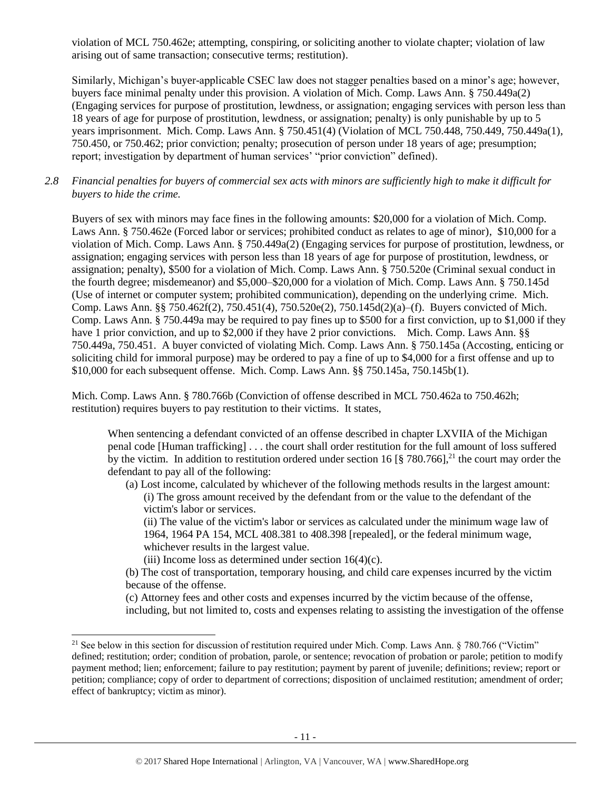violation of MCL 750.462e; attempting, conspiring, or soliciting another to violate chapter; violation of law arising out of same transaction; consecutive terms; restitution).

Similarly, Michigan's buyer-applicable CSEC law does not stagger penalties based on a minor's age; however, buyers face minimal penalty under this provision. A violation of Mich. Comp. Laws Ann. § 750.449a(2) (Engaging services for purpose of prostitution, lewdness, or assignation; engaging services with person less than 18 years of age for purpose of prostitution, lewdness, or assignation; penalty) is only punishable by up to 5 years imprisonment. Mich. Comp. Laws Ann. § 750.451(4) (Violation of MCL 750.448, 750.449, 750.449a(1), 750.450, or 750.462; prior conviction; penalty; prosecution of person under 18 years of age; presumption; report; investigation by department of human services' "prior conviction" defined).

# *2.8 Financial penalties for buyers of commercial sex acts with minors are sufficiently high to make it difficult for buyers to hide the crime.*

Buyers of sex with minors may face fines in the following amounts: \$20,000 for a violation of Mich. Comp. Laws Ann. § 750.462e (Forced labor or services; prohibited conduct as relates to age of minor), \$10,000 for a violation of Mich. Comp. Laws Ann. § 750.449a(2) (Engaging services for purpose of prostitution, lewdness, or assignation; engaging services with person less than 18 years of age for purpose of prostitution, lewdness, or assignation; penalty), \$500 for a violation of Mich. Comp. Laws Ann. § 750.520e (Criminal sexual conduct in the fourth degree; misdemeanor) and \$5,000–\$20,000 for a violation of Mich. Comp. Laws Ann. § 750.145d (Use of internet or computer system; prohibited communication), depending on the underlying crime. Mich. Comp. Laws Ann. §§ 750.462f(2), 750.451(4), 750.520e(2), 750.145d(2)(a)–(f). Buyers convicted of Mich. Comp. Laws Ann. § 750.449a may be required to pay fines up to \$500 for a first conviction, up to \$1,000 if they have 1 prior conviction, and up to \$2,000 if they have 2 prior convictions. Mich. Comp. Laws Ann. §§ 750.449a, 750.451. A buyer convicted of violating Mich. Comp. Laws Ann. § 750.145a (Accosting, enticing or soliciting child for immoral purpose) may be ordered to pay a fine of up to \$4,000 for a first offense and up to \$10,000 for each subsequent offense. Mich. Comp. Laws Ann. §§ 750.145a, 750.145b(1).

Mich. Comp. Laws Ann. § 780.766b (Conviction of offense described in MCL 750.462a to 750.462h; restitution) requires buyers to pay restitution to their victims. It states,

When sentencing a defendant convicted of an offense described in chapter LXVIIA of the Michigan penal code [Human trafficking] . . . the court shall order restitution for the full amount of loss suffered by the victim. In addition to restitution ordered under section 16 [§ 780.766],<sup>21</sup> the court may order the defendant to pay all of the following:

(a) Lost income, calculated by whichever of the following methods results in the largest amount: (i) The gross amount received by the defendant from or the value to the defendant of the victim's labor or services.

(ii) The value of the victim's labor or services as calculated under the minimum wage law of 1964, 1964 PA 154, MCL 408.381 to 408.398 [repealed], or the federal minimum wage, whichever results in the largest value.

(iii) Income loss as determined under section  $16(4)(c)$ .

l

(b) The cost of transportation, temporary housing, and child care expenses incurred by the victim because of the offense.

(c) Attorney fees and other costs and expenses incurred by the victim because of the offense, including, but not limited to, costs and expenses relating to assisting the investigation of the offense

<sup>&</sup>lt;sup>21</sup> See below in this section for discussion of restitution required under Mich. Comp. Laws Ann.  $\S$  780.766 ("Victim" defined; restitution; order; condition of probation, parole, or sentence; revocation of probation or parole; petition to modify payment method; lien; enforcement; failure to pay restitution; payment by parent of juvenile; definitions; review; report or petition; compliance; copy of order to department of corrections; disposition of unclaimed restitution; amendment of order; effect of bankruptcy; victim as minor).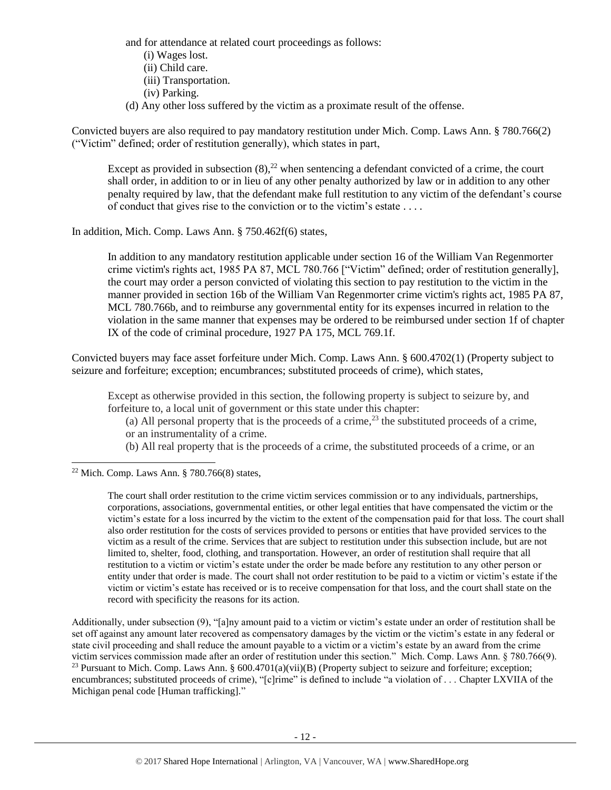and for attendance at related court proceedings as follows: (i) Wages lost. (ii) Child care.

- (iii) Transportation.
- <span id="page-11-0"></span>(iv) Parking.
- (d) Any other loss suffered by the victim as a proximate result of the offense.

Convicted buyers are also required to pay mandatory restitution under Mich. Comp. Laws Ann. § 780.766(2) ("Victim" defined; order of restitution generally), which states in part,

Except as provided in subsection  $(8)$ ,<sup>22</sup> when sentencing a defendant convicted of a crime, the court shall order, in addition to or in lieu of any other penalty authorized by law or in addition to any other penalty required by law, that the defendant make full restitution to any victim of the defendant's course of conduct that gives rise to the conviction or to the victim's estate . . . .

In addition, Mich. Comp. Laws Ann. § 750.462f(6) states,

In addition to any mandatory restitution applicable under section 16 of the William Van Regenmorter crime victim's rights act, 1985 PA 87, MCL 780.766 ["Victim" defined; order of restitution generally], the court may order a person convicted of violating this section to pay restitution to the victim in the manner provided in section 16b of the William Van Regenmorter crime victim's rights act, 1985 PA 87, MCL 780.766b, and to reimburse any governmental entity for its expenses incurred in relation to the violation in the same manner that expenses may be ordered to be reimbursed under section 1f of chapter IX of the code of criminal procedure, 1927 PA 175, MCL 769.1f.

Convicted buyers may face asset forfeiture under Mich. Comp. Laws Ann. § 600.4702(1) (Property subject to seizure and forfeiture; exception; encumbrances; substituted proceeds of crime), which states,

Except as otherwise provided in this section, the following property is subject to seizure by, and forfeiture to, a local unit of government or this state under this chapter:

<span id="page-11-1"></span>(a) All personal property that is the proceeds of a crime,<sup>23</sup> the substituted proceeds of a crime, or an instrumentality of a crime.

(b) All real property that is the proceeds of a crime, the substituted proceeds of a crime, or an

<sup>22</sup> Mich. Comp. Laws Ann. § 780.766(8) states,

l

The court shall order restitution to the crime victim services commission or to any individuals, partnerships, corporations, associations, governmental entities, or other legal entities that have compensated the victim or the victim's estate for a loss incurred by the victim to the extent of the compensation paid for that loss. The court shall also order restitution for the costs of services provided to persons or entities that have provided services to the victim as a result of the crime. Services that are subject to restitution under this subsection include, but are not limited to, shelter, food, clothing, and transportation. However, an order of restitution shall require that all restitution to a victim or victim's estate under the order be made before any restitution to any other person or entity under that order is made. The court shall not order restitution to be paid to a victim or victim's estate if the victim or victim's estate has received or is to receive compensation for that loss, and the court shall state on the record with specificity the reasons for its action.

Additionally, under subsection (9), "[a]ny amount paid to a victim or victim's estate under an order of restitution shall be set off against any amount later recovered as compensatory damages by the victim or the victim's estate in any federal or state civil proceeding and shall reduce the amount payable to a victim or a victim's estate by an award from the crime victim services commission made after an order of restitution under this section." Mich. Comp. Laws Ann. § 780.766(9). <sup>23</sup> Pursuant to Mich. Comp. Laws Ann. §  $600.4701(a)(vii)(B)$  (Property subject to seizure and forfeiture; exception; encumbrances; substituted proceeds of crime), "[c]rime" is defined to include "a violation of . . . Chapter LXVIIA of the Michigan penal code [Human trafficking]."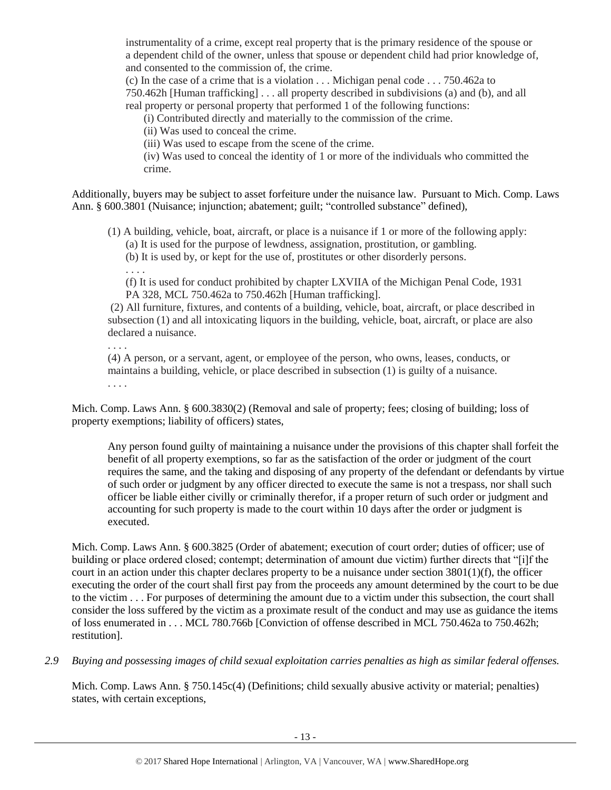instrumentality of a crime, except real property that is the primary residence of the spouse or a dependent child of the owner, unless that spouse or dependent child had prior knowledge of, and consented to the commission of, the crime.

(c) In the case of a crime that is a violation . . . Michigan penal code . . . 750.462a to 750.462h [Human trafficking] . . . all property described in subdivisions (a) and (b), and all real property or personal property that performed 1 of the following functions:

(i) Contributed directly and materially to the commission of the crime.

(ii) Was used to conceal the crime.

(iii) Was used to escape from the scene of the crime.

(iv) Was used to conceal the identity of 1 or more of the individuals who committed the crime.

Additionally, buyers may be subject to asset forfeiture under the nuisance law. Pursuant to Mich. Comp. Laws Ann. § 600.3801 (Nuisance; injunction; abatement; guilt; "controlled substance" defined),

(1) A building, vehicle, boat, aircraft, or place is a nuisance if 1 or more of the following apply:

(a) It is used for the purpose of lewdness, assignation, prostitution, or gambling.

(b) It is used by, or kept for the use of, prostitutes or other disorderly persons.

. . . .

(f) It is used for conduct prohibited by chapter LXVIIA of the Michigan Penal Code, 1931 PA 328, MCL 750.462a to 750.462h [Human trafficking].

(2) All furniture, fixtures, and contents of a building, vehicle, boat, aircraft, or place described in subsection (1) and all intoxicating liquors in the building, vehicle, boat, aircraft, or place are also declared a nuisance.

. . . .

(4) A person, or a servant, agent, or employee of the person, who owns, leases, conducts, or maintains a building, vehicle, or place described in subsection (1) is guilty of a nuisance. . . . .

Mich. Comp. Laws Ann. § 600.3830(2) (Removal and sale of property; fees; closing of building; loss of property exemptions; liability of officers) states,

Any person found guilty of maintaining a nuisance under the provisions of this chapter shall forfeit the benefit of all property exemptions, so far as the satisfaction of the order or judgment of the court requires the same, and the taking and disposing of any property of the defendant or defendants by virtue of such order or judgment by any officer directed to execute the same is not a trespass, nor shall such officer be liable either civilly or criminally therefor, if a proper return of such order or judgment and accounting for such property is made to the court within 10 days after the order or judgment is executed.

Mich. Comp. Laws Ann. § 600.3825 (Order of abatement; execution of court order; duties of officer; use of building or place ordered closed; contempt; determination of amount due victim) further directs that "[i]f the court in an action under this chapter declares property to be a nuisance under section 3801(1)(f), the officer executing the order of the court shall first pay from the proceeds any amount determined by the court to be due to the victim . . . For purposes of determining the amount due to a victim under this subsection, the court shall consider the loss suffered by the victim as a proximate result of the conduct and may use as guidance the items of loss enumerated in . . . MCL 780.766b [Conviction of offense described in MCL 750.462a to 750.462h; restitution].

*2.9 Buying and possessing images of child sexual exploitation carries penalties as high as similar federal offenses.*

Mich. Comp. Laws Ann. § 750.145c(4) (Definitions; child sexually abusive activity or material; penalties) states, with certain exceptions,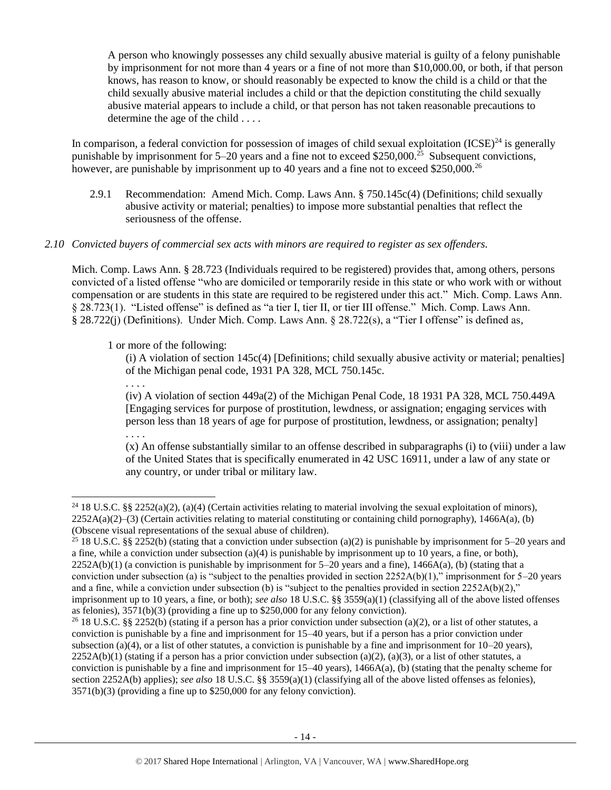A person who knowingly possesses any child sexually abusive material is guilty of a felony punishable by imprisonment for not more than 4 years or a fine of not more than \$10,000.00, or both, if that person knows, has reason to know, or should reasonably be expected to know the child is a child or that the child sexually abusive material includes a child or that the depiction constituting the child sexually abusive material appears to include a child, or that person has not taken reasonable precautions to determine the age of the child . . . .

In comparison, a federal conviction for possession of images of child sexual exploitation  $(ICSE)^{24}$  is generally punishable by imprisonment for 5–20 years and a fine not to exceed \$250,000.<sup>25</sup> Subsequent convictions, however, are punishable by imprisonment up to 40 years and a fine not to exceed \$250,000.<sup>26</sup>

2.9.1 Recommendation: Amend Mich. Comp. Laws Ann. § 750.145c(4) (Definitions; child sexually abusive activity or material; penalties) to impose more substantial penalties that reflect the seriousness of the offense.

# *2.10 Convicted buyers of commercial sex acts with minors are required to register as sex offenders.*

Mich. Comp. Laws Ann. § 28.723 (Individuals required to be registered) provides that, among others, persons convicted of a listed offense "who are domiciled or temporarily reside in this state or who work with or without compensation or are students in this state are required to be registered under this act." Mich. Comp. Laws Ann. § 28.723(1). "Listed offense" is defined as "a tier I, tier II, or tier III offense." Mich. Comp. Laws Ann. § 28.722(j) (Definitions). Under Mich. Comp. Laws Ann. § 28.722(s), a "Tier I offense" is defined as,

1 or more of the following:

. . . .

l

(i) A violation of section 145c(4) [Definitions; child sexually abusive activity or material; penalties] of the Michigan penal code, 1931 PA 328, MCL 750.145c.

(iv) A violation of section 449a(2) of the Michigan Penal Code, 18 1931 PA 328, MCL 750.449A [Engaging services for purpose of prostitution, lewdness, or assignation; engaging services with person less than 18 years of age for purpose of prostitution, lewdness, or assignation; penalty] . . . .

(x) An offense substantially similar to an offense described in subparagraphs (i) to (viii) under a law of the United States that is specifically enumerated in 42 USC 16911, under a law of any state or any country, or under tribal or military law.

<sup>&</sup>lt;sup>24</sup> 18 U.S.C. §§ 2252(a)(2), (a)(4) (Certain activities relating to material involving the sexual exploitation of minors),  $2252A(a)(2)$ –(3) (Certain activities relating to material constituting or containing child pornography), 1466A(a), (b) (Obscene visual representations of the sexual abuse of children).

<sup>&</sup>lt;sup>25</sup> 18 U.S.C. §§ 2252(b) (stating that a conviction under subsection (a)(2) is punishable by imprisonment for 5–20 years and a fine, while a conviction under subsection  $(a)(4)$  is punishable by imprisonment up to 10 years, a fine, or both),  $2252A(b)(1)$  (a conviction is punishable by imprisonment for  $5-20$  years and a fine),  $1466A(a)$ , (b) (stating that a conviction under subsection (a) is "subject to the penalties provided in section  $2252A(b)(1)$ ," imprisonment for  $5-20$  years and a fine, while a conviction under subsection (b) is "subject to the penalties provided in section  $2252A(b)(2)$ ," imprisonment up to 10 years, a fine, or both); *see also* 18 U.S.C. §§ 3559(a)(1) (classifying all of the above listed offenses as felonies),  $3571(b)(3)$  (providing a fine up to  $$250,000$  for any felony conviction).

<sup>&</sup>lt;sup>26</sup> 18 U.S.C. §§ 2252(b) (stating if a person has a prior conviction under subsection (a)(2), or a list of other statutes, a conviction is punishable by a fine and imprisonment for 15–40 years, but if a person has a prior conviction under subsection (a)(4), or a list of other statutes, a conviction is punishable by a fine and imprisonment for  $10-20$  years),  $2252A(b)(1)$  (stating if a person has a prior conviction under subsection (a)(2), (a)(3), or a list of other statutes, a conviction is punishable by a fine and imprisonment for  $15-40$  years),  $1466A(a)$ , (b) (stating that the penalty scheme for section 2252A(b) applies); *see also* 18 U.S.C. §§ 3559(a)(1) (classifying all of the above listed offenses as felonies), 3571(b)(3) (providing a fine up to \$250,000 for any felony conviction).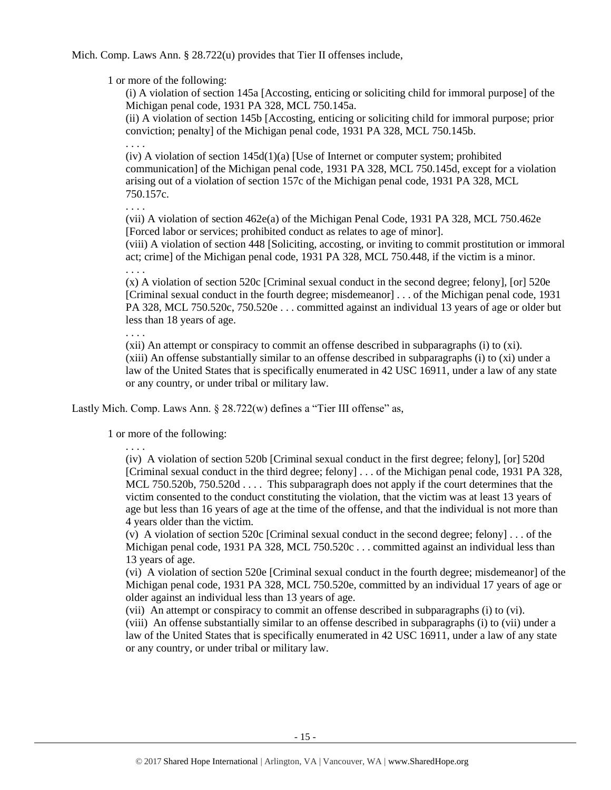Mich. Comp. Laws Ann. § 28.722(u) provides that Tier II offenses include,

1 or more of the following:

(i) A violation of section 145a [Accosting, enticing or soliciting child for immoral purpose] of the Michigan penal code, 1931 PA 328, MCL 750.145a.

(ii) A violation of section 145b [Accosting, enticing or soliciting child for immoral purpose; prior conviction; penalty] of the Michigan penal code, 1931 PA 328, MCL 750.145b.

 $(iv)$  A violation of section  $145d(1)(a)$  [Use of Internet or computer system; prohibited communication] of the Michigan penal code, 1931 PA 328, MCL 750.145d, except for a violation arising out of a violation of section 157c of the Michigan penal code, 1931 PA 328, MCL 750.157c.

. . . .

. . . .

(vii) A violation of section 462e(a) of the Michigan Penal Code, 1931 PA 328, MCL 750.462e [Forced labor or services; prohibited conduct as relates to age of minor].

(viii) A violation of section 448 [Soliciting, accosting, or inviting to commit prostitution or immoral act; crime] of the Michigan penal code, 1931 PA 328, MCL 750.448, if the victim is a minor. . . . .

(x) A violation of section 520c [Criminal sexual conduct in the second degree; felony], [or] 520e [Criminal sexual conduct in the fourth degree; misdemeanor] . . . of the Michigan penal code, 1931 PA 328, MCL 750.520c, 750.520e . . . committed against an individual 13 years of age or older but less than 18 years of age.

. . . .

(xii) An attempt or conspiracy to commit an offense described in subparagraphs (i) to (xi). (xiii) An offense substantially similar to an offense described in subparagraphs (i) to (xi) under a law of the United States that is specifically enumerated in 42 USC 16911, under a law of any state or any country, or under tribal or military law.

Lastly Mich. Comp. Laws Ann. § 28.722(w) defines a "Tier III offense" as,

1 or more of the following:

. . . .

(iv) A violation of section 520b [Criminal sexual conduct in the first degree; felony], [or] 520d [Criminal sexual conduct in the third degree; felony] . . . of the Michigan penal code, 1931 PA 328, MCL 750.520b, 750.520d . . . . This subparagraph does not apply if the court determines that the victim consented to the conduct constituting the violation, that the victim was at least 13 years of age but less than 16 years of age at the time of the offense, and that the individual is not more than 4 years older than the victim.

(v) A violation of section 520c [Criminal sexual conduct in the second degree; felony] . . . of the Michigan penal code, 1931 PA 328, MCL 750.520c . . . committed against an individual less than 13 years of age.

(vi) A violation of section 520e [Criminal sexual conduct in the fourth degree; misdemeanor] of the Michigan penal code, 1931 PA 328, MCL 750.520e, committed by an individual 17 years of age or older against an individual less than 13 years of age.

(vii) An attempt or conspiracy to commit an offense described in subparagraphs (i) to (vi).

(viii) An offense substantially similar to an offense described in subparagraphs (i) to (vii) under a law of the United States that is specifically enumerated in 42 USC 16911, under a law of any state or any country, or under tribal or military law.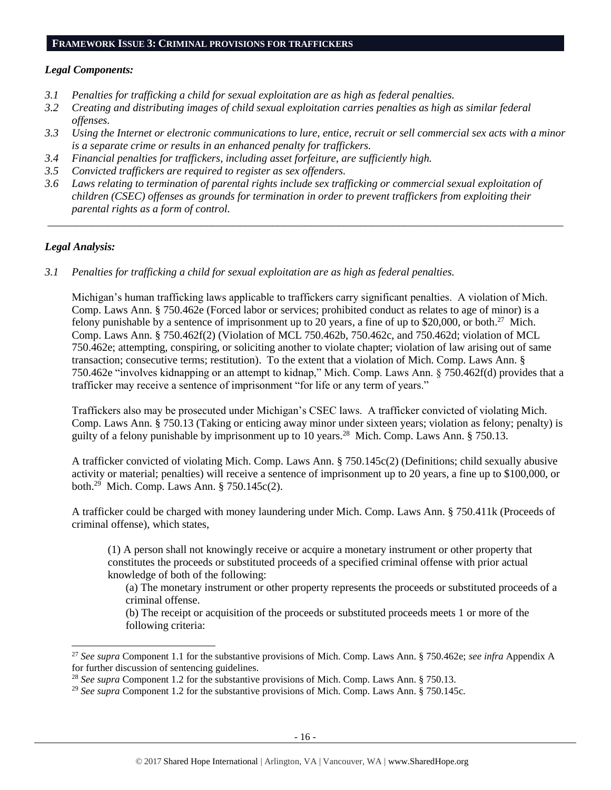#### **FRAMEWORK ISSUE 3: CRIMINAL PROVISIONS FOR TRAFFICKERS**

# *Legal Components:*

- *3.1 Penalties for trafficking a child for sexual exploitation are as high as federal penalties.*
- *3.2 Creating and distributing images of child sexual exploitation carries penalties as high as similar federal offenses.*
- *3.3 Using the Internet or electronic communications to lure, entice, recruit or sell commercial sex acts with a minor is a separate crime or results in an enhanced penalty for traffickers.*
- *3.4 Financial penalties for traffickers, including asset forfeiture, are sufficiently high.*
- *3.5 Convicted traffickers are required to register as sex offenders.*
- *3.6 Laws relating to termination of parental rights include sex trafficking or commercial sexual exploitation of children (CSEC) offenses as grounds for termination in order to prevent traffickers from exploiting their parental rights as a form of control.*

*\_\_\_\_\_\_\_\_\_\_\_\_\_\_\_\_\_\_\_\_\_\_\_\_\_\_\_\_\_\_\_\_\_\_\_\_\_\_\_\_\_\_\_\_\_\_\_\_\_\_\_\_\_\_\_\_\_\_\_\_\_\_\_\_\_\_\_\_\_\_\_\_\_\_\_\_\_\_\_\_\_\_\_\_\_\_\_\_\_\_\_\_\_\_*

# *Legal Analysis:*

 $\overline{a}$ 

*3.1 Penalties for trafficking a child for sexual exploitation are as high as federal penalties.* 

Michigan's human trafficking laws applicable to traffickers carry significant penalties. A violation of Mich. Comp. Laws Ann. § 750.462e (Forced labor or services; prohibited conduct as relates to age of minor) is a felony punishable by a sentence of imprisonment up to 20 years, a fine of up to \$20,000, or both.<sup>27</sup> Mich. Comp. Laws Ann. § 750.462f(2) (Violation of MCL 750.462b, 750.462c, and 750.462d; violation of MCL 750.462e; attempting, conspiring, or soliciting another to violate chapter; violation of law arising out of same transaction; consecutive terms; restitution). To the extent that a violation of Mich. Comp. Laws Ann. § 750.462e "involves kidnapping or an attempt to kidnap," Mich. Comp. Laws Ann. § 750.462f(d) provides that a trafficker may receive a sentence of imprisonment "for life or any term of years."

Traffickers also may be prosecuted under Michigan's CSEC laws. A trafficker convicted of violating Mich. Comp. Laws Ann. § 750.13 (Taking or enticing away minor under sixteen years; violation as felony; penalty) is guilty of a felony punishable by imprisonment up to 10 years.<sup>28</sup> Mich. Comp. Laws Ann. § 750.13.

A trafficker convicted of violating Mich. Comp. Laws Ann. § 750.145c(2) (Definitions; child sexually abusive activity or material; penalties) will receive a sentence of imprisonment up to 20 years, a fine up to \$100,000, or both.<sup>29</sup> Mich. Comp. Laws Ann. § 750.145c(2).

A trafficker could be charged with money laundering under Mich. Comp. Laws Ann. § 750.411k (Proceeds of criminal offense), which states,

(1) A person shall not knowingly receive or acquire a monetary instrument or other property that constitutes the proceeds or substituted proceeds of a specified criminal offense with prior actual knowledge of both of the following:

(a) The monetary instrument or other property represents the proceeds or substituted proceeds of a criminal offense.

(b) The receipt or acquisition of the proceeds or substituted proceeds meets 1 or more of the following criteria:

<sup>27</sup> *See supra* Component 1.1 for the substantive provisions of Mich. Comp. Laws Ann. § 750.462e; *see infra* Appendix A for further discussion of sentencing guidelines.

<sup>&</sup>lt;sup>28</sup> See supra Component 1.2 for the substantive provisions of Mich. Comp. Laws Ann. § 750.13.

<sup>&</sup>lt;sup>29</sup> See supra Component 1.2 for the substantive provisions of Mich. Comp. Laws Ann. § 750.145c.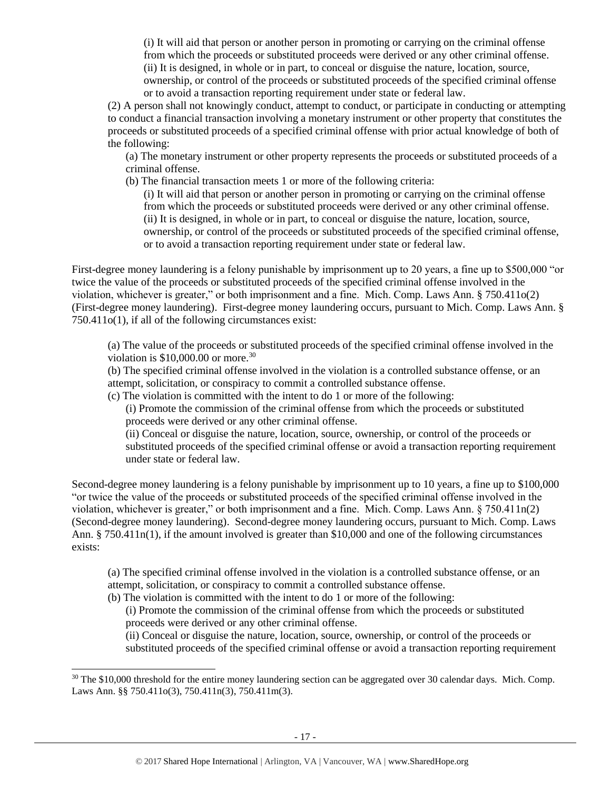(i) It will aid that person or another person in promoting or carrying on the criminal offense from which the proceeds or substituted proceeds were derived or any other criminal offense. (ii) It is designed, in whole or in part, to conceal or disguise the nature, location, source, ownership, or control of the proceeds or substituted proceeds of the specified criminal offense or to avoid a transaction reporting requirement under state or federal law.

(2) A person shall not knowingly conduct, attempt to conduct, or participate in conducting or attempting to conduct a financial transaction involving a monetary instrument or other property that constitutes the proceeds or substituted proceeds of a specified criminal offense with prior actual knowledge of both of the following:

(a) The monetary instrument or other property represents the proceeds or substituted proceeds of a criminal offense.

(b) The financial transaction meets 1 or more of the following criteria:

(i) It will aid that person or another person in promoting or carrying on the criminal offense from which the proceeds or substituted proceeds were derived or any other criminal offense. (ii) It is designed, in whole or in part, to conceal or disguise the nature, location, source, ownership, or control of the proceeds or substituted proceeds of the specified criminal offense, or to avoid a transaction reporting requirement under state or federal law.

First-degree money laundering is a felony punishable by imprisonment up to 20 years, a fine up to \$500,000 "or twice the value of the proceeds or substituted proceeds of the specified criminal offense involved in the violation, whichever is greater," or both imprisonment and a fine. Mich. Comp. Laws Ann. § 750.411o(2) (First-degree money laundering). First-degree money laundering occurs, pursuant to Mich. Comp. Laws Ann. § 750.411o(1), if all of the following circumstances exist:

(a) The value of the proceeds or substituted proceeds of the specified criminal offense involved in the violation is  $$10,000,00$  or more.<sup>30</sup>

(b) The specified criminal offense involved in the violation is a controlled substance offense, or an attempt, solicitation, or conspiracy to commit a controlled substance offense.

(c) The violation is committed with the intent to do 1 or more of the following:

(i) Promote the commission of the criminal offense from which the proceeds or substituted proceeds were derived or any other criminal offense.

(ii) Conceal or disguise the nature, location, source, ownership, or control of the proceeds or substituted proceeds of the specified criminal offense or avoid a transaction reporting requirement under state or federal law.

Second-degree money laundering is a felony punishable by imprisonment up to 10 years, a fine up to \$100,000 "or twice the value of the proceeds or substituted proceeds of the specified criminal offense involved in the violation, whichever is greater," or both imprisonment and a fine. Mich. Comp. Laws Ann. § 750.411n(2) (Second-degree money laundering). Second-degree money laundering occurs, pursuant to Mich. Comp. Laws Ann. § 750.411n(1), if the amount involved is greater than \$10,000 and one of the following circumstances exists:

(a) The specified criminal offense involved in the violation is a controlled substance offense, or an attempt, solicitation, or conspiracy to commit a controlled substance offense.

(b) The violation is committed with the intent to do 1 or more of the following:

 $\overline{a}$ 

(i) Promote the commission of the criminal offense from which the proceeds or substituted proceeds were derived or any other criminal offense.

(ii) Conceal or disguise the nature, location, source, ownership, or control of the proceeds or substituted proceeds of the specified criminal offense or avoid a transaction reporting requirement

<sup>&</sup>lt;sup>30</sup> The \$10,000 threshold for the entire money laundering section can be aggregated over 30 calendar days. Mich. Comp. Laws Ann. §§ 750.411o(3), 750.411n(3), 750.411m(3).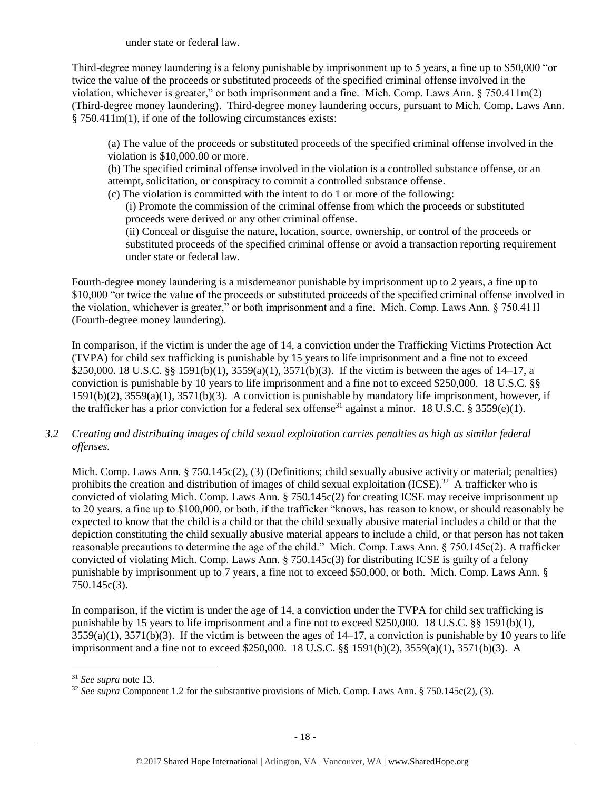under state or federal law.

Third-degree money laundering is a felony punishable by imprisonment up to 5 years, a fine up to \$50,000 "or twice the value of the proceeds or substituted proceeds of the specified criminal offense involved in the violation, whichever is greater," or both imprisonment and a fine. Mich. Comp. Laws Ann. § 750.411m(2) (Third-degree money laundering). Third-degree money laundering occurs, pursuant to Mich. Comp. Laws Ann. § 750.411m(1), if one of the following circumstances exists:

(a) The value of the proceeds or substituted proceeds of the specified criminal offense involved in the violation is \$10,000.00 or more.

(b) The specified criminal offense involved in the violation is a controlled substance offense, or an attempt, solicitation, or conspiracy to commit a controlled substance offense.

(c) The violation is committed with the intent to do 1 or more of the following:

(i) Promote the commission of the criminal offense from which the proceeds or substituted proceeds were derived or any other criminal offense.

(ii) Conceal or disguise the nature, location, source, ownership, or control of the proceeds or substituted proceeds of the specified criminal offense or avoid a transaction reporting requirement under state or federal law.

Fourth-degree money laundering is a misdemeanor punishable by imprisonment up to 2 years, a fine up to \$10,000 "or twice the value of the proceeds or substituted proceeds of the specified criminal offense involved in the violation, whichever is greater," or both imprisonment and a fine. Mich. Comp. Laws Ann. § 750.411l (Fourth-degree money laundering).

In comparison, if the victim is under the age of 14, a conviction under the Trafficking Victims Protection Act (TVPA) for child sex trafficking is punishable by 15 years to life imprisonment and a fine not to exceed \$250,000. 18 U.S.C. §§ 1591(b)(1), 3559(a)(1), 3571(b)(3). If the victim is between the ages of 14–17, a conviction is punishable by 10 years to life imprisonment and a fine not to exceed \$250,000. 18 U.S.C. §§ 1591(b)(2), 3559(a)(1), 3571(b)(3). A conviction is punishable by mandatory life imprisonment, however, if the trafficker has a prior conviction for a federal sex offense<sup>31</sup> against a minor. 18 U.S.C. § 3559(e)(1).

*3.2 Creating and distributing images of child sexual exploitation carries penalties as high as similar federal offenses.*

Mich. Comp. Laws Ann. § 750.145c(2), (3) (Definitions; child sexually abusive activity or material; penalties) prohibits the creation and distribution of images of child sexual exploitation  $(ICSE)^{32}$  A trafficker who is convicted of violating Mich. Comp. Laws Ann. § 750.145c(2) for creating ICSE may receive imprisonment up to 20 years, a fine up to \$100,000, or both, if the trafficker "knows, has reason to know, or should reasonably be expected to know that the child is a child or that the child sexually abusive material includes a child or that the depiction constituting the child sexually abusive material appears to include a child, or that person has not taken reasonable precautions to determine the age of the child." Mich. Comp. Laws Ann. § 750.145c(2). A trafficker convicted of violating Mich. Comp. Laws Ann. § 750.145c(3) for distributing ICSE is guilty of a felony punishable by imprisonment up to 7 years, a fine not to exceed \$50,000, or both. Mich. Comp. Laws Ann. § 750.145c(3).

In comparison, if the victim is under the age of 14, a conviction under the TVPA for child sex trafficking is punishable by 15 years to life imprisonment and a fine not to exceed \$250,000. 18 U.S.C. §§ 1591(b)(1),  $3559(a)(1)$ ,  $3571(b)(3)$ . If the victim is between the ages of  $14-17$ , a conviction is punishable by 10 years to life imprisonment and a fine not to exceed \$250,000. 18 U.S.C. §§ 1591(b)(2), 3559(a)(1), 3571(b)(3). A

<sup>31</sup> *See supra* note [13.](#page-8-0) 

<sup>&</sup>lt;sup>32</sup> See supra Component 1.2 for the substantive provisions of Mich. Comp. Laws Ann. § 750.145c(2), (3).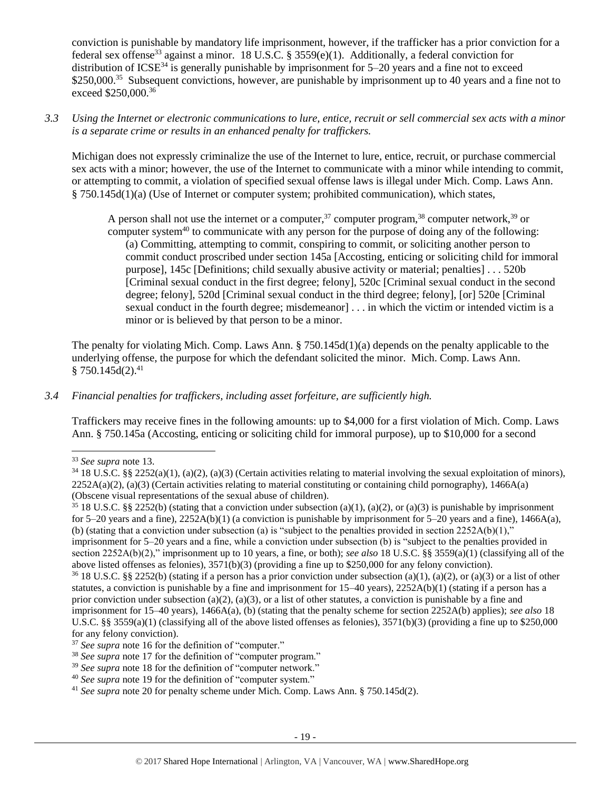conviction is punishable by mandatory life imprisonment, however, if the trafficker has a prior conviction for a federal sex offense<sup>33</sup> against a minor. 18 U.S.C. § 3559(e)(1). Additionally, a federal conviction for distribution of ICSE<sup>34</sup> is generally punishable by imprisonment for  $5-20$  years and a fine not to exceed \$250,000.<sup>35</sup> Subsequent convictions, however, are punishable by imprisonment up to 40 years and a fine not to exceed \$250,000.<sup>36</sup>

*3.3 Using the Internet or electronic communications to lure, entice, recruit or sell commercial sex acts with a minor is a separate crime or results in an enhanced penalty for traffickers.*

Michigan does not expressly criminalize the use of the Internet to lure, entice, recruit, or purchase commercial sex acts with a minor; however, the use of the Internet to communicate with a minor while intending to commit, or attempting to commit, a violation of specified sexual offense laws is illegal under Mich. Comp. Laws Ann. § 750.145d(1)(a) (Use of Internet or computer system; prohibited communication), which states,

A person shall not use the internet or a computer,  $37$  computer program,  $38$  computer network,  $39$  or computer system<sup>40</sup> to communicate with any person for the purpose of doing any of the following: (a) Committing, attempting to commit, conspiring to commit, or soliciting another person to commit conduct proscribed under section 145a [Accosting, enticing or soliciting child for immoral purpose], 145c [Definitions; child sexually abusive activity or material; penalties] . . . 520b [Criminal sexual conduct in the first degree; felony], 520c [Criminal sexual conduct in the second degree; felony], 520d [Criminal sexual conduct in the third degree; felony], [or] 520e [Criminal sexual conduct in the fourth degree; misdemeanor] . . . in which the victim or intended victim is a minor or is believed by that person to be a minor.

The penalty for violating Mich. Comp. Laws Ann. § 750.145d(1)(a) depends on the penalty applicable to the underlying offense, the purpose for which the defendant solicited the minor. Mich. Comp. Laws Ann.  $§ 750.145d(2).<sup>41</sup>$ 

# *3.4 Financial penalties for traffickers, including asset forfeiture, are sufficiently high.*

Traffickers may receive fines in the following amounts: up to \$4,000 for a first violation of Mich. Comp. Laws Ann. § 750.145a (Accosting, enticing or soliciting child for immoral purpose), up to \$10,000 for a second

<sup>33</sup> *See supra* note [13.](#page-8-0) 

 $34\,18$  U.S.C. §§ 2252(a)(1), (a)(2), (a)(3) (Certain activities relating to material involving the sexual exploitation of minors),  $2252A(a)(2)$ , (a)(3) (Certain activities relating to material constituting or containing child pornography), 1466A(a) (Obscene visual representations of the sexual abuse of children).

<sup>&</sup>lt;sup>35</sup> 18 U.S.C. §§ 2252(b) (stating that a conviction under subsection (a)(1), (a)(2), or (a)(3) is punishable by imprisonment for 5–20 years and a fine),  $2252A(b)(1)$  (a conviction is punishable by imprisonment for 5–20 years and a fine),  $1466A(a)$ , (b) (stating that a conviction under subsection (a) is "subject to the penalties provided in section  $2252A(b)(1)$ ," imprisonment for 5–20 years and a fine, while a conviction under subsection (b) is "subject to the penalties provided in section 2252A(b)(2)," imprisonment up to 10 years, a fine, or both); *see also* 18 U.S.C. §§ 3559(a)(1) (classifying all of the above listed offenses as felonies), 3571(b)(3) (providing a fine up to \$250,000 for any felony conviction).

 $36\,18$  U.S.C. §§ 2252(b) (stating if a person has a prior conviction under subsection (a)(1), (a)(2), or (a)(3) or a list of other statutes, a conviction is punishable by a fine and imprisonment for  $15-40$  years),  $2252A(b)(1)$  (stating if a person has a prior conviction under subsection (a)(2), (a)(3), or a list of other statutes, a conviction is punishable by a fine and imprisonment for 15–40 years), 1466A(a), (b) (stating that the penalty scheme for section 2252A(b) applies); *see also* 18 U.S.C. §§ 3559(a)(1) (classifying all of the above listed offenses as felonies),  $3571(b)(3)$  (providing a fine up to \$250,000 for any felony conviction).

<sup>&</sup>lt;sup>37</sup> *See supra* note [16](#page-8-1) for the definition of "computer."

<sup>38</sup> *See supra* note [17](#page-8-2) for the definition of "computer program."

<sup>&</sup>lt;sup>39</sup> See supra note [18](#page-8-3) for the definition of "computer network."

<sup>&</sup>lt;sup>40</sup> See supra note [19](#page-8-4) for the definition of "computer system."

<sup>41</sup> *See supra* note [20](#page-9-0) for penalty scheme under Mich. Comp. Laws Ann. § 750.145d(2).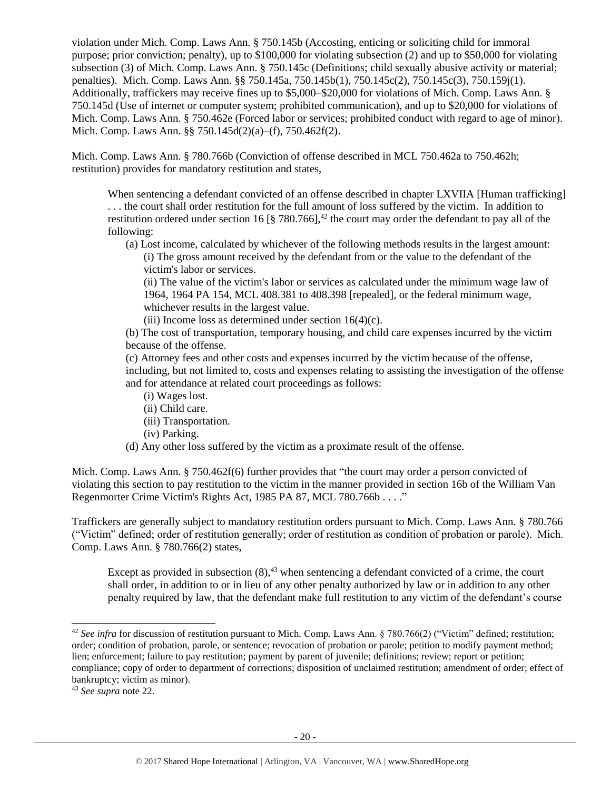violation under Mich. Comp. Laws Ann. § 750.145b (Accosting, enticing or soliciting child for immoral purpose; prior conviction; penalty), up to \$100,000 for violating subsection (2) and up to \$50,000 for violating subsection (3) of Mich. Comp. Laws Ann. § 750.145c (Definitions; child sexually abusive activity or material; penalties). Mich. Comp. Laws Ann. §§ 750.145a, 750.145b(1), 750.145c(2), 750.145c(3), 750.159j(1). Additionally, traffickers may receive fines up to \$5,000–\$20,000 for violations of Mich. Comp. Laws Ann. § 750.145d (Use of internet or computer system; prohibited communication), and up to \$20,000 for violations of Mich. Comp. Laws Ann. § 750.462e (Forced labor or services; prohibited conduct with regard to age of minor). Mich. Comp. Laws Ann. §§ 750.145d(2)(a)–(f), 750.462f(2).

Mich. Comp. Laws Ann. § 780.766b (Conviction of offense described in MCL 750.462a to 750.462h; restitution) provides for mandatory restitution and states,

When sentencing a defendant convicted of an offense described in chapter LXVIIA [Human trafficking] . . . the court shall order restitution for the full amount of loss suffered by the victim. In addition to restitution ordered under section 16 [§ 780.766],<sup>42</sup> the court may order the defendant to pay all of the following:

(a) Lost income, calculated by whichever of the following methods results in the largest amount: (i) The gross amount received by the defendant from or the value to the defendant of the victim's labor or services.

(ii) The value of the victim's labor or services as calculated under the minimum wage law of 1964, 1964 PA 154, MCL 408.381 to 408.398 [repealed], or the federal minimum wage, whichever results in the largest value.

(iii) Income loss as determined under section  $16(4)(c)$ .

(b) The cost of transportation, temporary housing, and child care expenses incurred by the victim because of the offense.

(c) Attorney fees and other costs and expenses incurred by the victim because of the offense, including, but not limited to, costs and expenses relating to assisting the investigation of the offense and for attendance at related court proceedings as follows:

- (i) Wages lost.
- (ii) Child care.
- (iii) Transportation.
- (iv) Parking.
- (d) Any other loss suffered by the victim as a proximate result of the offense.

Mich. Comp. Laws Ann. § 750.462f(6) further provides that "the court may order a person convicted of violating this section to pay restitution to the victim in the manner provided in section 16b of the William Van Regenmorter Crime Victim's Rights Act, 1985 PA 87, MCL 780.766b . . . ."

Traffickers are generally subject to mandatory restitution orders pursuant to Mich. Comp. Laws Ann. § 780.766 ("Victim" defined; order of restitution generally; order of restitution as condition of probation or parole). Mich. Comp. Laws Ann. § 780.766(2) states,

Except as provided in subsection  $(8)$ ,<sup>43</sup> when sentencing a defendant convicted of a crime, the court shall order, in addition to or in lieu of any other penalty authorized by law or in addition to any other penalty required by law, that the defendant make full restitution to any victim of the defendant's course

<sup>&</sup>lt;sup>42</sup> See infra for discussion of restitution pursuant to Mich. Comp. Laws Ann. § 780.766(2) ("Victim" defined; restitution; order; condition of probation, parole, or sentence; revocation of probation or parole; petition to modify payment method; lien; enforcement; failure to pay restitution; payment by parent of juvenile; definitions; review; report or petition; compliance; copy of order to department of corrections; disposition of unclaimed restitution; amendment of order; effect of bankruptcy; victim as minor).

<sup>43</sup> *See supra* note [22.](#page-11-0)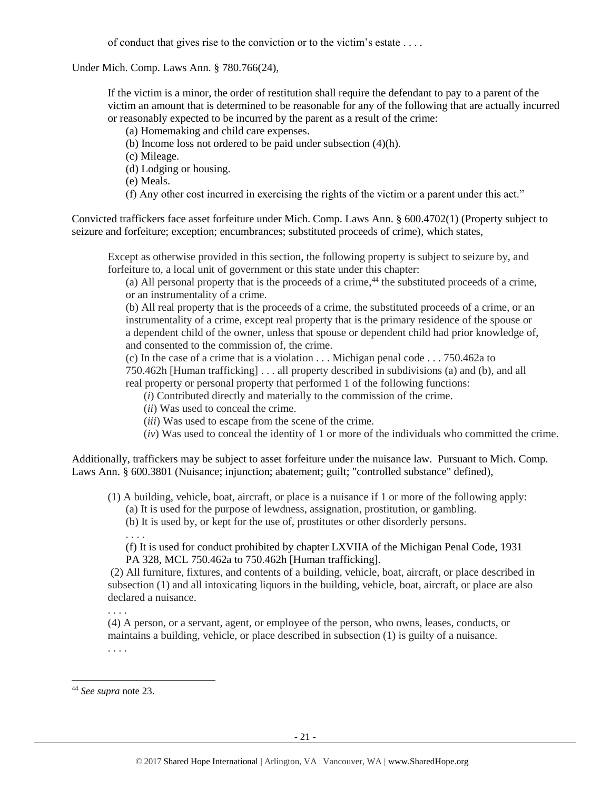of conduct that gives rise to the conviction or to the victim's estate . . . .

Under Mich. Comp. Laws Ann. § 780.766(24),

If the victim is a minor, the order of restitution shall require the defendant to pay to a parent of the victim an amount that is determined to be reasonable for any of the following that are actually incurred or reasonably expected to be incurred by the parent as a result of the crime:

(a) Homemaking and child care expenses.

(b) Income loss not ordered to be paid under subsection (4)(h).

(c) Mileage.

- (d) Lodging or housing.
- (e) Meals.
- (f) Any other cost incurred in exercising the rights of the victim or a parent under this act."

Convicted traffickers face asset forfeiture under Mich. Comp. Laws Ann. § 600.4702(1) (Property subject to seizure and forfeiture; exception; encumbrances; substituted proceeds of crime), which states,

Except as otherwise provided in this section, the following property is subject to seizure by, and forfeiture to, a local unit of government or this state under this chapter:

(a) All personal property that is the proceeds of a crime,  $^{44}$  the substituted proceeds of a crime, or an instrumentality of a crime.

(b) All real property that is the proceeds of a crime, the substituted proceeds of a crime, or an instrumentality of a crime, except real property that is the primary residence of the spouse or a dependent child of the owner, unless that spouse or dependent child had prior knowledge of, and consented to the commission of, the crime.

(c) In the case of a crime that is a violation . . . Michigan penal code . . . 750.462a to

750.462h [Human trafficking] . . . all property described in subdivisions (a) and (b), and all real property or personal property that performed 1 of the following functions:

(*i*) Contributed directly and materially to the commission of the crime.

(*ii*) Was used to conceal the crime.

(*iii*) Was used to escape from the scene of the crime.

(*iv*) Was used to conceal the identity of 1 or more of the individuals who committed the crime.

Additionally, traffickers may be subject to asset forfeiture under the nuisance law. Pursuant to Mich. Comp. Laws Ann. § 600.3801 (Nuisance; injunction; abatement; guilt; "controlled substance" defined),

(1) A building, vehicle, boat, aircraft, or place is a nuisance if 1 or more of the following apply:

(a) It is used for the purpose of lewdness, assignation, prostitution, or gambling.

(b) It is used by, or kept for the use of, prostitutes or other disorderly persons.

. . . .

(f) It is used for conduct prohibited by chapter LXVIIA of the Michigan Penal Code, 1931 PA 328, MCL 750.462a to 750.462h [Human trafficking].

(2) All furniture, fixtures, and contents of a building, vehicle, boat, aircraft, or place described in subsection (1) and all intoxicating liquors in the building, vehicle, boat, aircraft, or place are also declared a nuisance.

. . . .

(4) A person, or a servant, agent, or employee of the person, who owns, leases, conducts, or maintains a building, vehicle, or place described in subsection (1) is guilty of a nuisance. . . . .

<sup>44</sup> *See supra* note [23.](#page-11-1)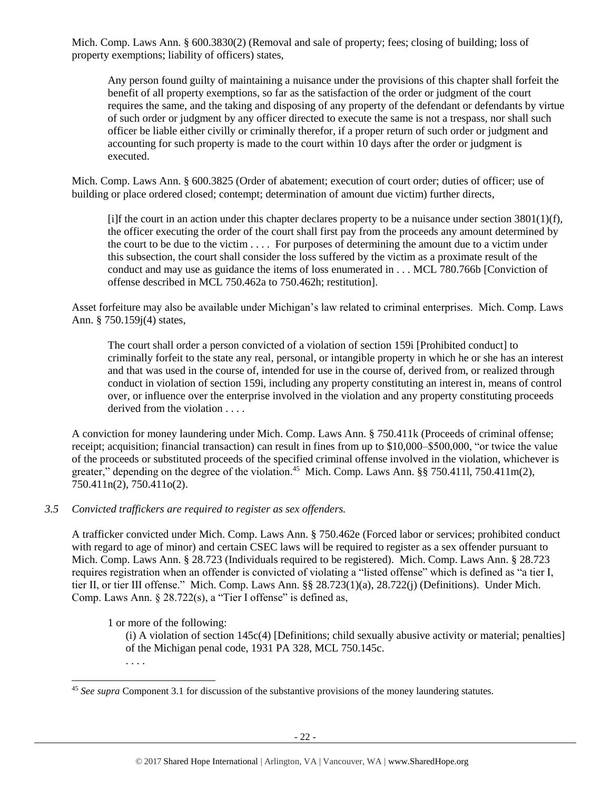Mich. Comp. Laws Ann. § 600.3830(2) (Removal and sale of property; fees; closing of building; loss of property exemptions; liability of officers) states,

Any person found guilty of maintaining a nuisance under the provisions of this chapter shall forfeit the benefit of all property exemptions, so far as the satisfaction of the order or judgment of the court requires the same, and the taking and disposing of any property of the defendant or defendants by virtue of such order or judgment by any officer directed to execute the same is not a trespass, nor shall such officer be liable either civilly or criminally therefor, if a proper return of such order or judgment and accounting for such property is made to the court within 10 days after the order or judgment is executed.

Mich. Comp. Laws Ann. § 600.3825 (Order of abatement; execution of court order; duties of officer; use of building or place ordered closed; contempt; determination of amount due victim) further directs,

[i]f the court in an action under this chapter declares property to be a nuisance under section 3801(1)(f), the officer executing the order of the court shall first pay from the proceeds any amount determined by the court to be due to the victim . . . . For purposes of determining the amount due to a victim under this subsection, the court shall consider the loss suffered by the victim as a proximate result of the conduct and may use as guidance the items of loss enumerated in . . . MCL 780.766b [Conviction of offense described in MCL 750.462a to 750.462h; restitution].

Asset forfeiture may also be available under Michigan's law related to criminal enterprises. Mich. Comp. Laws Ann. § 750.159j(4) states,

The court shall order a person convicted of a violation of section 159i [Prohibited conduct] to criminally forfeit to the state any real, personal, or intangible property in which he or she has an interest and that was used in the course of, intended for use in the course of, derived from, or realized through conduct in violation of section 159i, including any property constituting an interest in, means of control over, or influence over the enterprise involved in the violation and any property constituting proceeds derived from the violation . . . .

A conviction for money laundering under Mich. Comp. Laws Ann. § 750.411k (Proceeds of criminal offense; receipt; acquisition; financial transaction) can result in fines from up to \$10,000–\$500,000, "or twice the value of the proceeds or substituted proceeds of the specified criminal offense involved in the violation, whichever is greater," depending on the degree of the violation.<sup>45</sup> Mich. Comp. Laws Ann. §§ 750.4111, 750.411m(2), 750.411n(2), 750.411o(2).

# *3.5 Convicted traffickers are required to register as sex offenders.*

A trafficker convicted under Mich. Comp. Laws Ann. § 750.462e (Forced labor or services; prohibited conduct with regard to age of minor) and certain CSEC laws will be required to register as a sex offender pursuant to Mich. Comp. Laws Ann. § 28.723 (Individuals required to be registered). Mich. Comp. Laws Ann. § 28.723 requires registration when an offender is convicted of violating a "listed offense" which is defined as "a tier I, tier II, or tier III offense." Mich. Comp. Laws Ann. §§ 28.723(1)(a), 28.722(j) (Definitions). Under Mich. Comp. Laws Ann. § 28.722(s), a "Tier I offense" is defined as,

1 or more of the following:

(i) A violation of section 145c(4) [Definitions; child sexually abusive activity or material; penalties] of the Michigan penal code, 1931 PA 328, MCL 750.145c.

. . . .

<sup>45</sup> *See supra* Component 3.1 for discussion of the substantive provisions of the money laundering statutes.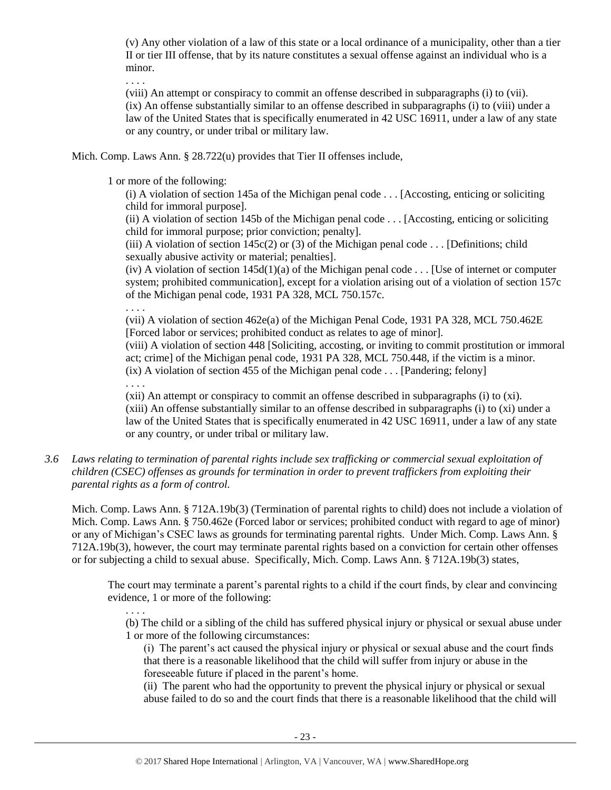(v) Any other violation of a law of this state or a local ordinance of a municipality, other than a tier II or tier III offense, that by its nature constitutes a sexual offense against an individual who is a minor.

. . . .

(viii) An attempt or conspiracy to commit an offense described in subparagraphs (i) to (vii). (ix) An offense substantially similar to an offense described in subparagraphs (i) to (viii) under a law of the United States that is specifically enumerated in 42 USC 16911, under a law of any state or any country, or under tribal or military law.

Mich. Comp. Laws Ann. § 28.722(u) provides that Tier II offenses include,

1 or more of the following:

(i) A violation of section 145a of the Michigan penal code . . . [Accosting, enticing or soliciting child for immoral purpose].

(ii) A violation of section 145b of the Michigan penal code . . . [Accosting, enticing or soliciting child for immoral purpose; prior conviction; penalty].

(iii) A violation of section  $145c(2)$  or (3) of the Michigan penal code . . . [Definitions; child sexually abusive activity or material; penalties].

(iv) A violation of section  $145d(1)(a)$  of the Michigan penal code . . . [Use of internet or computer system; prohibited communication], except for a violation arising out of a violation of section 157c of the Michigan penal code, 1931 PA 328, MCL 750.157c.

. . . .

(vii) A violation of section 462e(a) of the Michigan Penal Code, 1931 PA 328, MCL 750.462E [Forced labor or services; prohibited conduct as relates to age of minor].

(viii) A violation of section 448 [Soliciting, accosting, or inviting to commit prostitution or immoral act; crime] of the Michigan penal code, 1931 PA 328, MCL 750.448, if the victim is a minor. (ix) A violation of section 455 of the Michigan penal code . . . [Pandering; felony]

. . . .

(xii) An attempt or conspiracy to commit an offense described in subparagraphs (i) to (xi). (xiii) An offense substantially similar to an offense described in subparagraphs (i) to (xi) under a law of the United States that is specifically enumerated in 42 USC 16911, under a law of any state or any country, or under tribal or military law.

*3.6 Laws relating to termination of parental rights include sex trafficking or commercial sexual exploitation of children (CSEC) offenses as grounds for termination in order to prevent traffickers from exploiting their parental rights as a form of control.* 

Mich. Comp. Laws Ann. § 712A.19b(3) (Termination of parental rights to child) does not include a violation of Mich. Comp. Laws Ann. § 750.462e (Forced labor or services; prohibited conduct with regard to age of minor) or any of Michigan's CSEC laws as grounds for terminating parental rights. Under Mich. Comp. Laws Ann. § 712A.19b(3), however, the court may terminate parental rights based on a conviction for certain other offenses or for subjecting a child to sexual abuse. Specifically, Mich. Comp. Laws Ann. § 712A.19b(3) states,

The court may terminate a parent's parental rights to a child if the court finds, by clear and convincing evidence, 1 or more of the following:

. . . .

(b) The child or a sibling of the child has suffered physical injury or physical or sexual abuse under 1 or more of the following circumstances:

(i) The parent's act caused the physical injury or physical or sexual abuse and the court finds that there is a reasonable likelihood that the child will suffer from injury or abuse in the foreseeable future if placed in the parent's home.

(ii) The parent who had the opportunity to prevent the physical injury or physical or sexual abuse failed to do so and the court finds that there is a reasonable likelihood that the child will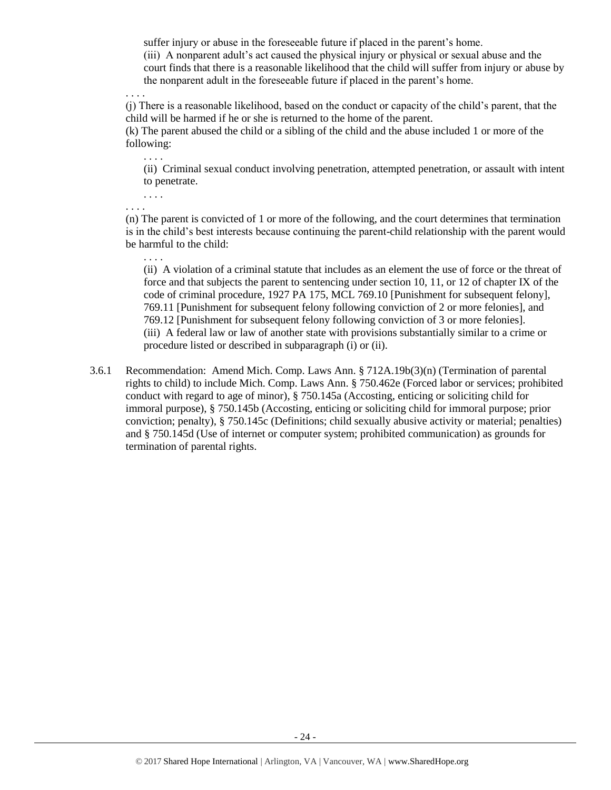suffer injury or abuse in the foreseeable future if placed in the parent's home.

(iii) A nonparent adult's act caused the physical injury or physical or sexual abuse and the court finds that there is a reasonable likelihood that the child will suffer from injury or abuse by the nonparent adult in the foreseeable future if placed in the parent's home.

. . . .

(j) There is a reasonable likelihood, based on the conduct or capacity of the child's parent, that the child will be harmed if he or she is returned to the home of the parent.

(k) The parent abused the child or a sibling of the child and the abuse included 1 or more of the following:

(ii) Criminal sexual conduct involving penetration, attempted penetration, or assault with intent to penetrate.

. . . .

. . . .

. . . .

. . . .

(n) The parent is convicted of 1 or more of the following, and the court determines that termination is in the child's best interests because continuing the parent-child relationship with the parent would be harmful to the child:

(ii) A violation of a criminal statute that includes as an element the use of force or the threat of force and that subjects the parent to sentencing under section 10, 11, or 12 of chapter IX of the code of criminal procedure, 1927 PA 175, MCL 769.10 [Punishment for subsequent felony], 769.11 [Punishment for subsequent felony following conviction of 2 or more felonies], and 769.12 [Punishment for subsequent felony following conviction of 3 or more felonies]. (iii) A federal law or law of another state with provisions substantially similar to a crime or procedure listed or described in subparagraph (i) or (ii).

3.6.1 Recommendation: Amend Mich. Comp. Laws Ann. § 712A.19b(3)(n) (Termination of parental rights to child) to include Mich. Comp. Laws Ann. § 750.462e (Forced labor or services; prohibited conduct with regard to age of minor), § 750.145a (Accosting, enticing or soliciting child for immoral purpose), § 750.145b (Accosting, enticing or soliciting child for immoral purpose; prior conviction; penalty), § 750.145c (Definitions; child sexually abusive activity or material; penalties) and § 750.145d (Use of internet or computer system; prohibited communication) as grounds for termination of parental rights.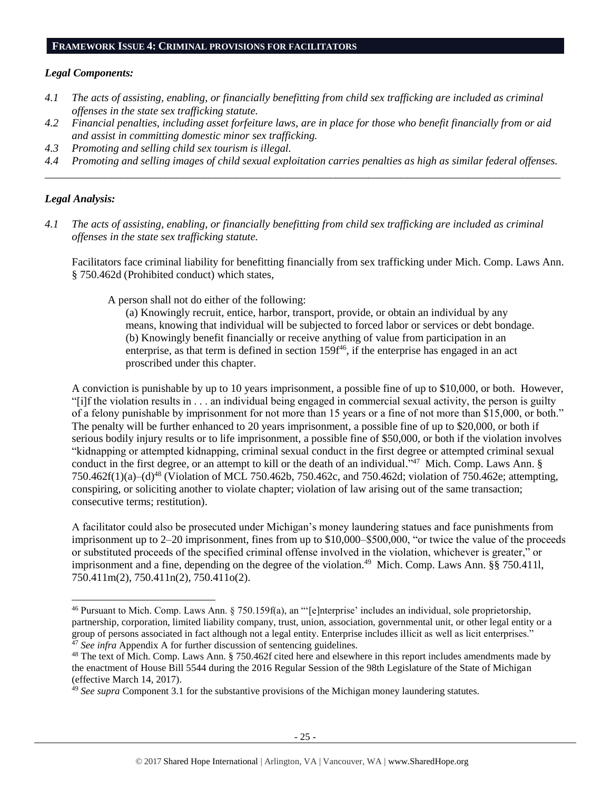#### **FRAMEWORK ISSUE 4: CRIMINAL PROVISIONS FOR FACILITATORS**

#### *Legal Components:*

- *4.1 The acts of assisting, enabling, or financially benefitting from child sex trafficking are included as criminal offenses in the state sex trafficking statute.*
- *4.2 Financial penalties, including asset forfeiture laws, are in place for those who benefit financially from or aid and assist in committing domestic minor sex trafficking.*
- *4.3 Promoting and selling child sex tourism is illegal.*
- *4.4 Promoting and selling images of child sexual exploitation carries penalties as high as similar federal offenses. \_\_\_\_\_\_\_\_\_\_\_\_\_\_\_\_\_\_\_\_\_\_\_\_\_\_\_\_\_\_\_\_\_\_\_\_\_\_\_\_\_\_\_\_\_\_\_\_\_\_\_\_\_\_\_\_\_\_\_\_\_\_\_\_\_\_\_\_\_\_\_\_\_\_\_\_\_\_\_\_\_\_\_\_\_\_\_\_\_\_\_\_\_\_*

# *Legal Analysis:*

 $\overline{a}$ 

*4.1 The acts of assisting, enabling, or financially benefitting from child sex trafficking are included as criminal offenses in the state sex trafficking statute.*

Facilitators face criminal liability for benefitting financially from sex trafficking under Mich. Comp. Laws Ann. § 750.462d (Prohibited conduct) which states,

A person shall not do either of the following:

(a) Knowingly recruit, entice, harbor, transport, provide, or obtain an individual by any means, knowing that individual will be subjected to forced labor or services or debt bondage. (b) Knowingly benefit financially or receive anything of value from participation in an enterprise, as that term is defined in section  $159f^{46}$ , if the enterprise has engaged in an act proscribed under this chapter.

A conviction is punishable by up to 10 years imprisonment, a possible fine of up to \$10,000, or both. However, "[i]f the violation results in . . . an individual being engaged in commercial sexual activity, the person is guilty of a felony punishable by imprisonment for not more than 15 years or a fine of not more than \$15,000, or both." The penalty will be further enhanced to 20 years imprisonment, a possible fine of up to \$20,000, or both if serious bodily injury results or to life imprisonment, a possible fine of \$50,000, or both if the violation involves "kidnapping or attempted kidnapping, criminal sexual conduct in the first degree or attempted criminal sexual conduct in the first degree, or an attempt to kill or the death of an individual."<sup>47</sup> Mich. Comp. Laws Ann. § 750.462f(1)(a)–(d) <sup>48</sup> (Violation of MCL 750.462b, 750.462c, and 750.462d; violation of 750.462e; attempting, conspiring, or soliciting another to violate chapter; violation of law arising out of the same transaction; consecutive terms; restitution).

<span id="page-24-0"></span>A facilitator could also be prosecuted under Michigan's money laundering statues and face punishments from imprisonment up to 2–20 imprisonment, fines from up to \$10,000–\$500,000, "or twice the value of the proceeds or substituted proceeds of the specified criminal offense involved in the violation, whichever is greater," or imprisonment and a fine, depending on the degree of the violation.<sup>49</sup> Mich. Comp. Laws Ann. §§ 750.4111, 750.411m(2), 750.411n(2), 750.411o(2).

<sup>46</sup> Pursuant to Mich. Comp. Laws Ann. § 750.159f(a), an "'[e]nterprise' includes an individual, sole proprietorship, partnership, corporation, limited liability company, trust, union, association, governmental unit, or other legal entity or a group of persons associated in fact although not a legal entity. Enterprise includes illicit as well as licit enterprises." <sup>47</sup> See infra Appendix A for further discussion of sentencing guidelines.

<sup>&</sup>lt;sup>48</sup> The text of Mich. Comp. Laws Ann. § 750.462f cited here and elsewhere in this report includes amendments made by the enactment of House Bill 5544 during the 2016 Regular Session of the 98th Legislature of the State of Michigan (effective March 14, 2017).

<sup>49</sup> *See supra* Component 3.1 for the substantive provisions of the Michigan money laundering statutes.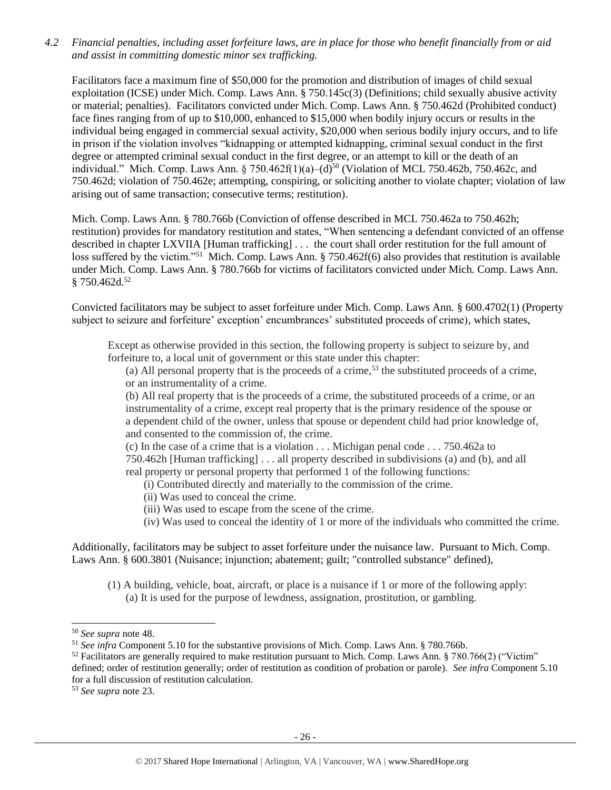*4.2 Financial penalties, including asset forfeiture laws, are in place for those who benefit financially from or aid and assist in committing domestic minor sex trafficking.*

Facilitators face a maximum fine of \$50,000 for the promotion and distribution of images of child sexual exploitation (ICSE) under Mich. Comp. Laws Ann. § 750.145c(3) (Definitions; child sexually abusive activity or material; penalties). Facilitators convicted under Mich. Comp. Laws Ann. § 750.462d (Prohibited conduct) face fines ranging from of up to \$10,000, enhanced to \$15,000 when bodily injury occurs or results in the individual being engaged in commercial sexual activity, \$20,000 when serious bodily injury occurs, and to life in prison if the violation involves "kidnapping or attempted kidnapping, criminal sexual conduct in the first degree or attempted criminal sexual conduct in the first degree, or an attempt to kill or the death of an individual." Mich. Comp. Laws Ann. § 750.462f(1)(a)–(d)<sup>50</sup> (Violation of MCL 750.462b, 750.462c, and 750.462d; violation of 750.462e; attempting, conspiring, or soliciting another to violate chapter; violation of law arising out of same transaction; consecutive terms; restitution).

Mich. Comp. Laws Ann. § 780.766b (Conviction of offense described in MCL 750.462a to 750.462h; restitution) provides for mandatory restitution and states, "When sentencing a defendant convicted of an offense described in chapter LXVIIA [Human trafficking] . . . the court shall order restitution for the full amount of loss suffered by the victim."<sup>51</sup> Mich. Comp. Laws Ann. § 750.462f(6) also provides that restitution is available under Mich. Comp. Laws Ann. § 780.766b for victims of facilitators convicted under Mich. Comp. Laws Ann. § 750.462d.<sup>52</sup>

Convicted facilitators may be subject to asset forfeiture under Mich. Comp. Laws Ann. § 600.4702(1) (Property subject to seizure and forfeiture' exception' encumbrances' substituted proceeds of crime), which states,

Except as otherwise provided in this section, the following property is subject to seizure by, and forfeiture to, a local unit of government or this state under this chapter:

(a) All personal property that is the proceeds of a crime,<sup>53</sup> the substituted proceeds of a crime, or an instrumentality of a crime.

(b) All real property that is the proceeds of a crime, the substituted proceeds of a crime, or an instrumentality of a crime, except real property that is the primary residence of the spouse or a dependent child of the owner, unless that spouse or dependent child had prior knowledge of, and consented to the commission of, the crime.

(c) In the case of a crime that is a violation . . . Michigan penal code . . . 750.462a to 750.462h [Human trafficking] . . . all property described in subdivisions (a) and (b), and all real property or personal property that performed 1 of the following functions:

(i) Contributed directly and materially to the commission of the crime.

- (ii) Was used to conceal the crime.
- (iii) Was used to escape from the scene of the crime.
- (iv) Was used to conceal the identity of 1 or more of the individuals who committed the crime.

Additionally, facilitators may be subject to asset forfeiture under the nuisance law. Pursuant to Mich. Comp. Laws Ann. § 600.3801 (Nuisance; injunction; abatement; guilt; "controlled substance" defined),

(1) A building, vehicle, boat, aircraft, or place is a nuisance if 1 or more of the following apply: (a) It is used for the purpose of lewdness, assignation, prostitution, or gambling.

<sup>50</sup> *See supra* note [48.](#page-24-0)

<sup>51</sup> *See infra* Component 5.10 for the substantive provisions of Mich. Comp. Laws Ann. § 780.766b.

 $52$  Facilitators are generally required to make restitution pursuant to Mich. Comp. Laws Ann. § 780.766(2) ("Victim" defined; order of restitution generally; order of restitution as condition of probation or parole). *See infra* Component 5.10 for a full discussion of restitution calculation.

<sup>53</sup> *See supra* note [23.](#page-11-1)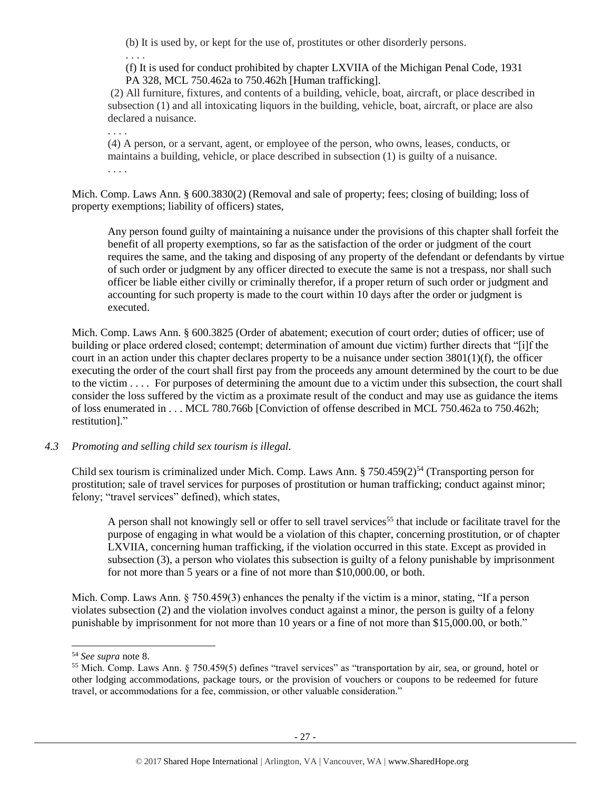(b) It is used by, or kept for the use of, prostitutes or other disorderly persons.

. . . .

(f) It is used for conduct prohibited by chapter LXVIIA of the Michigan Penal Code, 1931 PA 328, MCL 750.462a to 750.462h [Human trafficking].

(2) All furniture, fixtures, and contents of a building, vehicle, boat, aircraft, or place described in subsection (1) and all intoxicating liquors in the building, vehicle, boat, aircraft, or place are also declared a nuisance.

. . . .

(4) A person, or a servant, agent, or employee of the person, who owns, leases, conducts, or maintains a building, vehicle, or place described in subsection (1) is guilty of a nuisance. . . . .

Mich. Comp. Laws Ann. § 600.3830(2) (Removal and sale of property; fees; closing of building; loss of property exemptions; liability of officers) states,

Any person found guilty of maintaining a nuisance under the provisions of this chapter shall forfeit the benefit of all property exemptions, so far as the satisfaction of the order or judgment of the court requires the same, and the taking and disposing of any property of the defendant or defendants by virtue of such order or judgment by any officer directed to execute the same is not a trespass, nor shall such officer be liable either civilly or criminally therefor, if a proper return of such order or judgment and accounting for such property is made to the court within 10 days after the order or judgment is executed.

Mich. Comp. Laws Ann. § 600.3825 (Order of abatement; execution of court order; duties of officer; use of building or place ordered closed; contempt; determination of amount due victim) further directs that "[i]f the court in an action under this chapter declares property to be a nuisance under section 3801(1)(f), the officer executing the order of the court shall first pay from the proceeds any amount determined by the court to be due to the victim . . . . For purposes of determining the amount due to a victim under this subsection, the court shall consider the loss suffered by the victim as a proximate result of the conduct and may use as guidance the items of loss enumerated in . . . MCL 780.766b [Conviction of offense described in MCL 750.462a to 750.462h; restitution]."

# *4.3 Promoting and selling child sex tourism is illegal.*

Child sex tourism is criminalized under Mich. Comp. Laws Ann.  $\S 750.459(2)^{54}$  (Transporting person for prostitution; sale of travel services for purposes of prostitution or human trafficking; conduct against minor; felony; "travel services" defined), which states,

A person shall not knowingly sell or offer to sell travel services<sup>55</sup> that include or facilitate travel for the purpose of engaging in what would be a violation of this chapter, concerning prostitution, or of chapter LXVIIA, concerning human trafficking, if the violation occurred in this state. Except as provided in subsection (3), a person who violates this subsection is guilty of a felony punishable by imprisonment for not more than 5 years or a fine of not more than \$10,000.00, or both.

Mich. Comp. Laws Ann. § 750.459(3) enhances the penalty if the victim is a minor, stating, "If a person violates subsection (2) and the violation involves conduct against a minor, the person is guilty of a felony punishable by imprisonment for not more than 10 years or a fine of not more than \$15,000.00, or both."

<sup>54</sup> *See supra* note [8.](#page-2-0)

<sup>55</sup> Mich. Comp. Laws Ann. § 750.459(5) defines "travel services" as "transportation by air, sea, or ground, hotel or other lodging accommodations, package tours, or the provision of vouchers or coupons to be redeemed for future travel, or accommodations for a fee, commission, or other valuable consideration."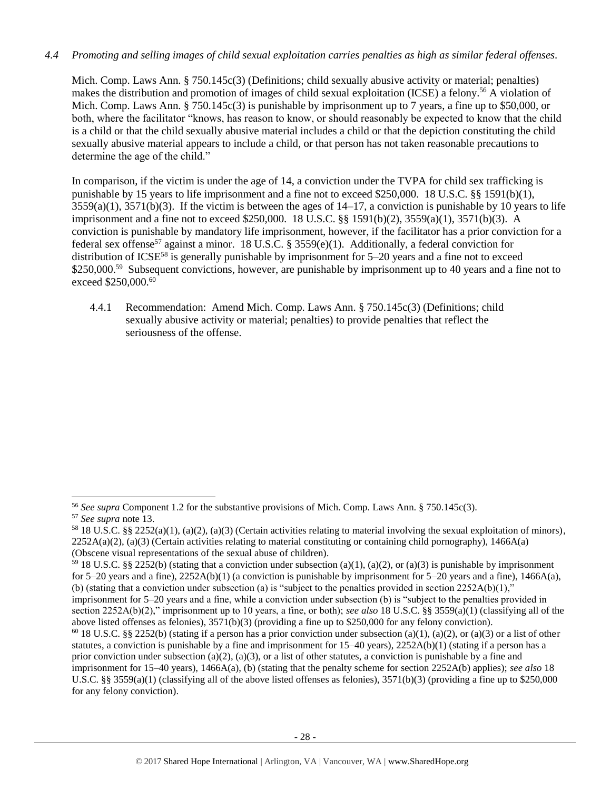# *4.4 Promoting and selling images of child sexual exploitation carries penalties as high as similar federal offenses.*

Mich. Comp. Laws Ann. § 750.145c(3) (Definitions; child sexually abusive activity or material; penalties) makes the distribution and promotion of images of child sexual exploitation (ICSE) a felony.<sup>56</sup> A violation of Mich. Comp. Laws Ann. § 750.145c(3) is punishable by imprisonment up to 7 years, a fine up to \$50,000, or both, where the facilitator "knows, has reason to know, or should reasonably be expected to know that the child is a child or that the child sexually abusive material includes a child or that the depiction constituting the child sexually abusive material appears to include a child, or that person has not taken reasonable precautions to determine the age of the child."

In comparison, if the victim is under the age of 14, a conviction under the TVPA for child sex trafficking is punishable by 15 years to life imprisonment and a fine not to exceed \$250,000. 18 U.S.C. §§ 1591(b)(1),  $3559(a)(1)$ ,  $3571(b)(3)$ . If the victim is between the ages of  $14-17$ , a conviction is punishable by 10 years to life imprisonment and a fine not to exceed \$250,000. 18 U.S.C. §§ 1591(b)(2), 3559(a)(1), 3571(b)(3). A conviction is punishable by mandatory life imprisonment, however, if the facilitator has a prior conviction for a federal sex offense<sup>57</sup> against a minor. 18 U.S.C. § 3559(e)(1). Additionally, a federal conviction for distribution of ICSE<sup>58</sup> is generally punishable by imprisonment for  $5-20$  years and a fine not to exceed \$250,000.<sup>59</sup> Subsequent convictions, however, are punishable by imprisonment up to 40 years and a fine not to exceed \$250,000.<sup>60</sup>

4.4.1 Recommendation: Amend Mich. Comp. Laws Ann. § 750.145c(3) (Definitions; child sexually abusive activity or material; penalties) to provide penalties that reflect the seriousness of the offense.

l

<sup>56</sup> *See supra* Component 1.2 for the substantive provisions of Mich. Comp. Laws Ann. § 750.145c(3).

<sup>57</sup> *See supra* note [13.](#page-8-0) 

<sup>&</sup>lt;sup>58</sup> 18 U.S.C. §§ 2252(a)(1), (a)(2), (a)(3) (Certain activities relating to material involving the sexual exploitation of minors),  $2252A(a)(2)$ ,  $(a)(3)$  (Certain activities relating to material constituting or containing child pornography), 1466A(a) (Obscene visual representations of the sexual abuse of children).

<sup>&</sup>lt;sup>59</sup> 18 U.S.C. §§ 2252(b) (stating that a conviction under subsection (a)(1), (a)(2), or (a)(3) is punishable by imprisonment for 5–20 years and a fine),  $2252A(b)(1)$  (a conviction is punishable by imprisonment for 5–20 years and a fine), 1466A(a), (b) (stating that a conviction under subsection (a) is "subject to the penalties provided in section  $2252A(b)(1)$ ," imprisonment for 5–20 years and a fine, while a conviction under subsection (b) is "subject to the penalties provided in

section 2252A(b)(2)," imprisonment up to 10 years, a fine, or both); *see also* 18 U.S.C. §§ 3559(a)(1) (classifying all of the above listed offenses as felonies), 3571(b)(3) (providing a fine up to \$250,000 for any felony conviction).

<sup>&</sup>lt;sup>60</sup> 18 U.S.C. §§ 2252(b) (stating if a person has a prior conviction under subsection (a)(1), (a)(2), or (a)(3) or a list of other statutes, a conviction is punishable by a fine and imprisonment for  $15-40$  years),  $2252A(b)(1)$  (stating if a person has a prior conviction under subsection (a)(2), (a)(3), or a list of other statutes, a conviction is punishable by a fine and imprisonment for 15–40 years), 1466A(a), (b) (stating that the penalty scheme for section 2252A(b) applies); *see also* 18 U.S.C. §§ 3559(a)(1) (classifying all of the above listed offenses as felonies),  $3571(b)(3)$  (providing a fine up to \$250,000 for any felony conviction).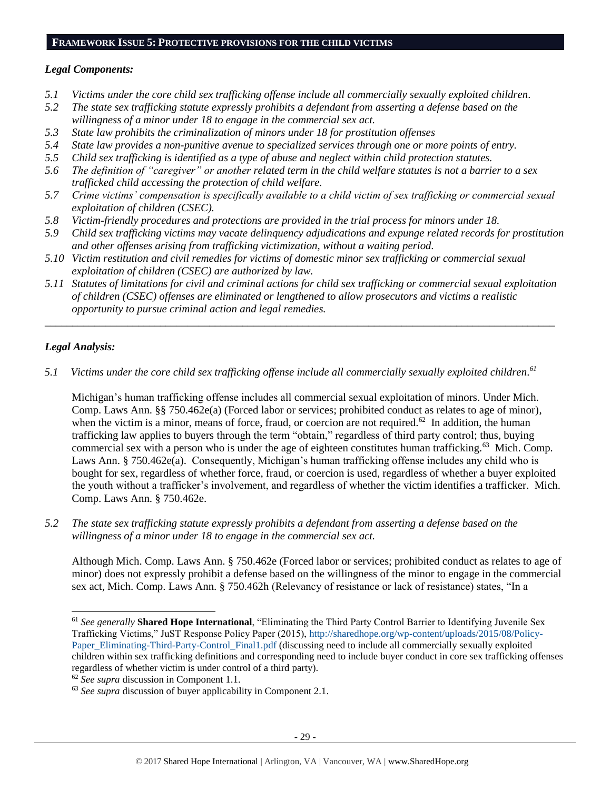#### **FRAMEWORK ISSUE 5: PROTECTIVE PROVISIONS FOR THE CHILD VICTIMS**

#### *Legal Components:*

- *5.1 Victims under the core child sex trafficking offense include all commercially sexually exploited children.*
- *5.2 The state sex trafficking statute expressly prohibits a defendant from asserting a defense based on the willingness of a minor under 18 to engage in the commercial sex act.*
- *5.3 State law prohibits the criminalization of minors under 18 for prostitution offenses*
- *5.4 State law provides a non-punitive avenue to specialized services through one or more points of entry.*
- *5.5 Child sex trafficking is identified as a type of abuse and neglect within child protection statutes.*
- *5.6 The definition of "caregiver" or another related term in the child welfare statutes is not a barrier to a sex trafficked child accessing the protection of child welfare.*
- *5.7 Crime victims' compensation is specifically available to a child victim of sex trafficking or commercial sexual exploitation of children (CSEC).*
- *5.8 Victim-friendly procedures and protections are provided in the trial process for minors under 18.*
- *5.9 Child sex trafficking victims may vacate delinquency adjudications and expunge related records for prostitution and other offenses arising from trafficking victimization, without a waiting period.*
- *5.10 Victim restitution and civil remedies for victims of domestic minor sex trafficking or commercial sexual exploitation of children (CSEC) are authorized by law.*
- *5.11 Statutes of limitations for civil and criminal actions for child sex trafficking or commercial sexual exploitation of children (CSEC) offenses are eliminated or lengthened to allow prosecutors and victims a realistic opportunity to pursue criminal action and legal remedies.*

*\_\_\_\_\_\_\_\_\_\_\_\_\_\_\_\_\_\_\_\_\_\_\_\_\_\_\_\_\_\_\_\_\_\_\_\_\_\_\_\_\_\_\_\_\_\_\_\_\_\_\_\_\_\_\_\_\_\_\_\_\_\_\_\_\_\_\_\_\_\_\_\_\_\_\_\_\_\_\_\_\_\_\_\_\_\_\_\_\_\_\_\_\_*

# *Legal Analysis:*

 $\overline{a}$ 

*5.1 Victims under the core child sex trafficking offense include all commercially sexually exploited children. 61*

Michigan's human trafficking offense includes all commercial sexual exploitation of minors. Under Mich. Comp. Laws Ann. §§ 750.462e(a) (Forced labor or services; prohibited conduct as relates to age of minor), when the victim is a minor, means of force, fraud, or coercion are not required.<sup>62</sup> In addition, the human trafficking law applies to buyers through the term "obtain," regardless of third party control; thus, buying commercial sex with a person who is under the age of eighteen constitutes human trafficking.<sup>63</sup> Mich. Comp. Laws Ann. § 750.462e(a). Consequently, Michigan's human trafficking offense includes any child who is bought for sex, regardless of whether force, fraud, or coercion is used, regardless of whether a buyer exploited the youth without a trafficker's involvement, and regardless of whether the victim identifies a trafficker. Mich. Comp. Laws Ann. § 750.462e.

*5.2 The state sex trafficking statute expressly prohibits a defendant from asserting a defense based on the willingness of a minor under 18 to engage in the commercial sex act.*

Although Mich. Comp. Laws Ann. § 750.462e (Forced labor or services; prohibited conduct as relates to age of minor) does not expressly prohibit a defense based on the willingness of the minor to engage in the commercial sex act, Mich. Comp. Laws Ann. § 750.462h (Relevancy of resistance or lack of resistance) states, "In a

<sup>61</sup> *See generally* **Shared Hope International**, "Eliminating the Third Party Control Barrier to Identifying Juvenile Sex Trafficking Victims," JuST Response Policy Paper (2015), [http://sharedhope.org/wp-content/uploads/2015/08/Policy-](http://sharedhope.org/wp-content/uploads/2015/08/Policy-Paper_Eliminating-Third-Party-Control_Final1.pdf)[Paper\\_Eliminating-Third-Party-Control\\_Final1.pdf](http://sharedhope.org/wp-content/uploads/2015/08/Policy-Paper_Eliminating-Third-Party-Control_Final1.pdf) (discussing need to include all commercially sexually exploited children within sex trafficking definitions and corresponding need to include buyer conduct in core sex trafficking offenses regardless of whether victim is under control of a third party).

<sup>62</sup> *See supra* discussion in Component 1.1.

<sup>63</sup> *See supra* discussion of buyer applicability in Component 2.1.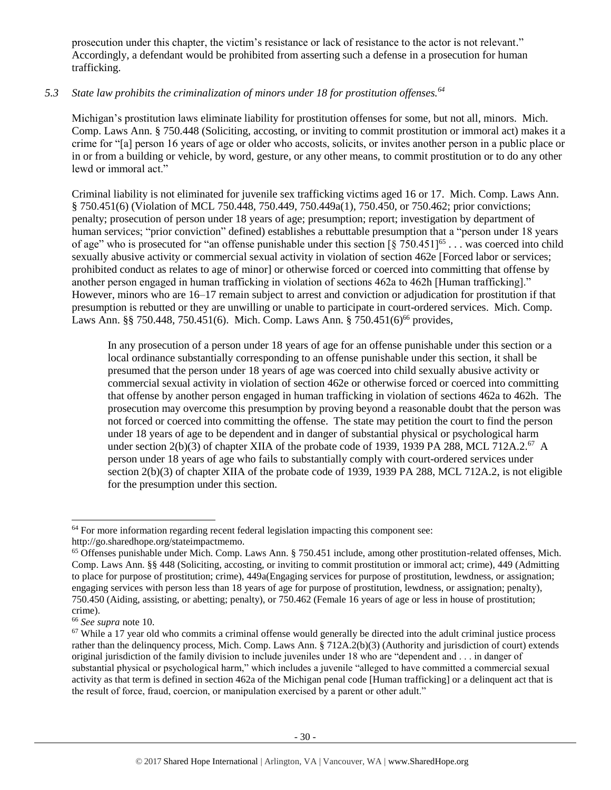prosecution under this chapter, the victim's resistance or lack of resistance to the actor is not relevant." Accordingly, a defendant would be prohibited from asserting such a defense in a prosecution for human trafficking.

# *5.3 State law prohibits the criminalization of minors under 18 for prostitution offenses.<sup>64</sup>*

Michigan's prostitution laws eliminate liability for prostitution offenses for some, but not all, minors. Mich. Comp. Laws Ann. § 750.448 (Soliciting, accosting, or inviting to commit prostitution or immoral act) makes it a crime for "[a] person 16 years of age or older who accosts, solicits, or invites another person in a public place or in or from a building or vehicle, by word, gesture, or any other means, to commit prostitution or to do any other lewd or immoral act."

Criminal liability is not eliminated for juvenile sex trafficking victims aged 16 or 17. Mich. Comp. Laws Ann. § 750.451(6) (Violation of MCL 750.448, 750.449, 750.449a(1), 750.450, or 750.462; prior convictions; penalty; prosecution of person under 18 years of age; presumption; report; investigation by department of human services; "prior conviction" defined) establishes a rebuttable presumption that a "person under 18 years of age" who is prosecuted for "an offense punishable under this section  $\left[\S$  750.451]<sup>65</sup> ... was coerced into child sexually abusive activity or commercial sexual activity in violation of section 462e [Forced labor or services; prohibited conduct as relates to age of minor] or otherwise forced or coerced into committing that offense by another person engaged in human trafficking in violation of sections 462a to 462h [Human trafficking]." However, minors who are 16–17 remain subject to arrest and conviction or adjudication for prostitution if that presumption is rebutted or they are unwilling or unable to participate in court-ordered services. Mich. Comp. Laws Ann. §§ 750.448, 750.451(6). Mich. Comp. Laws Ann. § 750.451(6)<sup>66</sup> provides,

In any prosecution of a person under 18 years of age for an offense punishable under this section or a local ordinance substantially corresponding to an offense punishable under this section, it shall be presumed that the person under 18 years of age was coerced into child sexually abusive activity or commercial sexual activity in violation of section 462e or otherwise forced or coerced into committing that offense by another person engaged in human trafficking in violation of sections 462a to 462h. The prosecution may overcome this presumption by proving beyond a reasonable doubt that the person was not forced or coerced into committing the offense. The state may petition the court to find the person under 18 years of age to be dependent and in danger of substantial physical or psychological harm under section 2(b)(3) of chapter XIIA of the probate code of 1939, 1939 PA 288, MCL 712A.2.<sup>67</sup> A person under 18 years of age who fails to substantially comply with court-ordered services under section 2(b)(3) of chapter XIIA of the probate code of 1939, 1939 PA 288, MCL 712A.2, is not eligible for the presumption under this section.

 $64$  For more information regarding recent federal legislation impacting this component see:

http://go.sharedhope.org/stateimpactmemo.

<sup>65</sup> Offenses punishable under Mich. Comp. Laws Ann. § 750.451 include, among other prostitution-related offenses, Mich. Comp. Laws Ann. §§ 448 (Soliciting, accosting, or inviting to commit prostitution or immoral act; crime), 449 (Admitting to place for purpose of prostitution; crime), 449a(Engaging services for purpose of prostitution, lewdness, or assignation; engaging services with person less than 18 years of age for purpose of prostitution, lewdness, or assignation; penalty), 750.450 (Aiding, assisting, or abetting; penalty), or 750.462 (Female 16 years of age or less in house of prostitution; crime).

<sup>66</sup> *See supra* note [10.](#page-4-0)

 $67$  While a 17 year old who commits a criminal offense would generally be directed into the adult criminal justice process rather than the delinquency process, Mich. Comp. Laws Ann. § 712A.2(b)(3) (Authority and jurisdiction of court) extends original jurisdiction of the family division to include juveniles under 18 who are "dependent and . . . in danger of substantial physical or psychological harm," which includes a juvenile "alleged to have committed a commercial sexual activity as that term is defined in section 462a of the Michigan penal code [Human trafficking] or a delinquent act that is the result of force, fraud, coercion, or manipulation exercised by a parent or other adult."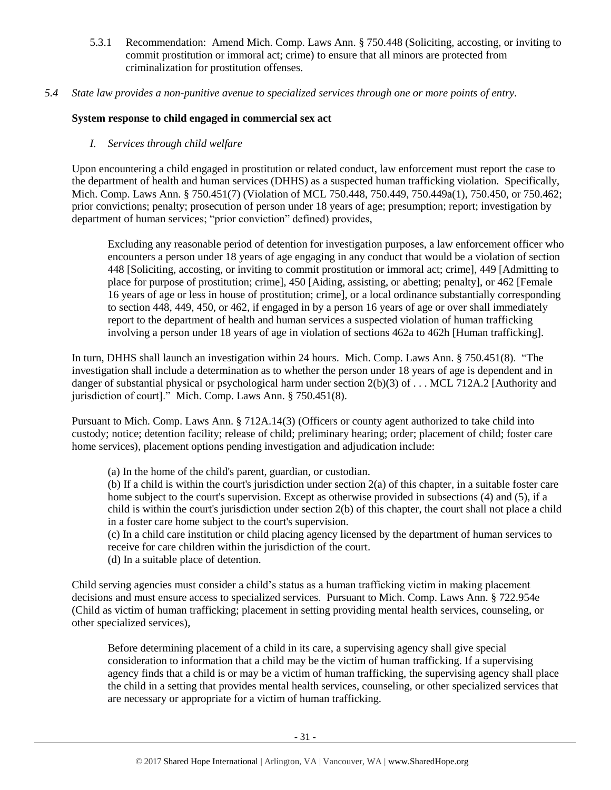- 5.3.1 Recommendation: Amend Mich. Comp. Laws Ann. § 750.448 (Soliciting, accosting, or inviting to commit prostitution or immoral act; crime) to ensure that all minors are protected from criminalization for prostitution offenses.
- *5.4 State law provides a non-punitive avenue to specialized services through one or more points of entry.*

# **System response to child engaged in commercial sex act**

# *I. Services through child welfare*

Upon encountering a child engaged in prostitution or related conduct, law enforcement must report the case to the department of health and human services (DHHS) as a suspected human trafficking violation. Specifically, Mich. Comp. Laws Ann. § 750.451(7) (Violation of MCL 750.448, 750.449, 750.449a(1), 750.450, or 750.462; prior convictions; penalty; prosecution of person under 18 years of age; presumption; report; investigation by department of human services; "prior conviction" defined) provides,

Excluding any reasonable period of detention for investigation purposes, a law enforcement officer who encounters a person under 18 years of age engaging in any conduct that would be a violation of section 448 [Soliciting, accosting, or inviting to commit prostitution or immoral act; crime], 449 [Admitting to place for purpose of prostitution; crime], 450 [Aiding, assisting, or abetting; penalty], or 462 [Female 16 years of age or less in house of prostitution; crime], or a local ordinance substantially corresponding to section 448, 449, 450, or 462, if engaged in by a person 16 years of age or over shall immediately report to the department of health and human services a suspected violation of human trafficking involving a person under 18 years of age in violation of sections 462a to 462h [Human trafficking].

In turn, DHHS shall launch an investigation within 24 hours. Mich. Comp. Laws Ann. § 750.451(8). "The investigation shall include a determination as to whether the person under 18 years of age is dependent and in danger of substantial physical or psychological harm under section 2(b)(3) of . . . MCL 712A.2 [Authority and jurisdiction of court]." Mich. Comp. Laws Ann. § 750.451(8).

Pursuant to Mich. Comp. Laws Ann. § 712A.14(3) (Officers or county agent authorized to take child into custody; notice; detention facility; release of child; preliminary hearing; order; placement of child; foster care home services), placement options pending investigation and adjudication include:

(a) In the home of the child's parent, guardian, or custodian.

(b) If a child is within the court's jurisdiction under section 2(a) of this chapter, in a suitable foster care home subject to the court's supervision. Except as otherwise provided in subsections (4) and (5), if a child is within the court's jurisdiction under section 2(b) of this chapter, the court shall not place a child in a foster care home subject to the court's supervision.

(c) In a child care institution or child placing agency licensed by the department of human services to receive for care children within the jurisdiction of the court.

(d) In a suitable place of detention.

Child serving agencies must consider a child's status as a human trafficking victim in making placement decisions and must ensure access to specialized services. Pursuant to Mich. Comp. Laws Ann. § 722.954e (Child as victim of human trafficking; placement in setting providing mental health services, counseling, or other specialized services),

Before determining placement of a child in its care, a supervising agency shall give special consideration to information that a child may be the victim of human trafficking. If a supervising agency finds that a child is or may be a victim of human trafficking, the supervising agency shall place the child in a setting that provides mental health services, counseling, or other specialized services that are necessary or appropriate for a victim of human trafficking.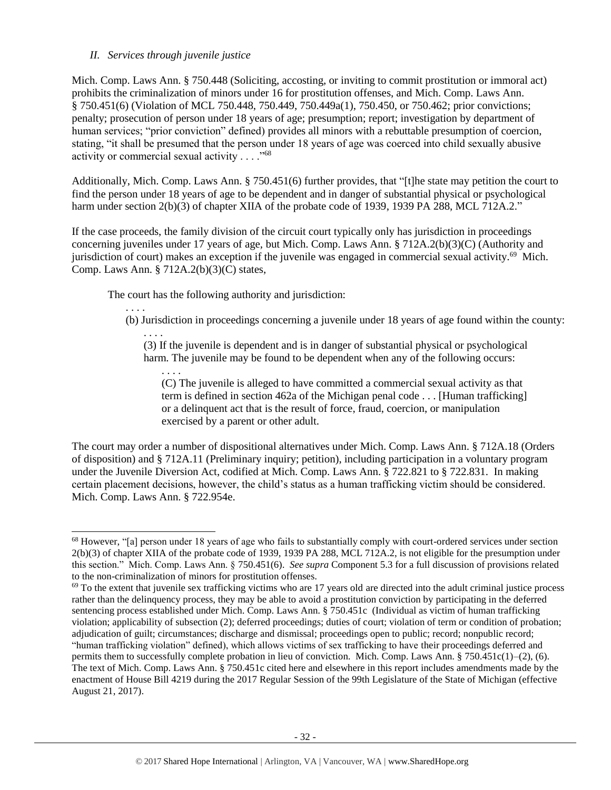# *II. Services through juvenile justice*

. . . .

l

Mich. Comp. Laws Ann. § 750.448 (Soliciting, accosting, or inviting to commit prostitution or immoral act) prohibits the criminalization of minors under 16 for prostitution offenses, and Mich. Comp. Laws Ann. § 750.451(6) (Violation of MCL 750.448, 750.449, 750.449a(1), 750.450, or 750.462; prior convictions; penalty; prosecution of person under 18 years of age; presumption; report; investigation by department of human services; "prior conviction" defined) provides all minors with a rebuttable presumption of coercion, stating, "it shall be presumed that the person under 18 years of age was coerced into child sexually abusive activity or commercial sexual activity  $\ldots$ ."<sup>68</sup>

Additionally, Mich. Comp. Laws Ann. § 750.451(6) further provides, that "[t]he state may petition the court to find the person under 18 years of age to be dependent and in danger of substantial physical or psychological harm under section 2(b)(3) of chapter XIIA of the probate code of 1939, 1939 PA 288, MCL 712A.2."

If the case proceeds, the family division of the circuit court typically only has jurisdiction in proceedings concerning juveniles under 17 years of age, but Mich. Comp. Laws Ann. § 712A.2(b)(3)(C) (Authority and jurisdiction of court) makes an exception if the juvenile was engaged in commercial sexual activity.<sup>69</sup> Mich. Comp. Laws Ann. § 712A.2(b)(3)(C) states,

The court has the following authority and jurisdiction:

(b) Jurisdiction in proceedings concerning a juvenile under 18 years of age found within the county:

. . . . (3) If the juvenile is dependent and is in danger of substantial physical or psychological harm. The juvenile may be found to be dependent when any of the following occurs:

. . . . (C) The juvenile is alleged to have committed a commercial sexual activity as that term is defined in section 462a of the Michigan penal code . . . [Human trafficking] or a delinquent act that is the result of force, fraud, coercion, or manipulation exercised by a parent or other adult.

The court may order a number of dispositional alternatives under Mich. Comp. Laws Ann. § 712A.18 (Orders of disposition) and § 712A.11 (Preliminary inquiry; petition), including participation in a voluntary program under the Juvenile Diversion Act, codified at Mich. Comp. Laws Ann. § 722.821 to § 722.831. In making certain placement decisions, however, the child's status as a human trafficking victim should be considered. Mich. Comp. Laws Ann. § 722.954e.

<sup>68</sup> However, "[a] person under 18 years of age who fails to substantially comply with court-ordered services under section 2(b)(3) of chapter XIIA of the probate code of 1939, 1939 PA 288, MCL 712A.2, is not eligible for the presumption under this section." Mich. Comp. Laws Ann. § 750.451(6). *See supra* Component 5.3 for a full discussion of provisions related to the non-criminalization of minors for prostitution offenses.

 $69$  To the extent that juvenile sex trafficking victims who are 17 years old are directed into the adult criminal justice process rather than the delinquency process, they may be able to avoid a prostitution conviction by participating in the deferred sentencing process established under Mich. Comp. Laws Ann. § 750.451c (Individual as victim of human trafficking violation; applicability of subsection (2); deferred proceedings; duties of court; violation of term or condition of probation; adjudication of guilt; circumstances; discharge and dismissal; proceedings open to public; record; nonpublic record; "human trafficking violation" defined), which allows victims of sex trafficking to have their proceedings deferred and permits them to successfully complete probation in lieu of conviction. Mich. Comp. Laws Ann.  $\S 750.451c(1)–(2)$ , (6). The text of Mich. Comp. Laws Ann. § 750.451c cited here and elsewhere in this report includes amendments made by the enactment of House Bill 4219 during the 2017 Regular Session of the 99th Legislature of the State of Michigan (effective August 21, 2017).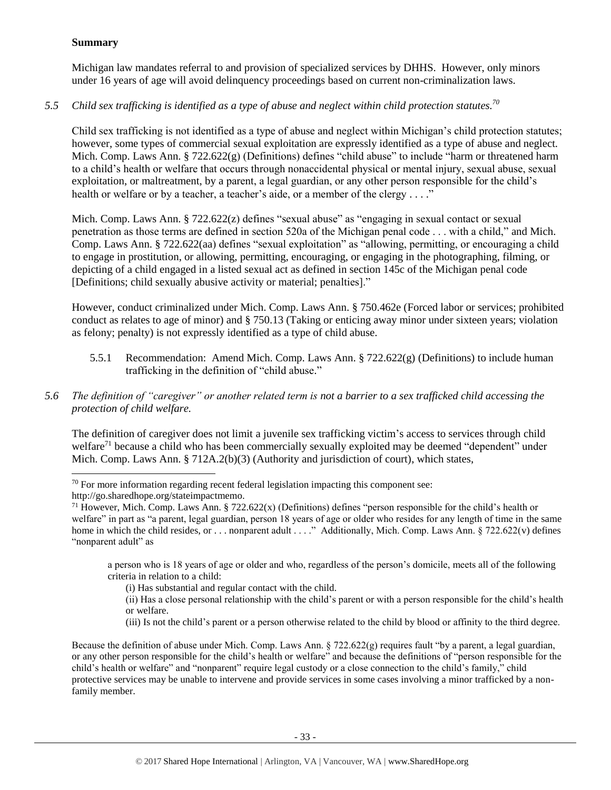# **Summary**

Michigan law mandates referral to and provision of specialized services by DHHS. However, only minors under 16 years of age will avoid delinquency proceedings based on current non-criminalization laws.

# *5.5 Child sex trafficking is identified as a type of abuse and neglect within child protection statutes. 70*

Child sex trafficking is not identified as a type of abuse and neglect within Michigan's child protection statutes; however, some types of commercial sexual exploitation are expressly identified as a type of abuse and neglect. Mich. Comp. Laws Ann. § 722.622(g) (Definitions) defines "child abuse" to include "harm or threatened harm to a child's health or welfare that occurs through nonaccidental physical or mental injury, sexual abuse, sexual exploitation, or maltreatment, by a parent, a legal guardian, or any other person responsible for the child's health or welfare or by a teacher, a teacher's aide, or a member of the clergy . . . ."

Mich. Comp. Laws Ann. § 722.622(z) defines "sexual abuse" as "engaging in sexual contact or sexual penetration as those terms are defined in section 520a of the Michigan penal code . . . with a child," and Mich. Comp. Laws Ann. § 722.622(aa) defines "sexual exploitation" as "allowing, permitting, or encouraging a child to engage in prostitution, or allowing, permitting, encouraging, or engaging in the photographing, filming, or depicting of a child engaged in a listed sexual act as defined in section 145c of the Michigan penal code [Definitions; child sexually abusive activity or material; penalties]."

However, conduct criminalized under Mich. Comp. Laws Ann. § 750.462e (Forced labor or services; prohibited conduct as relates to age of minor) and § 750.13 (Taking or enticing away minor under sixteen years; violation as felony; penalty) is not expressly identified as a type of child abuse.

5.5.1 Recommendation: Amend Mich. Comp. Laws Ann.  $\S 722.622(g)$  (Definitions) to include human trafficking in the definition of "child abuse."

# *5.6 The definition of "caregiver" or another related term is not a barrier to a sex trafficked child accessing the protection of child welfare.*

The definition of caregiver does not limit a juvenile sex trafficking victim's access to services through child welfare<sup>71</sup> because a child who has been commercially sexually exploited may be deemed "dependent" under Mich. Comp. Laws Ann. § 712A.2(b)(3) (Authority and jurisdiction of court), which states,

 $\overline{a}$ 

a person who is 18 years of age or older and who, regardless of the person's domicile, meets all of the following criteria in relation to a child:

(iii) Is not the child's parent or a person otherwise related to the child by blood or affinity to the third degree.

Because the definition of abuse under Mich. Comp. Laws Ann. § 722.622(g) requires fault "by a parent, a legal guardian, or any other person responsible for the child's health or welfare" and because the definitions of "person responsible for the child's health or welfare" and "nonparent" require legal custody or a close connection to the child's family," child protective services may be unable to intervene and provide services in some cases involving a minor trafficked by a nonfamily member.

 $70$  For more information regarding recent federal legislation impacting this component see:

http://go.sharedhope.org/stateimpactmemo.

<sup>&</sup>lt;sup>71</sup> However, Mich. Comp. Laws Ann. § 722.622(x) (Definitions) defines "person responsible for the child's health or welfare" in part as "a parent, legal guardian, person 18 years of age or older who resides for any length of time in the same home in which the child resides, or . . . nonparent adult . . . ." Additionally, Mich. Comp. Laws Ann. § 722.622(v) defines "nonparent adult" as

<sup>(</sup>i) Has substantial and regular contact with the child.

<sup>(</sup>ii) Has a close personal relationship with the child's parent or with a person responsible for the child's health or welfare.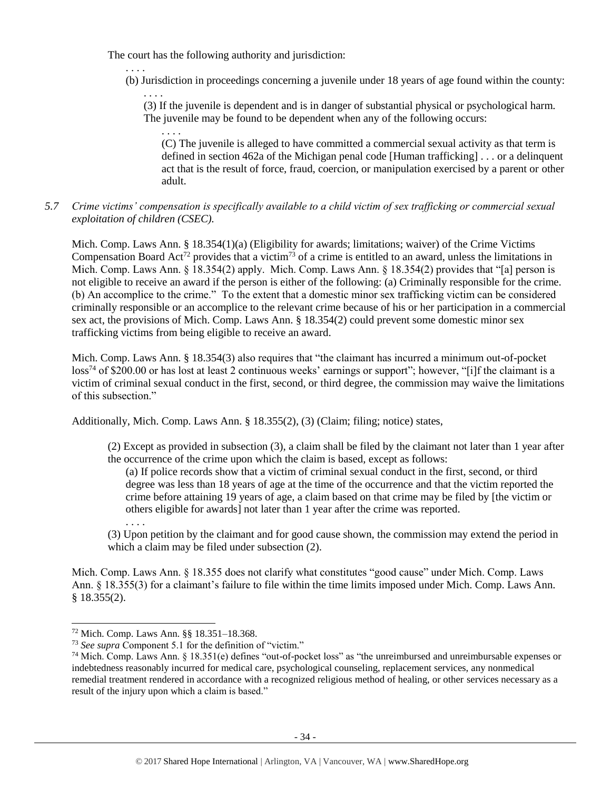The court has the following authority and jurisdiction:

. . . .

. . . . (b) Jurisdiction in proceedings concerning a juvenile under 18 years of age found within the county:

. . . . (3) If the juvenile is dependent and is in danger of substantial physical or psychological harm. The juvenile may be found to be dependent when any of the following occurs:

(C) The juvenile is alleged to have committed a commercial sexual activity as that term is defined in section 462a of the Michigan penal code [Human trafficking] . . . or a delinquent act that is the result of force, fraud, coercion, or manipulation exercised by a parent or other adult.

# *5.7 Crime victims' compensation is specifically available to a child victim of sex trafficking or commercial sexual exploitation of children (CSEC).*

Mich. Comp. Laws Ann. § 18.354(1)(a) (Eligibility for awards; limitations; waiver) of the Crime Victims Compensation Board Act<sup>72</sup> provides that a victim<sup>73</sup> of a crime is entitled to an award, unless the limitations in Mich. Comp. Laws Ann. § 18.354(2) apply. Mich. Comp. Laws Ann. § 18.354(2) provides that "[a] person is not eligible to receive an award if the person is either of the following: (a) Criminally responsible for the crime. (b) An accomplice to the crime." To the extent that a domestic minor sex trafficking victim can be considered criminally responsible or an accomplice to the relevant crime because of his or her participation in a commercial sex act, the provisions of Mich. Comp. Laws Ann. § 18.354(2) could prevent some domestic minor sex trafficking victims from being eligible to receive an award.

Mich. Comp. Laws Ann. § 18.354(3) also requires that "the claimant has incurred a minimum out-of-pocket loss<sup>74</sup> of \$200.00 or has lost at least 2 continuous weeks' earnings or support"; however, "[i]f the claimant is a victim of criminal sexual conduct in the first, second, or third degree, the commission may waive the limitations of this subsection."

Additionally, Mich. Comp. Laws Ann. § 18.355(2), (3) (Claim; filing; notice) states,

(2) Except as provided in subsection (3), a claim shall be filed by the claimant not later than 1 year after the occurrence of the crime upon which the claim is based, except as follows:

(a) If police records show that a victim of criminal sexual conduct in the first, second, or third degree was less than 18 years of age at the time of the occurrence and that the victim reported the crime before attaining 19 years of age, a claim based on that crime may be filed by [the victim or others eligible for awards] not later than 1 year after the crime was reported.

(3) Upon petition by the claimant and for good cause shown, the commission may extend the period in which a claim may be filed under subsection (2).

Mich. Comp. Laws Ann. § 18.355 does not clarify what constitutes "good cause" under Mich. Comp. Laws Ann. § 18.355(3) for a claimant's failure to file within the time limits imposed under Mich. Comp. Laws Ann. § 18.355(2).

. . . .

<sup>72</sup> Mich. Comp. Laws Ann. §§ 18.351–18.368.

<sup>73</sup> *See supra* Component 5.1 for the definition of "victim."

 $74$  Mich. Comp. Laws Ann. § 18.351(e) defines "out-of-pocket loss" as "the unreimbursed and unreimbursable expenses or indebtedness reasonably incurred for medical care, psychological counseling, replacement services, any nonmedical remedial treatment rendered in accordance with a recognized religious method of healing, or other services necessary as a result of the injury upon which a claim is based."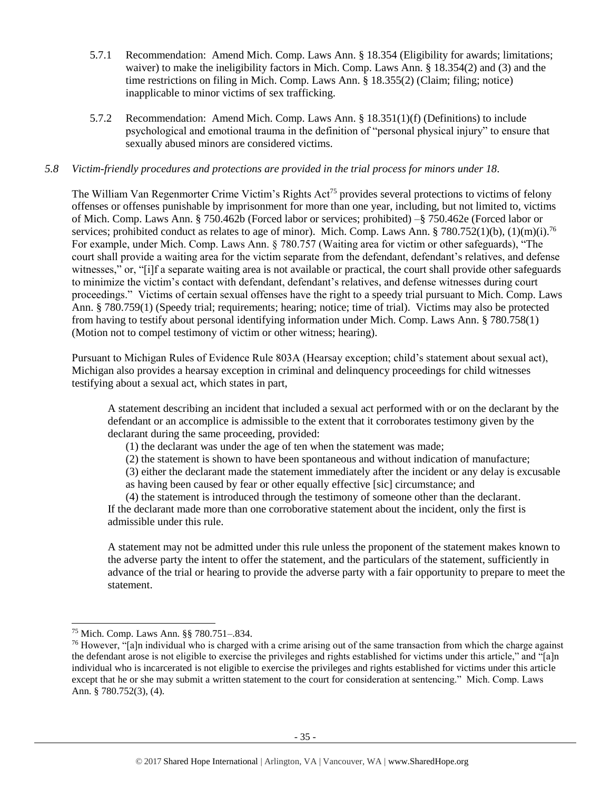- 5.7.1 Recommendation: Amend Mich. Comp. Laws Ann. § 18.354 (Eligibility for awards; limitations; waiver) to make the ineligibility factors in Mich. Comp. Laws Ann. § 18.354(2) and (3) and the time restrictions on filing in Mich. Comp. Laws Ann. § 18.355(2) (Claim; filing; notice) inapplicable to minor victims of sex trafficking.
- 5.7.2 Recommendation: Amend Mich. Comp. Laws Ann. § 18.351(1)(f) (Definitions) to include psychological and emotional trauma in the definition of "personal physical injury" to ensure that sexually abused minors are considered victims.

## *5.8 Victim-friendly procedures and protections are provided in the trial process for minors under 18.*

The William Van Regenmorter Crime Victim's Rights Act<sup>75</sup> provides several protections to victims of felony offenses or offenses punishable by imprisonment for more than one year, including, but not limited to, victims of Mich. Comp. Laws Ann. § 750.462b (Forced labor or services; prohibited) –§ 750.462e (Forced labor or services; prohibited conduct as relates to age of minor). Mich. Comp. Laws Ann. § 780.752(1)(b), (1)(m)(i).<sup>76</sup> For example, under Mich. Comp. Laws Ann. § 780.757 (Waiting area for victim or other safeguards), "The court shall provide a waiting area for the victim separate from the defendant, defendant's relatives, and defense witnesses," or, "[i]f a separate waiting area is not available or practical, the court shall provide other safeguards to minimize the victim's contact with defendant, defendant's relatives, and defense witnesses during court proceedings." Victims of certain sexual offenses have the right to a speedy trial pursuant to Mich. Comp. Laws Ann. § 780.759(1) (Speedy trial; requirements; hearing; notice; time of trial). Victims may also be protected from having to testify about personal identifying information under Mich. Comp. Laws Ann. § 780.758(1) (Motion not to compel testimony of victim or other witness; hearing).

Pursuant to Michigan Rules of Evidence Rule 803A (Hearsay exception; child's statement about sexual act), Michigan also provides a hearsay exception in criminal and delinquency proceedings for child witnesses testifying about a sexual act, which states in part,

A statement describing an incident that included a sexual act performed with or on the declarant by the defendant or an accomplice is admissible to the extent that it corroborates testimony given by the declarant during the same proceeding, provided:

(1) the declarant was under the age of ten when the statement was made;

(2) the statement is shown to have been spontaneous and without indication of manufacture;

(3) either the declarant made the statement immediately after the incident or any delay is excusable as having been caused by fear or other equally effective [sic] circumstance; and

(4) the statement is introduced through the testimony of someone other than the declarant.

If the declarant made more than one corroborative statement about the incident, only the first is admissible under this rule.

A statement may not be admitted under this rule unless the proponent of the statement makes known to the adverse party the intent to offer the statement, and the particulars of the statement, sufficiently in advance of the trial or hearing to provide the adverse party with a fair opportunity to prepare to meet the statement.

<sup>75</sup> Mich. Comp. Laws Ann. §§ 780.751–.834.

<sup>&</sup>lt;sup>76</sup> However, "[a]n individual who is charged with a crime arising out of the same transaction from which the charge against the defendant arose is not eligible to exercise the privileges and rights established for victims under this article," and "[a]n individual who is incarcerated is not eligible to exercise the privileges and rights established for victims under this article except that he or she may submit a written statement to the court for consideration at sentencing." Mich. Comp. Laws Ann. § 780.752(3), (4).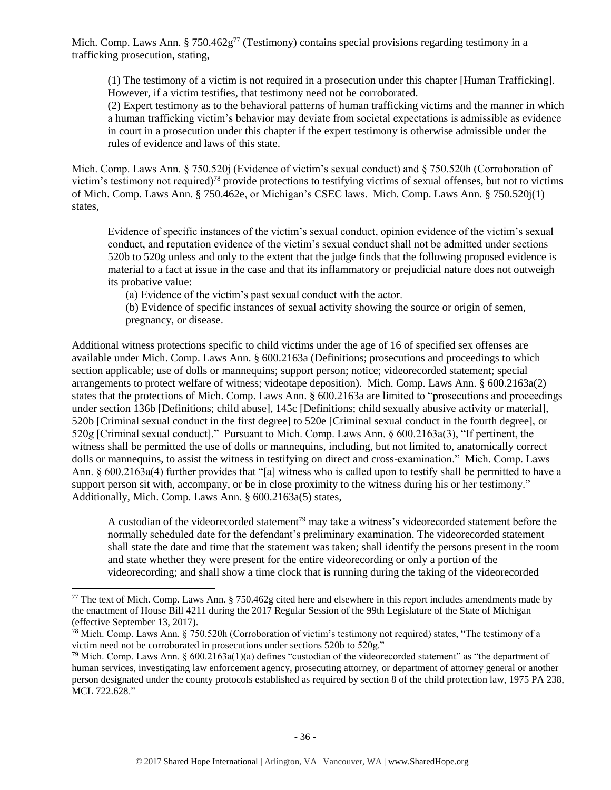Mich. Comp. Laws Ann. § 750.462 $g^{77}$  (Testimony) contains special provisions regarding testimony in a trafficking prosecution, stating,

(1) The testimony of a victim is not required in a prosecution under this chapter [Human Trafficking]. However, if a victim testifies, that testimony need not be corroborated.

(2) Expert testimony as to the behavioral patterns of human trafficking victims and the manner in which a human trafficking victim's behavior may deviate from societal expectations is admissible as evidence in court in a prosecution under this chapter if the expert testimony is otherwise admissible under the rules of evidence and laws of this state.

Mich. Comp. Laws Ann. § 750.520j (Evidence of victim's sexual conduct) and § 750.520h (Corroboration of victim's testimony not required)<sup>78</sup> provide protections to testifying victims of sexual offenses, but not to victims of Mich. Comp. Laws Ann. § 750.462e, or Michigan's CSEC laws. Mich. Comp. Laws Ann. § 750.520j(1) states,

Evidence of specific instances of the victim's sexual conduct, opinion evidence of the victim's sexual conduct, and reputation evidence of the victim's sexual conduct shall not be admitted under sections 520b to 520g unless and only to the extent that the judge finds that the following proposed evidence is material to a fact at issue in the case and that its inflammatory or prejudicial nature does not outweigh its probative value:

(a) Evidence of the victim's past sexual conduct with the actor.

(b) Evidence of specific instances of sexual activity showing the source or origin of semen, pregnancy, or disease.

Additional witness protections specific to child victims under the age of 16 of specified sex offenses are available under Mich. Comp. Laws Ann. § 600.2163a (Definitions; prosecutions and proceedings to which section applicable; use of dolls or mannequins; support person; notice; videorecorded statement; special arrangements to protect welfare of witness; videotape deposition). Mich. Comp. Laws Ann. § 600.2163a(2) states that the protections of Mich. Comp. Laws Ann. § 600.2163a are limited to "prosecutions and proceedings under section 136b [Definitions; child abuse], 145c [Definitions; child sexually abusive activity or material], 520b [Criminal sexual conduct in the first degree] to 520e [Criminal sexual conduct in the fourth degree], or 520g [Criminal sexual conduct]." Pursuant to Mich. Comp. Laws Ann. § 600.2163a(3), "If pertinent, the witness shall be permitted the use of dolls or mannequins, including, but not limited to, anatomically correct dolls or mannequins, to assist the witness in testifying on direct and cross-examination." Mich. Comp. Laws Ann. § 600.2163a(4) further provides that "[a] witness who is called upon to testify shall be permitted to have a support person sit with, accompany, or be in close proximity to the witness during his or her testimony." Additionally, Mich. Comp. Laws Ann. § 600.2163a(5) states,

A custodian of the videorecorded statement<sup>79</sup> may take a witness's videorecorded statement before the normally scheduled date for the defendant's preliminary examination. The videorecorded statement shall state the date and time that the statement was taken; shall identify the persons present in the room and state whether they were present for the entire videorecording or only a portion of the videorecording; and shall show a time clock that is running during the taking of the videorecorded

<sup>&</sup>lt;sup>77</sup> The text of Mich. Comp. Laws Ann. § 750.462g cited here and elsewhere in this report includes amendments made by the enactment of House Bill 4211 during the 2017 Regular Session of the 99th Legislature of the State of Michigan (effective September 13, 2017).

<sup>&</sup>lt;sup>78</sup> Mich. Comp. Laws Ann. § 750.520h (Corroboration of victim's testimony not required) states, "The testimony of a victim need not be corroborated in prosecutions under sections 520b to 520g."

<sup>&</sup>lt;sup>79</sup> Mich. Comp. Laws Ann.  $\S 600.2163a(1)(a)$  defines "custodian of the videorecorded statement" as "the department of human services, investigating law enforcement agency, prosecuting attorney, or department of attorney general or another person designated under the county protocols established as required by section 8 of the child protection law, 1975 PA 238, [MCL 722.628.](https://www.lexis.com/research/buttonTFLink?_m=667b361992caab280f00d1e1265c8d77&_xfercite=%3ccite%20cc%3d%22USA%22%3e%3c%21%5bCDATA%5bMCLS%20%a7%20600.2163a%5d%5d%3e%3c%2fcite%3e&_butType=4&_butStat=0&_butNum=3&_butInline=1&_butinfo=MICODE%20722.628&_fmtstr=FULL&docnum=1&_startdoc=1&wchp=dGLbVzt-zSkAA&_md5=60270760332353995386710bada62b4a)"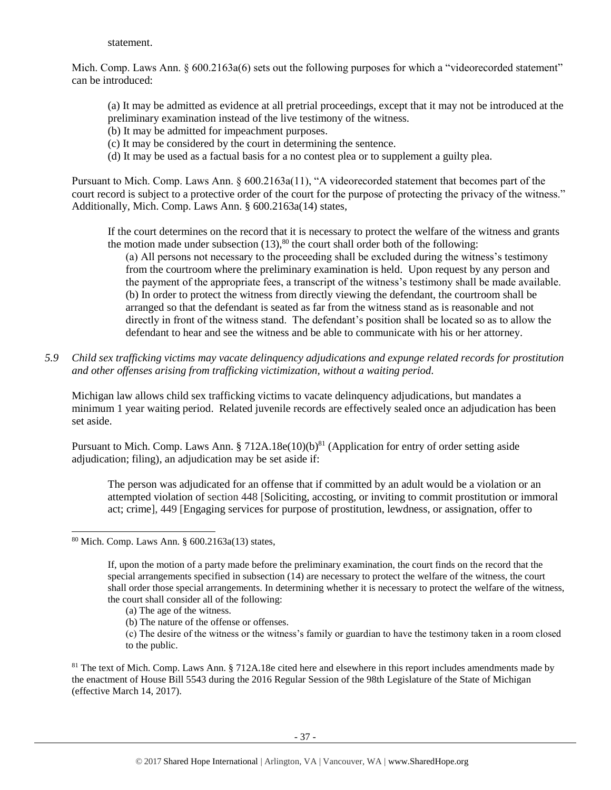statement.

Mich. Comp. Laws Ann. § 600.2163a(6) sets out the following purposes for which a "videorecorded statement" can be introduced:

(a) It may be admitted as evidence at all pretrial proceedings, except that it may not be introduced at the preliminary examination instead of the live testimony of the witness.

- (b) It may be admitted for impeachment purposes.
- (c) It may be considered by the court in determining the sentence.
- (d) It may be used as a factual basis for a no contest plea or to supplement a guilty plea.

Pursuant to Mich. Comp. Laws Ann. § 600.2163a(11), "A videorecorded statement that becomes part of the court record is subject to a protective order of the court for the purpose of protecting the privacy of the witness." Additionally, Mich. Comp. Laws Ann. § 600.2163a(14) states,

If the court determines on the record that it is necessary to protect the welfare of the witness and grants the motion made under subsection  $(13)$ ,<sup>80</sup> the court shall order both of the following:

(a) All persons not necessary to the proceeding shall be excluded during the witness's testimony from the courtroom where the preliminary examination is held. Upon request by any person and the payment of the appropriate fees, a transcript of the witness's testimony shall be made available. (b) In order to protect the witness from directly viewing the defendant, the courtroom shall be arranged so that the defendant is seated as far from the witness stand as is reasonable and not directly in front of the witness stand. The defendant's position shall be located so as to allow the defendant to hear and see the witness and be able to communicate with his or her attorney.

*5.9 Child sex trafficking victims may vacate delinquency adjudications and expunge related records for prostitution and other offenses arising from trafficking victimization, without a waiting period.*

Michigan law allows child sex trafficking victims to vacate delinquency adjudications, but mandates a minimum 1 year waiting period. Related juvenile records are effectively sealed once an adjudication has been set aside.

Pursuant to Mich. Comp. Laws Ann. § 712A.18e(10)(b)<sup>81</sup> (Application for entry of order setting aside adjudication; filing), an adjudication may be set aside if:

The person was adjudicated for an offense that if committed by an adult would be a violation or an attempted violation of section 448 [Soliciting, accosting, or inviting to commit prostitution or immoral act; crime], 449 [Engaging services for purpose of prostitution, lewdness, or assignation, offer to

l

- (a) The age of the witness.
- (b) The nature of the offense or offenses.

<sup>80</sup> Mich. Comp. Laws Ann. § 600.2163a(13) states,

If, upon the motion of a party made before the preliminary examination, the court finds on the record that the special arrangements specified in subsection (14) are necessary to protect the welfare of the witness, the court shall order those special arrangements. In determining whether it is necessary to protect the welfare of the witness, the court shall consider all of the following:

<sup>(</sup>c) The desire of the witness or the witness's family or guardian to have the testimony taken in a room closed to the public.

 $81$  The text of Mich. Comp. Laws Ann. § 712A.18e cited here and elsewhere in this report includes amendments made by the enactment of House Bill 5543 during the 2016 Regular Session of the 98th Legislature of the State of Michigan (effective March 14, 2017).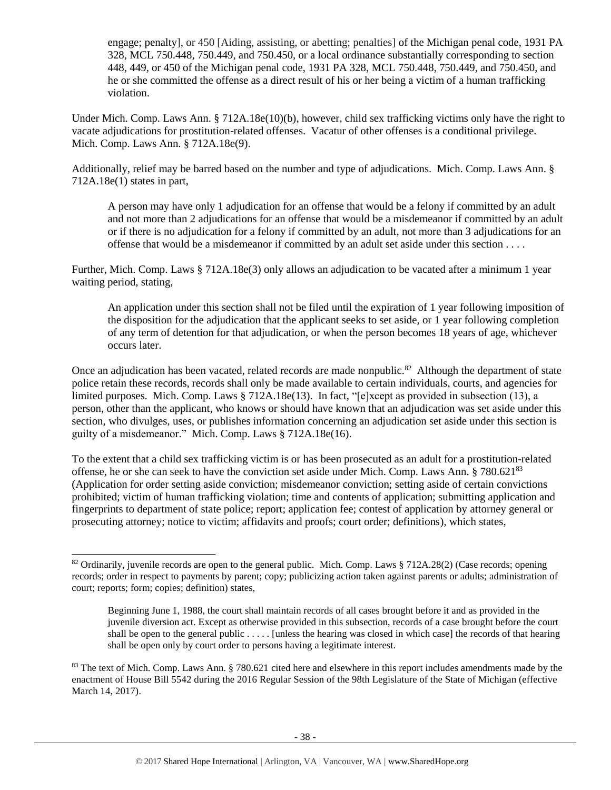engage; penalty], or 450 [Aiding, assisting, or abetting; penalties] of the Michigan penal code, 1931 PA 328, MCL 750.448, 750.449, and 750.450, or a local ordinance substantially corresponding to section 448, 449, or 450 of the Michigan penal code, 1931 PA 328, MCL 750.448, 750.449, and 750.450, and he or she committed the offense as a direct result of his or her being a victim of a human trafficking violation.

Under Mich. Comp. Laws Ann. § 712A.18e(10)(b), however, child sex trafficking victims only have the right to vacate adjudications for prostitution-related offenses. Vacatur of other offenses is a conditional privilege. Mich. Comp. Laws Ann. § 712A.18e(9).

Additionally, relief may be barred based on the number and type of adjudications. Mich. Comp. Laws Ann. § 712A.18e(1) states in part,

A person may have only 1 adjudication for an offense that would be a felony if committed by an adult and not more than 2 adjudications for an offense that would be a misdemeanor if committed by an adult or if there is no adjudication for a felony if committed by an adult, not more than 3 adjudications for an offense that would be a misdemeanor if committed by an adult set aside under this section . . . .

Further, Mich. Comp. Laws § 712A.18e(3) only allows an adjudication to be vacated after a minimum 1 year waiting period, stating,

An application under this section shall not be filed until the expiration of 1 year following imposition of the disposition for the adjudication that the applicant seeks to set aside, or 1 year following completion of any term of detention for that adjudication, or when the person becomes 18 years of age, whichever occurs later.

Once an adjudication has been vacated, related records are made nonpublic.<sup>82</sup> Although the department of state police retain these records, records shall only be made available to certain individuals, courts, and agencies for limited purposes. Mich. Comp. Laws § 712A.18e(13). In fact, "[e]xcept as provided in subsection (13), a person, other than the applicant, who knows or should have known that an adjudication was set aside under this section, who divulges, uses, or publishes information concerning an adjudication set aside under this section is guilty of a misdemeanor." Mich. Comp. Laws § 712A.18e(16).

To the extent that a child sex trafficking victim is or has been prosecuted as an adult for a prostitution-related offense, he or she can seek to have the conviction set aside under Mich. Comp. Laws Ann. § 780.621<sup>83</sup> (Application for order setting aside conviction; misdemeanor conviction; setting aside of certain convictions prohibited; victim of human trafficking violation; time and contents of application; submitting application and fingerprints to department of state police; report; application fee; contest of application by attorney general or prosecuting attorney; notice to victim; affidavits and proofs; court order; definitions), which states,

<sup>&</sup>lt;sup>82</sup> Ordinarily, juvenile records are open to the general public. Mich. Comp. Laws  $\S 712A.28(2)$  (Case records; opening records; order in respect to payments by parent; copy; publicizing action taken against parents or adults; administration of court; reports; form; copies; definition) states,

Beginning June 1, 1988, the court shall maintain records of all cases brought before it and as provided in the juvenile diversion act. Except as otherwise provided in this subsection, records of a case brought before the court shall be open to the general public . . . . . [unless the hearing was closed in which case] the records of that hearing shall be open only by court order to persons having a legitimate interest.

 $83$  The text of Mich. Comp. Laws Ann. § 780.621 cited here and elsewhere in this report includes amendments made by the enactment of House Bill 5542 during the 2016 Regular Session of the 98th Legislature of the State of Michigan (effective March 14, 2017).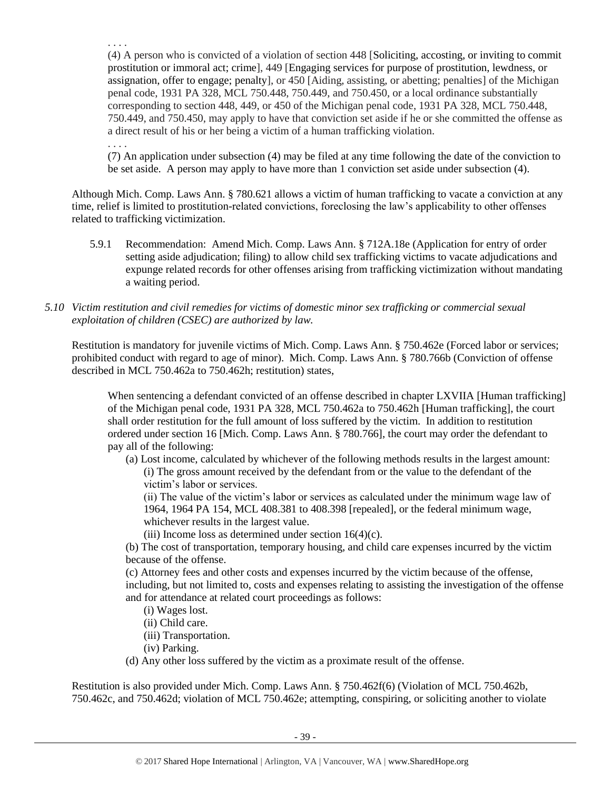. . . . (4) A person who is convicted of a violation of section 448 [Soliciting, accosting, or inviting to commit prostitution or immoral act; crime], 449 [Engaging services for purpose of prostitution, lewdness, or assignation, offer to engage; penalty], or 450 [Aiding, assisting, or abetting; penalties] of the Michigan penal code, 1931 PA 328, MCL 750.448, 750.449, and 750.450, or a local ordinance substantially corresponding to section 448, 449, or 450 of the Michigan penal code, 1931 PA 328, MCL 750.448, 750.449, and 750.450, may apply to have that conviction set aside if he or she committed the offense as a direct result of his or her being a victim of a human trafficking violation.

(7) An application under subsection (4) may be filed at any time following the date of the conviction to be set aside. A person may apply to have more than 1 conviction set aside under subsection (4).

Although Mich. Comp. Laws Ann. § 780.621 allows a victim of human trafficking to vacate a conviction at any time, relief is limited to prostitution-related convictions, foreclosing the law's applicability to other offenses related to trafficking victimization.

- 5.9.1 Recommendation: Amend Mich. Comp. Laws Ann. § 712A.18e (Application for entry of order setting aside adjudication; filing) to allow child sex trafficking victims to vacate adjudications and expunge related records for other offenses arising from trafficking victimization without mandating a waiting period.
- *5.10 Victim restitution and civil remedies for victims of domestic minor sex trafficking or commercial sexual exploitation of children (CSEC) are authorized by law.*

Restitution is mandatory for juvenile victims of Mich. Comp. Laws Ann. § 750.462e (Forced labor or services; prohibited conduct with regard to age of minor). Mich. Comp. Laws Ann. § 780.766b (Conviction of offense described in MCL 750.462a to 750.462h; restitution) states,

When sentencing a defendant convicted of an offense described in chapter LXVIIA [Human trafficking] of the Michigan penal code, 1931 PA 328, MCL 750.462a to 750.462h [Human trafficking], the court shall order restitution for the full amount of loss suffered by the victim. In addition to restitution ordered under section 16 [Mich. Comp. Laws Ann. § 780.766], the court may order the defendant to pay all of the following:

(a) Lost income, calculated by whichever of the following methods results in the largest amount: (i) The gross amount received by the defendant from or the value to the defendant of the victim's labor or services.

(ii) The value of the victim's labor or services as calculated under the minimum wage law of 1964, 1964 PA 154, MCL 408.381 to 408.398 [repealed], or the federal minimum wage, whichever results in the largest value.

(iii) Income loss as determined under section 16(4)(c).

(b) The cost of transportation, temporary housing, and child care expenses incurred by the victim because of the offense.

(c) Attorney fees and other costs and expenses incurred by the victim because of the offense, including, but not limited to, costs and expenses relating to assisting the investigation of the offense and for attendance at related court proceedings as follows:

- (i) Wages lost.
- (ii) Child care.

. . . .

- (iii) Transportation.
- (iv) Parking.
- (d) Any other loss suffered by the victim as a proximate result of the offense.

Restitution is also provided under Mich. Comp. Laws Ann. § 750.462f(6) (Violation of MCL 750.462b, 750.462c, and 750.462d; violation of MCL 750.462e; attempting, conspiring, or soliciting another to violate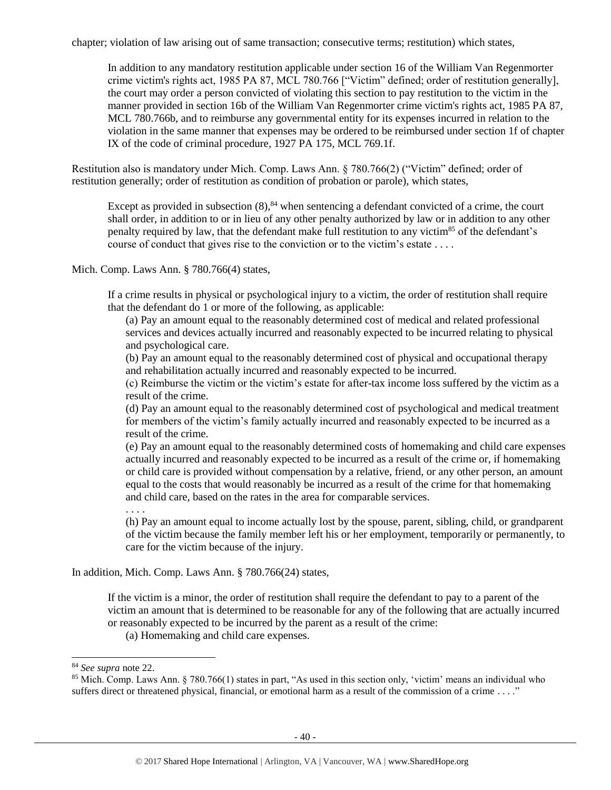chapter; violation of law arising out of same transaction; consecutive terms; restitution) which states,

In addition to any mandatory restitution applicable under section 16 of the William Van Regenmorter crime victim's rights act, 1985 PA 87, MCL 780.766 ["Victim" defined; order of restitution generally], the court may order a person convicted of violating this section to pay restitution to the victim in the manner provided in section 16b of the William Van Regenmorter crime victim's rights act, 1985 PA 87, MCL 780.766b, and to reimburse any governmental entity for its expenses incurred in relation to the violation in the same manner that expenses may be ordered to be reimbursed under section 1f of chapter IX of the code of criminal procedure, 1927 PA 175, MCL 769.1f.

Restitution also is mandatory under Mich. Comp. Laws Ann. § 780.766(2) ("Victim" defined; order of restitution generally; order of restitution as condition of probation or parole), which states,

Except as provided in subsection  $(8)$ ,  $84$  when sentencing a defendant convicted of a crime, the court shall order, in addition to or in lieu of any other penalty authorized by law or in addition to any other penalty required by law, that the defendant make full restitution to any victim<sup>85</sup> of the defendant's course of conduct that gives rise to the conviction or to the victim's estate . . . .

Mich. Comp. Laws Ann. § 780.766(4) states,

If a crime results in physical or psychological injury to a victim, the order of restitution shall require that the defendant do 1 or more of the following, as applicable:

(a) Pay an amount equal to the reasonably determined cost of medical and related professional services and devices actually incurred and reasonably expected to be incurred relating to physical and psychological care.

(b) Pay an amount equal to the reasonably determined cost of physical and occupational therapy and rehabilitation actually incurred and reasonably expected to be incurred.

(c) Reimburse the victim or the victim's estate for after-tax income loss suffered by the victim as a result of the crime.

(d) Pay an amount equal to the reasonably determined cost of psychological and medical treatment for members of the victim's family actually incurred and reasonably expected to be incurred as a result of the crime.

(e) Pay an amount equal to the reasonably determined costs of homemaking and child care expenses actually incurred and reasonably expected to be incurred as a result of the crime or, if homemaking or child care is provided without compensation by a relative, friend, or any other person, an amount equal to the costs that would reasonably be incurred as a result of the crime for that homemaking and child care, based on the rates in the area for comparable services.

. . . .

(h) Pay an amount equal to income actually lost by the spouse, parent, sibling, child, or grandparent of the victim because the family member left his or her employment, temporarily or permanently, to care for the victim because of the injury.

In addition, Mich. Comp. Laws Ann. § 780.766(24) states,

If the victim is a minor, the order of restitution shall require the defendant to pay to a parent of the victim an amount that is determined to be reasonable for any of the following that are actually incurred or reasonably expected to be incurred by the parent as a result of the crime:

(a) Homemaking and child care expenses.

<sup>84</sup> *See supra* note [22.](#page-11-0)

<sup>85</sup> Mich. Comp. Laws Ann. § 780.766(1) states in part, "As used in this section only, 'victim' means an individual who suffers direct or threatened physical, financial, or emotional harm as a result of the commission of a crime . . . ."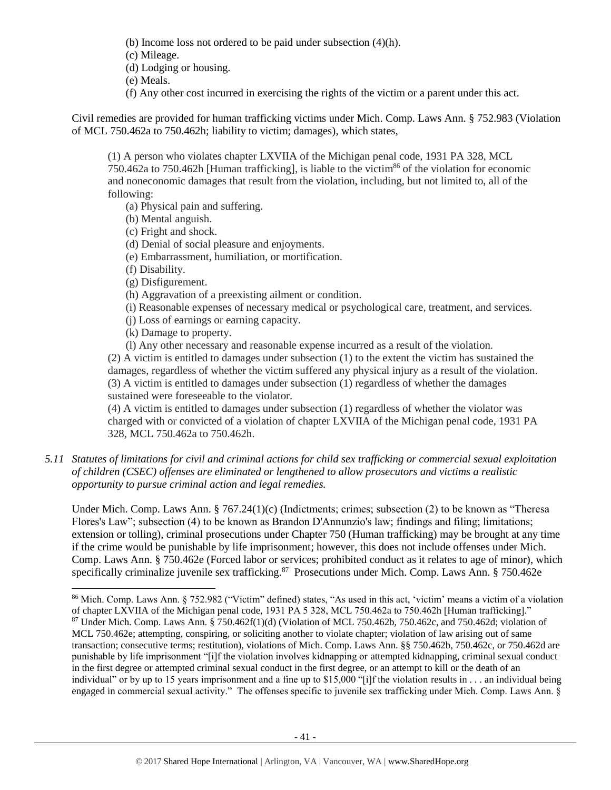- (b) Income loss not ordered to be paid under subsection (4)(h).
- (c) Mileage.
- (d) Lodging or housing.
- (e) Meals.
- (f) Any other cost incurred in exercising the rights of the victim or a parent under this act.

Civil remedies are provided for human trafficking victims under Mich. Comp. Laws Ann. § 752.983 (Violation of MCL 750.462a to 750.462h; liability to victim; damages), which states,

(1) A person who violates chapter LXVIIA of the Michigan penal code, 1931 PA 328, MCL 750.462a to 750.462h [Human trafficking], is liable to the victim<sup>86</sup> of the violation for economic and noneconomic damages that result from the violation, including, but not limited to, all of the following:

- (a) Physical pain and suffering.
- (b) Mental anguish.
- (c) Fright and shock.
- (d) Denial of social pleasure and enjoyments.
- (e) Embarrassment, humiliation, or mortification.
- (f) Disability.

 $\overline{a}$ 

- (g) Disfigurement.
- (h) Aggravation of a preexisting ailment or condition.
- (i) Reasonable expenses of necessary medical or psychological care, treatment, and services.
- (j) Loss of earnings or earning capacity.
- (k) Damage to property.

(l) Any other necessary and reasonable expense incurred as a result of the violation. (2) A victim is entitled to damages under subsection (1) to the extent the victim has sustained the damages, regardless of whether the victim suffered any physical injury as a result of the violation. (3) A victim is entitled to damages under subsection (1) regardless of whether the damages sustained were foreseeable to the violator.

(4) A victim is entitled to damages under subsection (1) regardless of whether the violator was charged with or convicted of a violation of chapter LXVIIA of the Michigan penal code, 1931 PA 328, MCL 750.462a to 750.462h.

*5.11 Statutes of limitations for civil and criminal actions for child sex trafficking or commercial sexual exploitation of children (CSEC) offenses are eliminated or lengthened to allow prosecutors and victims a realistic opportunity to pursue criminal action and legal remedies.*

Under Mich. Comp. Laws Ann. § 767.24(1)(c) (Indictments; crimes; subsection (2) to be known as "Theresa Flores's Law"; subsection (4) to be known as Brandon D'Annunzio's law; findings and filing; limitations; extension or tolling), criminal prosecutions under Chapter 750 (Human trafficking) may be brought at any time if the crime would be punishable by life imprisonment; however, this does not include offenses under Mich. Comp. Laws Ann. § 750.462e (Forced labor or services; prohibited conduct as it relates to age of minor), which specifically criminalize juvenile sex trafficking.<sup>87</sup> Prosecutions under Mich. Comp. Laws Ann. § 750.462e

<sup>86</sup> Mich. Comp. Laws Ann. § 752.982 ("Victim" defined) states, "As used in this act, 'victim' means a victim of a violation of chapter LXVIIA of the Michigan penal code, 1931 PA 5 328, MCL 750.462a to 750.462h [Human trafficking]."  $87$  Under Mich. Comp. Laws Ann. § 750.462f(1)(d) (Violation of MCL 750.462b, 750.462c, and 750.462d; violation of MCL 750.462e; attempting, conspiring, or soliciting another to violate chapter; violation of law arising out of same transaction; consecutive terms; restitution), violations of Mich. Comp. Laws Ann. §§ 750.462b, 750.462c, or 750.462d are punishable by life imprisonment "[i]f the violation involves kidnapping or attempted kidnapping, criminal sexual conduct in the first degree or attempted criminal sexual conduct in the first degree, or an attempt to kill or the death of an individual" or by up to 15 years imprisonment and a fine up to \$15,000 "[i]f the violation results in . . . an individual being engaged in commercial sexual activity." The offenses specific to juvenile sex trafficking under Mich. Comp. Laws Ann. §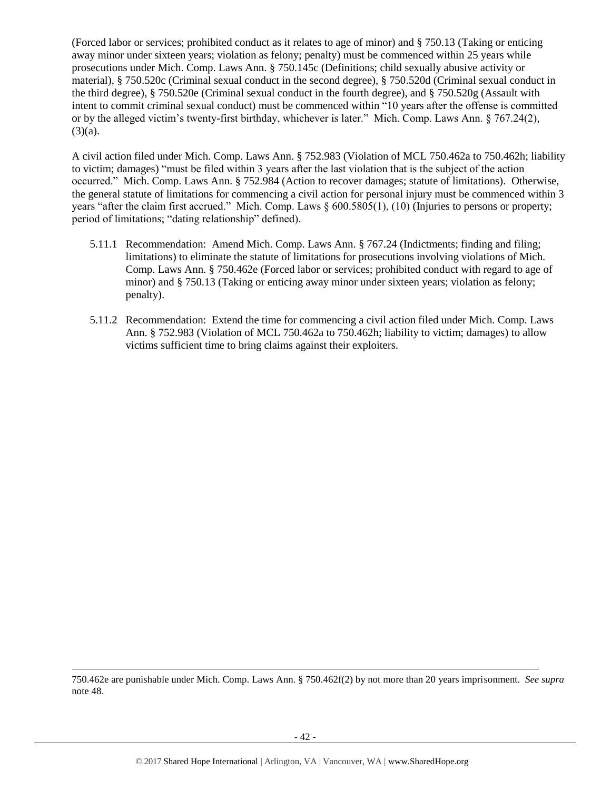(Forced labor or services; prohibited conduct as it relates to age of minor) and § 750.13 (Taking or enticing away minor under sixteen years; violation as felony; penalty) must be commenced within 25 years while prosecutions under Mich. Comp. Laws Ann. § 750.145c (Definitions; child sexually abusive activity or material), § 750.520c (Criminal sexual conduct in the second degree), § 750.520d (Criminal sexual conduct in the third degree), § 750.520e (Criminal sexual conduct in the fourth degree), and § 750.520g (Assault with intent to commit criminal sexual conduct) must be commenced within "10 years after the offense is committed or by the alleged victim's twenty-first birthday, whichever is later." Mich. Comp. Laws Ann. § 767.24(2),  $(3)(a)$ .

A civil action filed under Mich. Comp. Laws Ann. § 752.983 (Violation of MCL 750.462a to 750.462h; liability to victim; damages) "must be filed within 3 years after the last violation that is the subject of the action occurred." Mich. Comp. Laws Ann. § 752.984 (Action to recover damages; statute of limitations). Otherwise, the general statute of limitations for commencing a civil action for personal injury must be commenced within 3 years "after the claim first accrued." Mich. Comp. Laws § 600.5805(1), (10) (Injuries to persons or property; period of limitations; "dating relationship" defined).

- 5.11.1 Recommendation: Amend Mich. Comp. Laws Ann. § 767.24 (Indictments; finding and filing; limitations) to eliminate the statute of limitations for prosecutions involving violations of Mich. Comp. Laws Ann. § 750.462e (Forced labor or services; prohibited conduct with regard to age of minor) and § 750.13 (Taking or enticing away minor under sixteen years; violation as felony; penalty).
- 5.11.2 Recommendation: Extend the time for commencing a civil action filed under Mich. Comp. Laws Ann. § 752.983 (Violation of MCL 750.462a to 750.462h; liability to victim; damages) to allow victims sufficient time to bring claims against their exploiters.

<sup>750.462</sup>e are punishable under Mich. Comp. Laws Ann. § 750.462f(2) by not more than 20 years imprisonment. *See supra* not[e 48.](#page-24-0)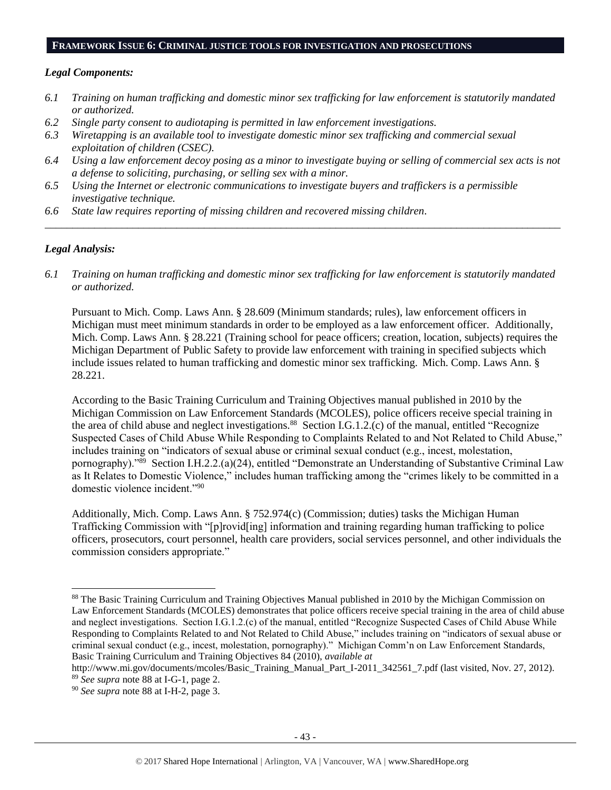#### **FRAMEWORK ISSUE 6: CRIMINAL JUSTICE TOOLS FOR INVESTIGATION AND PROSECUTIONS**

#### *Legal Components:*

- *6.1 Training on human trafficking and domestic minor sex trafficking for law enforcement is statutorily mandated or authorized.*
- *6.2 Single party consent to audiotaping is permitted in law enforcement investigations.*
- *6.3 Wiretapping is an available tool to investigate domestic minor sex trafficking and commercial sexual exploitation of children (CSEC).*
- *6.4 Using a law enforcement decoy posing as a minor to investigate buying or selling of commercial sex acts is not a defense to soliciting, purchasing, or selling sex with a minor.*

*\_\_\_\_\_\_\_\_\_\_\_\_\_\_\_\_\_\_\_\_\_\_\_\_\_\_\_\_\_\_\_\_\_\_\_\_\_\_\_\_\_\_\_\_\_\_\_\_\_\_\_\_\_\_\_\_\_\_\_\_\_\_\_\_\_\_\_\_\_\_\_\_\_\_\_\_\_\_\_\_\_\_\_\_\_\_\_\_\_\_\_\_\_\_*

- *6.5 Using the Internet or electronic communications to investigate buyers and traffickers is a permissible investigative technique.*
- *6.6 State law requires reporting of missing children and recovered missing children.*

#### *Legal Analysis:*

 $\overline{a}$ 

*6.1 Training on human trafficking and domestic minor sex trafficking for law enforcement is statutorily mandated or authorized.*

Pursuant to Mich. Comp. Laws Ann. § 28.609 (Minimum standards; rules), law enforcement officers in Michigan must meet minimum standards in order to be employed as a law enforcement officer. Additionally, Mich. Comp. Laws Ann. § 28.221 (Training school for peace officers; creation, location, subjects) requires the Michigan Department of Public Safety to provide law enforcement with training in specified subjects which include issues related to human trafficking and domestic minor sex trafficking. Mich. Comp. Laws Ann. § 28.221.

<span id="page-42-0"></span>According to the Basic Training Curriculum and Training Objectives manual published in 2010 by the Michigan Commission on Law Enforcement Standards (MCOLES), police officers receive special training in the area of child abuse and neglect investigations.<sup>88</sup> Section I.G.1.2.(c) of the manual, entitled "Recognize Suspected Cases of Child Abuse While Responding to Complaints Related to and Not Related to Child Abuse," includes training on "indicators of sexual abuse or criminal sexual conduct (e.g., incest, molestation, pornography)."<sup>89</sup> Section I.H.2.2.(a)(24), entitled "Demonstrate an Understanding of Substantive Criminal Law as It Relates to Domestic Violence," includes human trafficking among the "crimes likely to be committed in a domestic violence incident."<sup>90</sup>

Additionally, Mich. Comp. Laws Ann. § 752.974(c) (Commission; duties) tasks the Michigan Human Trafficking Commission with "[p]rovid[ing] information and training regarding human trafficking to police officers, prosecutors, court personnel, health care providers, social services personnel, and other individuals the commission considers appropriate."

<sup>88</sup> The Basic Training Curriculum and Training Objectives Manual published in 2010 by the Michigan Commission on Law Enforcement Standards (MCOLES) demonstrates that police officers receive special training in the area of child abuse and neglect investigations. Section I.G.1.2.(c) of the manual, entitled "Recognize Suspected Cases of Child Abuse While Responding to Complaints Related to and Not Related to Child Abuse," includes training on "indicators of sexual abuse or criminal sexual conduct (e.g., incest, molestation, pornography)." Michigan Comm'n on Law Enforcement Standards, Basic Training Curriculum and Training Objectives 84 (2010), *available at*

[http://www.mi.gov/documents/mcoles/Basic\\_Training\\_Manual\\_Part\\_I-2011\\_342561\\_7.pdf](http://www.mi.gov/documents/mcoles/Basic_Training_Manual_Part_I-2011_342561_7.pdf) (last visited, Nov. 27, 2012). <sup>89</sup> *See supra* note [88](#page-42-0) at I-G-1, page 2.

<sup>90</sup> *See supra* note [88](#page-42-0) at I-H-2, page 3.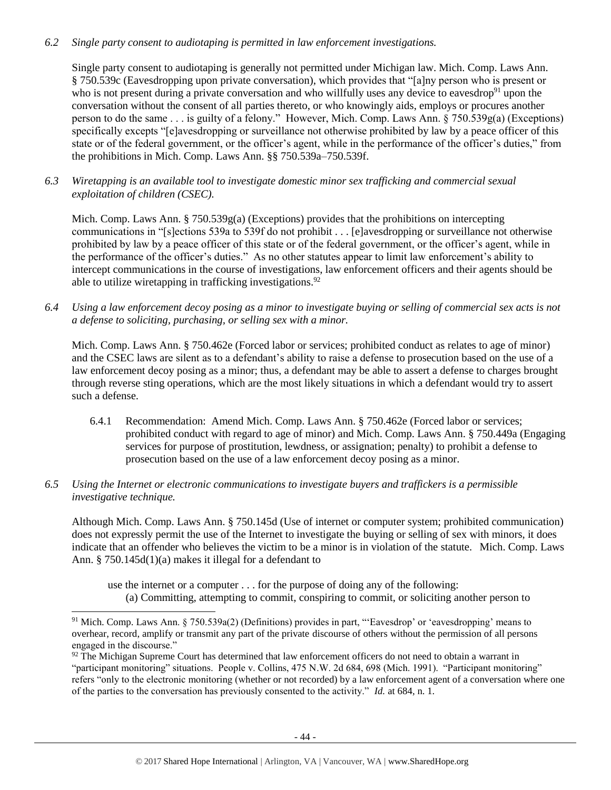# *6.2 Single party consent to audiotaping is permitted in law enforcement investigations.*

Single party consent to audiotaping is generally not permitted under Michigan law. Mich. Comp. Laws Ann. § 750.539c (Eavesdropping upon private conversation), which provides that "[a]ny person who is present or who is not present during a private conversation and who willfully uses any device to eavesdrop<sup>91</sup> upon the conversation without the consent of all parties thereto, or who knowingly aids, employs or procures another person to do the same . . . is guilty of a felony." However, Mich. Comp. Laws Ann. § 750.539g(a) (Exceptions) specifically excepts "[e]avesdropping or surveillance not otherwise prohibited by law by a peace officer of this state or of the federal government, or the officer's agent, while in the performance of the officer's duties," from the prohibitions in Mich. Comp. Laws Ann. §§ 750.539a–750.539f.

*6.3 Wiretapping is an available tool to investigate domestic minor sex trafficking and commercial sexual exploitation of children (CSEC).* 

Mich. Comp. Laws Ann. § 750.539g(a) (Exceptions) provides that the prohibitions on intercepting communications in "[s]ections 539a to 539f do not prohibit . . . [e]avesdropping or surveillance not otherwise prohibited by law by a peace officer of this state or of the federal government, or the officer's agent, while in the performance of the officer's duties." As no other statutes appear to limit law enforcement's ability to intercept communications in the course of investigations, law enforcement officers and their agents should be able to utilize wiretapping in trafficking investigations.<sup>92</sup>

*6.4 Using a law enforcement decoy posing as a minor to investigate buying or selling of commercial sex acts is not a defense to soliciting, purchasing, or selling sex with a minor.*

Mich. Comp. Laws Ann. § 750.462e (Forced labor or services; prohibited conduct as relates to age of minor) and the CSEC laws are silent as to a defendant's ability to raise a defense to prosecution based on the use of a law enforcement decoy posing as a minor; thus, a defendant may be able to assert a defense to charges brought through reverse sting operations, which are the most likely situations in which a defendant would try to assert such a defense.

- 6.4.1 Recommendation: Amend Mich. Comp. Laws Ann. § 750.462e (Forced labor or services; prohibited conduct with regard to age of minor) and Mich. Comp. Laws Ann. § 750.449a (Engaging services for purpose of prostitution, lewdness, or assignation; penalty) to prohibit a defense to prosecution based on the use of a law enforcement decoy posing as a minor.
- *6.5 Using the Internet or electronic communications to investigate buyers and traffickers is a permissible investigative technique.*

 $\overline{a}$ 

Although Mich. Comp. Laws Ann. § 750.145d (Use of internet or computer system; prohibited communication) does not expressly permit the use of the Internet to investigate the buying or selling of sex with minors, it does indicate that an offender who believes the victim to be a minor is in violation of the statute. Mich. Comp. Laws Ann. § 750.145d(1)(a) makes it illegal for a defendant to

use the internet or a computer . . . for the purpose of doing any of the following:

(a) Committing, attempting to commit, conspiring to commit, or soliciting another person to

<sup>91</sup> Mich. Comp. Laws Ann. § 750.539a(2) (Definitions) provides in part, "'Eavesdrop' or 'eavesdropping' means to overhear, record, amplify or transmit any part of the private discourse of others without the permission of all persons engaged in the discourse."

 $92$  The Michigan Supreme Court has determined that law enforcement officers do not need to obtain a warrant in "participant monitoring" situations. People v. Collins, 475 N.W. 2d 684, 698 (Mich. 1991). "Participant monitoring" refers "only to the electronic monitoring (whether or not recorded) by a law enforcement agent of a conversation where one of the parties to the conversation has previously consented to the activity." *Id.* at 684, n. 1.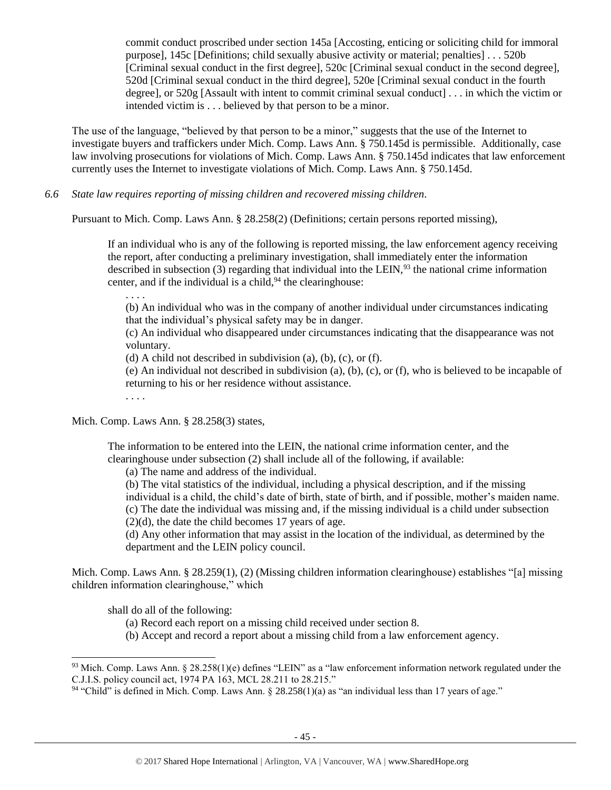commit conduct proscribed under section 145a [Accosting, enticing or soliciting child for immoral purpose], 145c [Definitions; child sexually abusive activity or material; penalties] . . . 520b [Criminal sexual conduct in the first degree], 520c [Criminal sexual conduct in the second degree], 520d [Criminal sexual conduct in the third degree], 520e [Criminal sexual conduct in the fourth degree], or 520g [Assault with intent to commit criminal sexual conduct] . . . in which the victim or intended victim is . . . believed by that person to be a minor.

The use of the language, "believed by that person to be a minor," suggests that the use of the Internet to investigate buyers and traffickers under Mich. Comp. Laws Ann. § 750.145d is permissible. Additionally, case law involving prosecutions for violations of Mich. Comp. Laws Ann. § 750.145d indicates that law enforcement currently uses the Internet to investigate violations of Mich. Comp. Laws Ann. § 750.145d.

*6.6 State law requires reporting of missing children and recovered missing children.* 

Pursuant to Mich. Comp. Laws Ann. § 28.258(2) (Definitions; certain persons reported missing),

If an individual who is any of the following is reported missing, the law enforcement agency receiving the report, after conducting a preliminary investigation, shall immediately enter the information described in subsection  $(3)$  regarding that individual into the LEIN,<sup>93</sup> the national crime information center, and if the individual is a child,  $94$  the clearinghouse:

. . . .

(b) An individual who was in the company of another individual under circumstances indicating that the individual's physical safety may be in danger.

(c) An individual who disappeared under circumstances indicating that the disappearance was not voluntary.

(d) A child not described in subdivision (a), (b), (c), or (f).

(e) An individual not described in subdivision (a), (b), (c), or (f), who is believed to be incapable of returning to his or her residence without assistance.

. . . .

Mich. Comp. Laws Ann. § 28.258(3) states,

The information to be entered into the LEIN, the national crime information center, and the clearinghouse under subsection (2) shall include all of the following, if available:

(a) The name and address of the individual.

(b) The vital statistics of the individual, including a physical description, and if the missing individual is a child, the child's date of birth, state of birth, and if possible, mother's maiden name. (c) The date the individual was missing and, if the missing individual is a child under subsection  $(2)(d)$ , the date the child becomes 17 years of age.

(d) Any other information that may assist in the location of the individual, as determined by the department and the LEIN policy council.

Mich. Comp. Laws Ann. § 28.259(1), (2) (Missing children information clearinghouse) establishes "[a] missing children information clearinghouse," which

shall do all of the following:

- (a) Record each report on a missing child received under section 8.
- (b) Accept and record a report about a missing child from a law enforcement agency.

<sup>&</sup>lt;sup>93</sup> Mich. Comp. Laws Ann. § 28.258(1)(e) defines "LEIN" as a "law enforcement information network regulated under the C.J.I.S. policy council act, 1974 PA 163, MCL 28.211 to 28.215."

 $94$  "Child" is defined in Mich. Comp. Laws Ann. § 28.258(1)(a) as "an individual less than 17 years of age."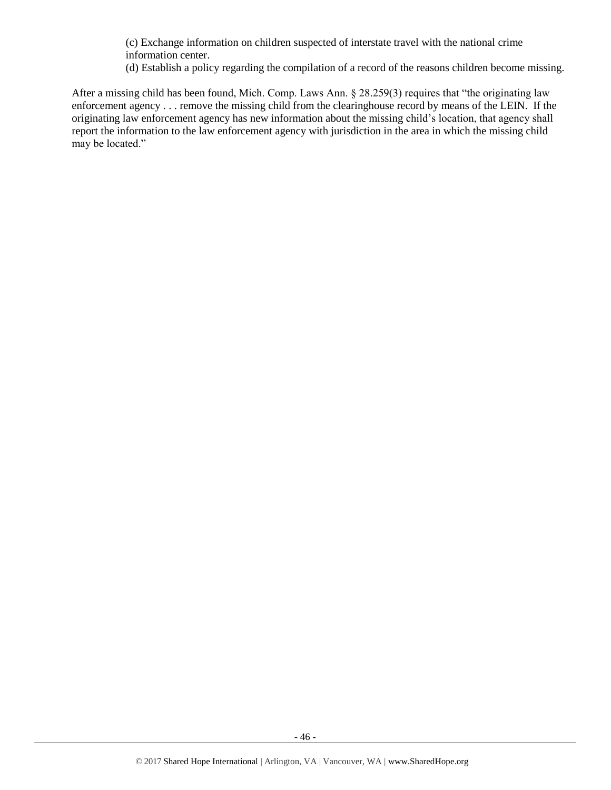(c) Exchange information on children suspected of interstate travel with the national crime information center.

(d) Establish a policy regarding the compilation of a record of the reasons children become missing.

After a missing child has been found, Mich. Comp. Laws Ann. § 28.259(3) requires that "the originating law enforcement agency . . . remove the missing child from the clearinghouse record by means of the LEIN. If the originating law enforcement agency has new information about the missing child's location, that agency shall report the information to the law enforcement agency with jurisdiction in the area in which the missing child may be located."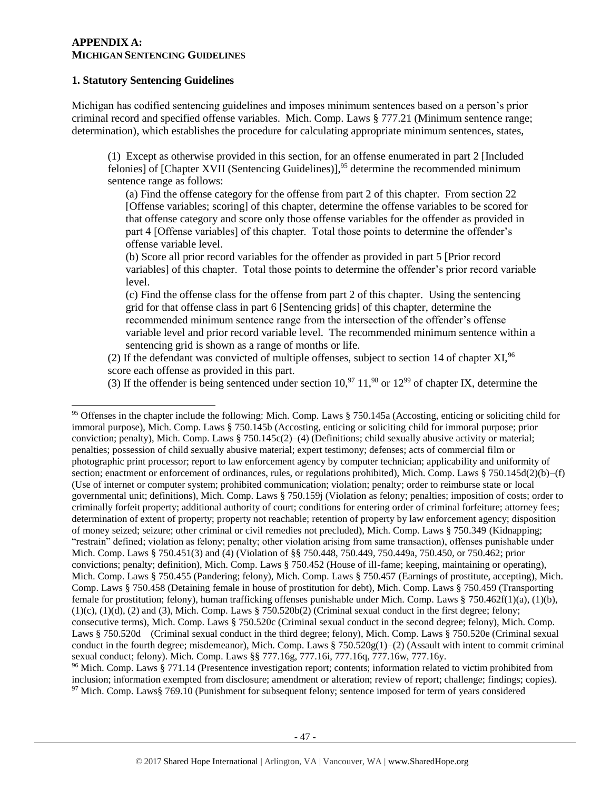#### **APPENDIX A: MICHIGAN SENTENCING GUIDELINES**

## **1. Statutory Sentencing Guidelines**

 $\overline{a}$ 

Michigan has codified sentencing guidelines and imposes minimum sentences based on a person's prior criminal record and specified offense variables. Mich. Comp. Laws § 777.21 (Minimum sentence range; determination), which establishes the procedure for calculating appropriate minimum sentences, states,

(1) Except as otherwise provided in this section, for an offense enumerated in part 2 [Included felonies] of [Chapter XVII (Sentencing Guidelines)],<sup>95</sup> determine the recommended minimum sentence range as follows:

(a) Find the offense category for the offense from part 2 of this chapter. From section 22 [Offense variables; scoring] of this chapter, determine the offense variables to be scored for that offense category and score only those offense variables for the offender as provided in part 4 [Offense variables] of this chapter. Total those points to determine the offender's offense variable level.

(b) Score all prior record variables for the offender as provided in part 5 [Prior record variables] of this chapter. Total those points to determine the offender's prior record variable level.

(c) Find the offense class for the offense from part 2 of this chapter. Using the sentencing grid for that offense class in part 6 [Sentencing grids] of this chapter, determine the recommended minimum sentence range from the intersection of the offender's offense variable level and prior record variable level. The recommended minimum sentence within a sentencing grid is shown as a range of months or life.

(2) If the defendant was convicted of multiple offenses, subject to section 14 of chapter  $XI$ ,  $96$ score each offense as provided in this part.

(3) If the offender is being sentenced under section  $10<sup>97</sup> 11<sup>98</sup>$  or  $12<sup>99</sup>$  of chapter IX, determine the

<sup>97</sup> Mich. Comp. Laws§ 769.10 (Punishment for subsequent felony; sentence imposed for term of years considered

<sup>95</sup> Offenses in the chapter include the following: Mich. Comp. Laws § 750.145a (Accosting, enticing or soliciting child for immoral purpose), Mich. Comp. Laws § 750.145b (Accosting, enticing or soliciting child for immoral purpose; prior conviction; penalty), Mich. Comp. Laws § 750.145 $c(2)$ –(4) (Definitions; child sexually abusive activity or material; penalties; possession of child sexually abusive material; expert testimony; defenses; acts of commercial film or photographic print processor; report to law enforcement agency by computer technician; applicability and uniformity of section; enactment or enforcement of ordinances, rules, or regulations prohibited), Mich. Comp. Laws § 750.145d(2)(b)–(f) (Use of internet or computer system; prohibited communication; violation; penalty; order to reimburse state or local governmental unit; definitions), Mich. Comp. Laws § 750.159j (Violation as felony; penalties; imposition of costs; order to criminally forfeit property; additional authority of court; conditions for entering order of criminal forfeiture; attorney fees; determination of extent of property; property not reachable; retention of property by law enforcement agency; disposition of money seized; seizure; other criminal or civil remedies not precluded), Mich. Comp. Laws § 750.349 (Kidnapping; "restrain" defined; violation as felony; penalty; other violation arising from same transaction), offenses punishable under Mich. Comp. Laws § 750.451(3) and (4) (Violation of §§ 750.448, 750.449, 750.449a, 750.450, or 750.462; prior convictions; penalty; definition), Mich. Comp. Laws § 750.452 (House of ill-fame; keeping, maintaining or operating), Mich. Comp. Laws § 750.455 (Pandering; felony), Mich. Comp. Laws § 750.457 (Earnings of prostitute, accepting), Mich. Comp. Laws § 750.458 (Detaining female in house of prostitution for debt), Mich. Comp. Laws § 750.459 (Transporting female for prostitution; felony), human trafficking offenses punishable under Mich. Comp. Laws § 750.462f(1)(a), (1)(b),  $(1)(c)$ ,  $(1)(d)$ ,  $(2)$  and  $(3)$ , Mich. Comp. Laws § 750.520b $(2)$  (Criminal sexual conduct in the first degree; felony; consecutive terms), Mich. Comp. Laws § 750.520c (Criminal sexual conduct in the second degree; felony), Mich. Comp. Laws § 750.520d (Criminal sexual conduct in the third degree; felony), Mich. Comp. Laws § 750.520e (Criminal sexual conduct in the fourth degree; misdemeanor), Mich. Comp. Laws  $\S 750.520g(1)$ –(2) (Assault with intent to commit criminal sexual conduct; felony). Mich. Comp. Laws §§ 777.16g, 777.16i, 777.16q, 777.16w, 777.16y. <sup>96</sup> Mich. Comp. Laws § 771.14 (Presentence investigation report; contents; information related to victim prohibited from inclusion; information exempted from disclosure; amendment or alteration; review of report; challenge; findings; copies).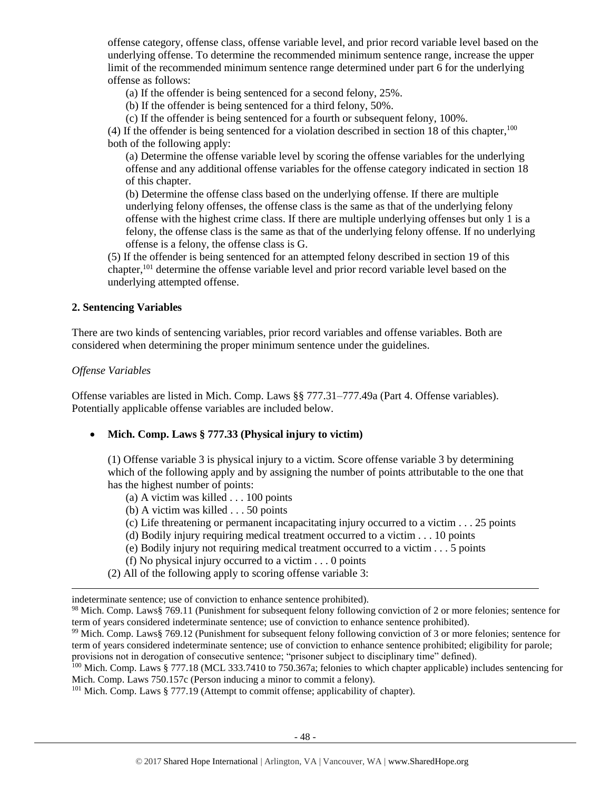offense category, offense class, offense variable level, and prior record variable level based on the underlying offense. To determine the recommended minimum sentence range, increase the upper limit of the recommended minimum sentence range determined under part 6 for the underlying offense as follows:

(a) If the offender is being sentenced for a second felony, 25%.

(b) If the offender is being sentenced for a third felony, 50%.

(c) If the offender is being sentenced for a fourth or subsequent felony, 100%.

(4) If the offender is being sentenced for a violation described in section 18 of this chapter,  $100$ both of the following apply:

(a) Determine the offense variable level by scoring the offense variables for the underlying offense and any additional offense variables for the offense category indicated in section 18 of this chapter.

(b) Determine the offense class based on the underlying offense. If there are multiple underlying felony offenses, the offense class is the same as that of the underlying felony offense with the highest crime class. If there are multiple underlying offenses but only 1 is a felony, the offense class is the same as that of the underlying felony offense. If no underlying offense is a felony, the offense class is G.

(5) If the offender is being sentenced for an attempted felony described in section 19 of this chapter,<sup>101</sup> determine the offense variable level and prior record variable level based on the underlying attempted offense.

# **2. Sentencing Variables**

There are two kinds of sentencing variables, prior record variables and offense variables. Both are considered when determining the proper minimum sentence under the guidelines.

#### *Offense Variables*

 $\overline{a}$ 

Offense variables are listed in Mich. Comp. Laws §§ 777.31–777.49a (Part 4. Offense variables). Potentially applicable offense variables are included below.

• **Mich. Comp. Laws § 777.33 (Physical injury to victim)** 

(1) Offense variable 3 is physical injury to a victim. Score offense variable 3 by determining which of the following apply and by assigning the number of points attributable to the one that has the highest number of points:

- (a) A victim was killed . . . 100 points
- (b) A victim was killed . . . 50 points
- (c) Life threatening or permanent incapacitating injury occurred to a victim . . . 25 points
- (d) Bodily injury requiring medical treatment occurred to a victim . . . 10 points
- (e) Bodily injury not requiring medical treatment occurred to a victim . . . 5 points
- (f) No physical injury occurred to a victim . . . 0 points
- (2) All of the following apply to scoring offense variable 3:

indeterminate sentence; use of conviction to enhance sentence prohibited).

<sup>101</sup> Mich. Comp. Laws § 777.19 (Attempt to commit offense; applicability of chapter).

<sup>98</sup> Mich. Comp. Laws§ 769.11 (Punishment for subsequent felony following conviction of 2 or more felonies; sentence for term of years considered indeterminate sentence; use of conviction to enhance sentence prohibited).

<sup>99</sup> Mich. Comp. Laws§ 769.12 (Punishment for subsequent felony following conviction of 3 or more felonies; sentence for term of years considered indeterminate sentence; use of conviction to enhance sentence prohibited; eligibility for parole; provisions not in derogation of consecutive sentence; "prisoner subject to disciplinary time" defined).

<sup>&</sup>lt;sup>100</sup> Mich. Comp. Laws § 777.18 (MCL 333.7410 to 750.367a; felonies to which chapter applicable) includes sentencing for Mich. Comp. Laws 750.157c (Person inducing a minor to commit a felony).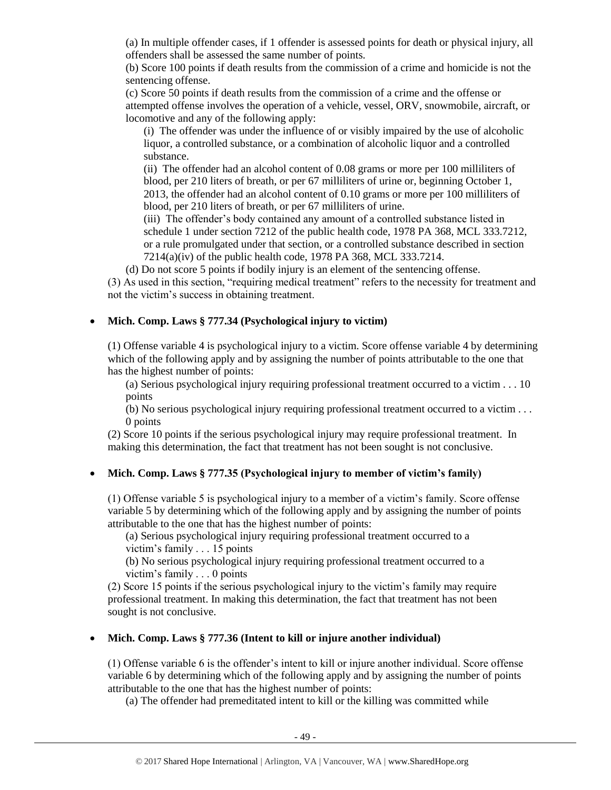(a) In multiple offender cases, if 1 offender is assessed points for death or physical injury, all offenders shall be assessed the same number of points.

(b) Score 100 points if death results from the commission of a crime and homicide is not the sentencing offense.

(c) Score 50 points if death results from the commission of a crime and the offense or attempted offense involves the operation of a vehicle, vessel, ORV, snowmobile, aircraft, or locomotive and any of the following apply:

(i) The offender was under the influence of or visibly impaired by the use of alcoholic liquor, a controlled substance, or a combination of alcoholic liquor and a controlled substance.

(ii) The offender had an alcohol content of 0.08 grams or more per 100 milliliters of blood, per 210 liters of breath, or per 67 milliliters of urine or, beginning October 1, 2013, the offender had an alcohol content of 0.10 grams or more per 100 milliliters of blood, per 210 liters of breath, or per 67 milliliters of urine.

(iii) The offender's body contained any amount of a controlled substance listed in schedule 1 under section 7212 of the public health code, 1978 PA 368, MCL 333.7212, or a rule promulgated under that section, or a controlled substance described in section 7214(a)(iv) of the public health code, 1978 PA 368, MCL 333.7214.

(d) Do not score 5 points if bodily injury is an element of the sentencing offense.

(3) As used in this section, "requiring medical treatment" refers to the necessity for treatment and not the victim's success in obtaining treatment.

# • **Mich. Comp. Laws § 777.34 (Psychological injury to victim)**

(1) Offense variable 4 is psychological injury to a victim. Score offense variable 4 by determining which of the following apply and by assigning the number of points attributable to the one that has the highest number of points:

(a) Serious psychological injury requiring professional treatment occurred to a victim . . . 10 points

(b) No serious psychological injury requiring professional treatment occurred to a victim . . . 0 points

(2) Score 10 points if the serious psychological injury may require professional treatment. In making this determination, the fact that treatment has not been sought is not conclusive.

# • **Mich. Comp. Laws § 777.35 (Psychological injury to member of victim's family)**

(1) Offense variable 5 is psychological injury to a member of a victim's family. Score offense variable 5 by determining which of the following apply and by assigning the number of points attributable to the one that has the highest number of points:

(a) Serious psychological injury requiring professional treatment occurred to a victim's family . . . 15 points

(b) No serious psychological injury requiring professional treatment occurred to a victim's family . . . 0 points

(2) Score 15 points if the serious psychological injury to the victim's family may require professional treatment. In making this determination, the fact that treatment has not been sought is not conclusive.

# • **Mich. Comp. Laws § 777.36 (Intent to kill or injure another individual)**

(1) Offense variable 6 is the offender's intent to kill or injure another individual. Score offense variable 6 by determining which of the following apply and by assigning the number of points attributable to the one that has the highest number of points:

(a) The offender had premeditated intent to kill or the killing was committed while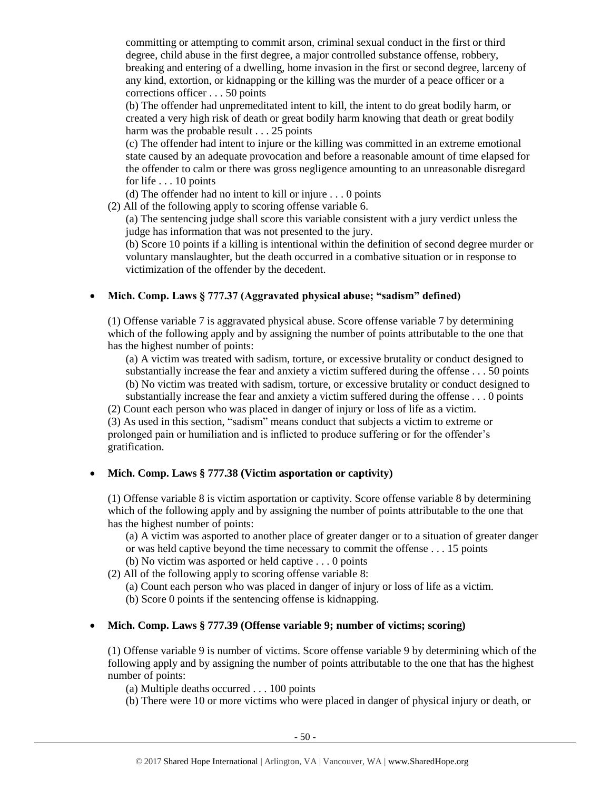committing or attempting to commit arson, criminal sexual conduct in the first or third degree, child abuse in the first degree, a major controlled substance offense, robbery, breaking and entering of a dwelling, home invasion in the first or second degree, larceny of any kind, extortion, or kidnapping or the killing was the murder of a peace officer or a corrections officer . . . 50 points

(b) The offender had unpremeditated intent to kill, the intent to do great bodily harm, or created a very high risk of death or great bodily harm knowing that death or great bodily harm was the probable result . . . 25 points

(c) The offender had intent to injure or the killing was committed in an extreme emotional state caused by an adequate provocation and before a reasonable amount of time elapsed for the offender to calm or there was gross negligence amounting to an unreasonable disregard for life . . . 10 points

(d) The offender had no intent to kill or injure . . . 0 points

(2) All of the following apply to scoring offense variable 6.

(a) The sentencing judge shall score this variable consistent with a jury verdict unless the judge has information that was not presented to the jury.

(b) Score 10 points if a killing is intentional within the definition of second degree murder or voluntary manslaughter, but the death occurred in a combative situation or in response to victimization of the offender by the decedent.

# • **Mich. Comp. Laws § 777.37 (Aggravated physical abuse; "sadism" defined)**

(1) Offense variable 7 is aggravated physical abuse. Score offense variable 7 by determining which of the following apply and by assigning the number of points attributable to the one that has the highest number of points:

(a) A victim was treated with sadism, torture, or excessive brutality or conduct designed to substantially increase the fear and anxiety a victim suffered during the offense . . . 50 points (b) No victim was treated with sadism, torture, or excessive brutality or conduct designed to

- substantially increase the fear and anxiety a victim suffered during the offense . . . 0 points
- (2) Count each person who was placed in danger of injury or loss of life as a victim.

(3) As used in this section, "sadism" means conduct that subjects a victim to extreme or prolonged pain or humiliation and is inflicted to produce suffering or for the offender's gratification.

# • **Mich. Comp. Laws § 777.38 (Victim asportation or captivity)**

(1) Offense variable 8 is victim asportation or captivity. Score offense variable 8 by determining which of the following apply and by assigning the number of points attributable to the one that has the highest number of points:

(a) A victim was asported to another place of greater danger or to a situation of greater danger or was held captive beyond the time necessary to commit the offense . . . 15 points

- (b) No victim was asported or held captive . . . 0 points
- (2) All of the following apply to scoring offense variable 8:
	- (a) Count each person who was placed in danger of injury or loss of life as a victim.
	- (b) Score 0 points if the sentencing offense is kidnapping.

# • **Mich. Comp. Laws § 777.39 (Offense variable 9; number of victims; scoring)**

(1) Offense variable 9 is number of victims. Score offense variable 9 by determining which of the following apply and by assigning the number of points attributable to the one that has the highest number of points:

(a) Multiple deaths occurred . . . 100 points

(b) There were 10 or more victims who were placed in danger of physical injury or death, or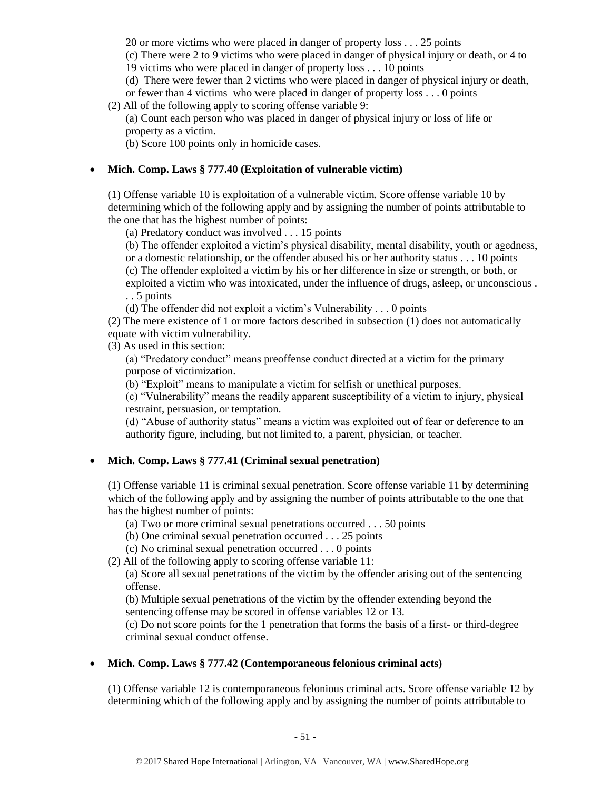20 or more victims who were placed in danger of property loss . . . 25 points

(c) There were 2 to 9 victims who were placed in danger of physical injury or death, or 4 to

19 victims who were placed in danger of property loss . . . 10 points

(d) There were fewer than 2 victims who were placed in danger of physical injury or death,

or fewer than 4 victims who were placed in danger of property loss . . . 0 points

(2) All of the following apply to scoring offense variable 9:

(a) Count each person who was placed in danger of physical injury or loss of life or property as a victim.

(b) Score 100 points only in homicide cases.

# • **Mich. Comp. Laws § 777.40 (Exploitation of vulnerable victim)**

(1) Offense variable 10 is exploitation of a vulnerable victim. Score offense variable 10 by determining which of the following apply and by assigning the number of points attributable to the one that has the highest number of points:

(a) Predatory conduct was involved . . . 15 points

(b) The offender exploited a victim's physical disability, mental disability, youth or agedness,

or a domestic relationship, or the offender abused his or her authority status . . . 10 points

(c) The offender exploited a victim by his or her difference in size or strength, or both, or exploited a victim who was intoxicated, under the influence of drugs, asleep, or unconscious .

. . 5 points

(d) The offender did not exploit a victim's Vulnerability . . . 0 points

(2) The mere existence of 1 or more factors described in subsection (1) does not automatically equate with victim vulnerability.

(3) As used in this section:

(a) "Predatory conduct" means preoffense conduct directed at a victim for the primary purpose of victimization.

(b) "Exploit" means to manipulate a victim for selfish or unethical purposes.

(c) "Vulnerability" means the readily apparent susceptibility of a victim to injury, physical restraint, persuasion, or temptation.

(d) "Abuse of authority status" means a victim was exploited out of fear or deference to an authority figure, including, but not limited to, a parent, physician, or teacher.

# • **Mich. Comp. Laws § 777.41 (Criminal sexual penetration)**

(1) Offense variable 11 is criminal sexual penetration. Score offense variable 11 by determining which of the following apply and by assigning the number of points attributable to the one that has the highest number of points:

(a) Two or more criminal sexual penetrations occurred . . . 50 points

(b) One criminal sexual penetration occurred . . . 25 points

(c) No criminal sexual penetration occurred . . . 0 points

(2) All of the following apply to scoring offense variable 11:

(a) Score all sexual penetrations of the victim by the offender arising out of the sentencing offense.

(b) Multiple sexual penetrations of the victim by the offender extending beyond the sentencing offense may be scored in offense variables 12 or 13.

(c) Do not score points for the 1 penetration that forms the basis of a first- or third-degree criminal sexual conduct offense.

# • **Mich. Comp. Laws § 777.42 (Contemporaneous felonious criminal acts)**

(1) Offense variable 12 is contemporaneous felonious criminal acts. Score offense variable 12 by determining which of the following apply and by assigning the number of points attributable to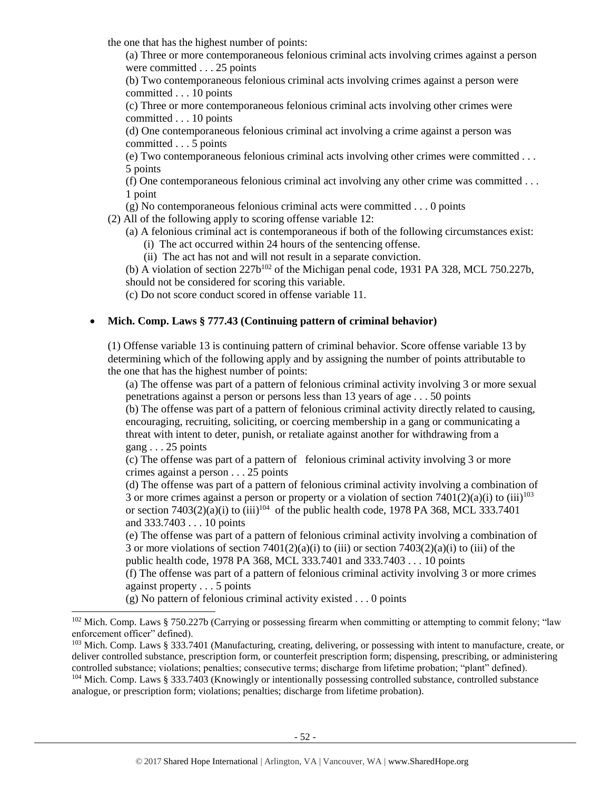the one that has the highest number of points:

(a) Three or more contemporaneous felonious criminal acts involving crimes against a person were committed . . . 25 points

(b) Two contemporaneous felonious criminal acts involving crimes against a person were committed . . . 10 points

(c) Three or more contemporaneous felonious criminal acts involving other crimes were committed . . . 10 points

(d) One contemporaneous felonious criminal act involving a crime against a person was committed . . . 5 points

(e) Two contemporaneous felonious criminal acts involving other crimes were committed . . . 5 points

(f) One contemporaneous felonious criminal act involving any other crime was committed . . . 1 point

(g) No contemporaneous felonious criminal acts were committed . . . 0 points

(2) All of the following apply to scoring offense variable 12:

(a) A felonious criminal act is contemporaneous if both of the following circumstances exist:

(i) The act occurred within 24 hours of the sentencing offense.

(ii) The act has not and will not result in a separate conviction.

(b) A violation of section  $227b^{102}$  of the Michigan penal code, 1931 PA 328, MCL 750.227b, should not be considered for scoring this variable.

(c) Do not score conduct scored in offense variable 11.

# • **Mich. Comp. Laws § 777.43 (Continuing pattern of criminal behavior)**

(1) Offense variable 13 is continuing pattern of criminal behavior. Score offense variable 13 by determining which of the following apply and by assigning the number of points attributable to the one that has the highest number of points:

(a) The offense was part of a pattern of felonious criminal activity involving 3 or more sexual penetrations against a person or persons less than 13 years of age . . . 50 points (b) The offense was part of a pattern of felonious criminal activity directly related to causing,

encouraging, recruiting, soliciting, or coercing membership in a gang or communicating a threat with intent to deter, punish, or retaliate against another for withdrawing from a gang . . . 25 points

(c) The offense was part of a pattern of felonious criminal activity involving 3 or more crimes against a person . . . 25 points

(d) The offense was part of a pattern of felonious criminal activity involving a combination of 3 or more crimes against a person or property or a violation of section  $7401(2)(a)(i)$  to (iii)<sup>103</sup> or section  $7403(2)(a)(i)$  to  $(iii)^{104}$  of the public health code, 1978 PA 368, MCL 333.7401 and 333.7403 . . . 10 points

(e) The offense was part of a pattern of felonious criminal activity involving a combination of 3 or more violations of section  $7401(2)(a)(i)$  to (iii) or section  $7403(2)(a)(i)$  to (iii) of the public health code, 1978 PA 368, MCL 333.7401 and 333.7403 . . . 10 points

(f) The offense was part of a pattern of felonious criminal activity involving 3 or more crimes against property . . . 5 points

(g) No pattern of felonious criminal activity existed . . . 0 points

<sup>&</sup>lt;sup>102</sup> Mich. Comp. Laws § 750.227b (Carrying or possessing firearm when committing or attempting to commit felony; "law enforcement officer" defined).

<sup>103</sup> Mich. Comp. Laws § 333.7401 (Manufacturing, creating, delivering, or possessing with intent to manufacture, create, or deliver controlled substance, prescription form, or counterfeit prescription form; dispensing, prescribing, or administering controlled substance; violations; penalties; consecutive terms; discharge from lifetime probation; "plant" defined).

<sup>104</sup> Mich. Comp. Laws § 333.7403 (Knowingly or intentionally possessing controlled substance, controlled substance analogue, or prescription form; violations; penalties; discharge from lifetime probation).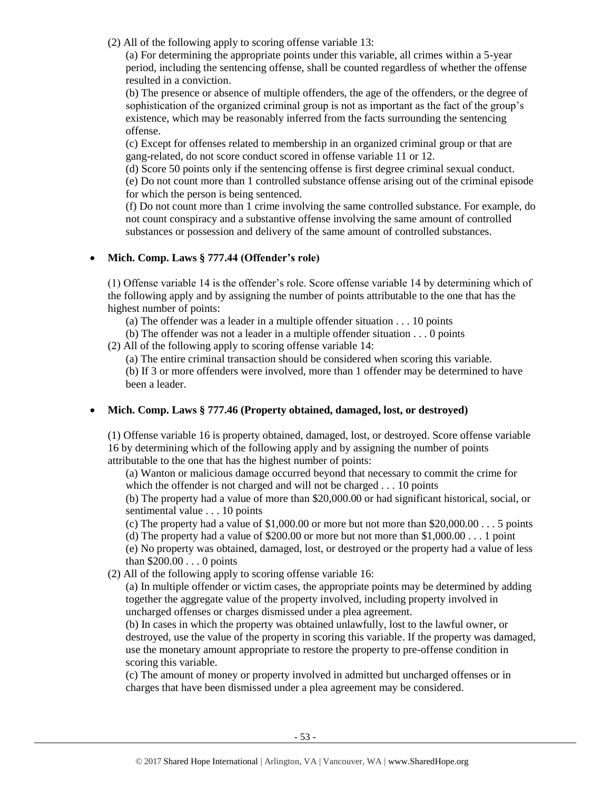(2) All of the following apply to scoring offense variable 13:

(a) For determining the appropriate points under this variable, all crimes within a 5-year period, including the sentencing offense, shall be counted regardless of whether the offense resulted in a conviction.

(b) The presence or absence of multiple offenders, the age of the offenders, or the degree of sophistication of the organized criminal group is not as important as the fact of the group's existence, which may be reasonably inferred from the facts surrounding the sentencing offense.

(c) Except for offenses related to membership in an organized criminal group or that are gang-related, do not score conduct scored in offense variable 11 or 12.

(d) Score 50 points only if the sentencing offense is first degree criminal sexual conduct.

(e) Do not count more than 1 controlled substance offense arising out of the criminal episode for which the person is being sentenced.

(f) Do not count more than 1 crime involving the same controlled substance. For example, do not count conspiracy and a substantive offense involving the same amount of controlled substances or possession and delivery of the same amount of controlled substances.

# • **Mich. Comp. Laws § 777.44 (Offender's role)**

(1) Offense variable 14 is the offender's role. Score offense variable 14 by determining which of the following apply and by assigning the number of points attributable to the one that has the highest number of points:

- (a) The offender was a leader in a multiple offender situation . . . 10 points
- (b) The offender was not a leader in a multiple offender situation . . . 0 points
- (2) All of the following apply to scoring offense variable 14:

(a) The entire criminal transaction should be considered when scoring this variable.

(b) If 3 or more offenders were involved, more than 1 offender may be determined to have been a leader.

# • **Mich. Comp. Laws § 777.46 (Property obtained, damaged, lost, or destroyed)**

(1) Offense variable 16 is property obtained, damaged, lost, or destroyed. Score offense variable 16 by determining which of the following apply and by assigning the number of points attributable to the one that has the highest number of points:

(a) Wanton or malicious damage occurred beyond that necessary to commit the crime for which the offender is not charged and will not be charged . . . 10 points

(b) The property had a value of more than \$20,000.00 or had significant historical, social, or sentimental value . . . 10 points

(c) The property had a value of  $$1,000.00$  or more but not more than  $$20,000.00\dots$  5 points

(d) The property had a value of \$200.00 or more but not more than  $$1,000.00...$  1 point

(e) No property was obtained, damaged, lost, or destroyed or the property had a value of less than \$200.00 . . . 0 points

(2) All of the following apply to scoring offense variable 16:

(a) In multiple offender or victim cases, the appropriate points may be determined by adding together the aggregate value of the property involved, including property involved in uncharged offenses or charges dismissed under a plea agreement.

(b) In cases in which the property was obtained unlawfully, lost to the lawful owner, or destroyed, use the value of the property in scoring this variable. If the property was damaged, use the monetary amount appropriate to restore the property to pre-offense condition in scoring this variable.

(c) The amount of money or property involved in admitted but uncharged offenses or in charges that have been dismissed under a plea agreement may be considered.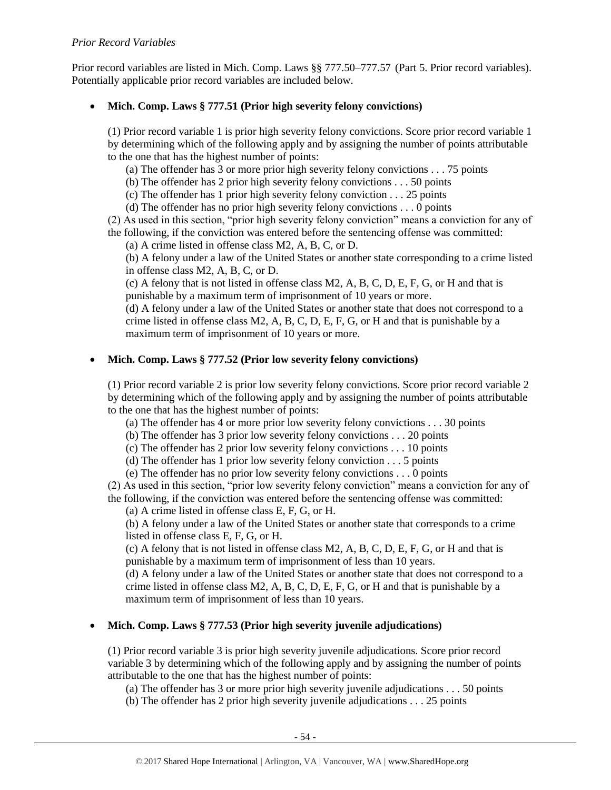# *Prior Record Variables*

Prior record variables are listed in Mich. Comp. Laws §§ 777.50–777.57 (Part 5. Prior record variables). Potentially applicable prior record variables are included below.

# • **Mich. Comp. Laws § 777.51 (Prior high severity felony convictions)**

(1) Prior record variable 1 is prior high severity felony convictions. Score prior record variable 1 by determining which of the following apply and by assigning the number of points attributable to the one that has the highest number of points:

(a) The offender has 3 or more prior high severity felony convictions . . . 75 points

(b) The offender has 2 prior high severity felony convictions . . . 50 points

(c) The offender has 1 prior high severity felony conviction . . . 25 points

(d) The offender has no prior high severity felony convictions . . . 0 points

(2) As used in this section, "prior high severity felony conviction" means a conviction for any of the following, if the conviction was entered before the sentencing offense was committed:

(a) A crime listed in offense class M2, A, B, C, or D.

(b) A felony under a law of the United States or another state corresponding to a crime listed in offense class M2, A, B, C, or D.

(c) A felony that is not listed in offense class M2, A, B, C, D, E, F, G, or H and that is punishable by a maximum term of imprisonment of 10 years or more.

(d) A felony under a law of the United States or another state that does not correspond to a crime listed in offense class  $M2$ , A, B, C, D, E, F, G, or H and that is punishable by a maximum term of imprisonment of 10 years or more.

# • **Mich. Comp. Laws § 777.52 (Prior low severity felony convictions)**

(1) Prior record variable 2 is prior low severity felony convictions. Score prior record variable 2 by determining which of the following apply and by assigning the number of points attributable to the one that has the highest number of points:

(a) The offender has 4 or more prior low severity felony convictions . . . 30 points

(b) The offender has 3 prior low severity felony convictions . . . 20 points

(c) The offender has 2 prior low severity felony convictions . . . 10 points

(d) The offender has 1 prior low severity felony conviction . . . 5 points

(e) The offender has no prior low severity felony convictions . . . 0 points

(2) As used in this section, "prior low severity felony conviction" means a conviction for any of the following, if the conviction was entered before the sentencing offense was committed:

(a) A crime listed in offense class E, F, G, or H.

(b) A felony under a law of the United States or another state that corresponds to a crime listed in offense class E, F, G, or H.

(c) A felony that is not listed in offense class M2, A, B, C, D, E, F, G, or H and that is punishable by a maximum term of imprisonment of less than 10 years.

(d) A felony under a law of the United States or another state that does not correspond to a crime listed in offense class M2, A, B, C, D, E, F, G, or H and that is punishable by a maximum term of imprisonment of less than 10 years.

# • **Mich. Comp. Laws § 777.53 (Prior high severity juvenile adjudications)**

(1) Prior record variable 3 is prior high severity juvenile adjudications. Score prior record variable 3 by determining which of the following apply and by assigning the number of points attributable to the one that has the highest number of points:

(a) The offender has 3 or more prior high severity juvenile adjudications . . . 50 points

(b) The offender has 2 prior high severity juvenile adjudications . . . 25 points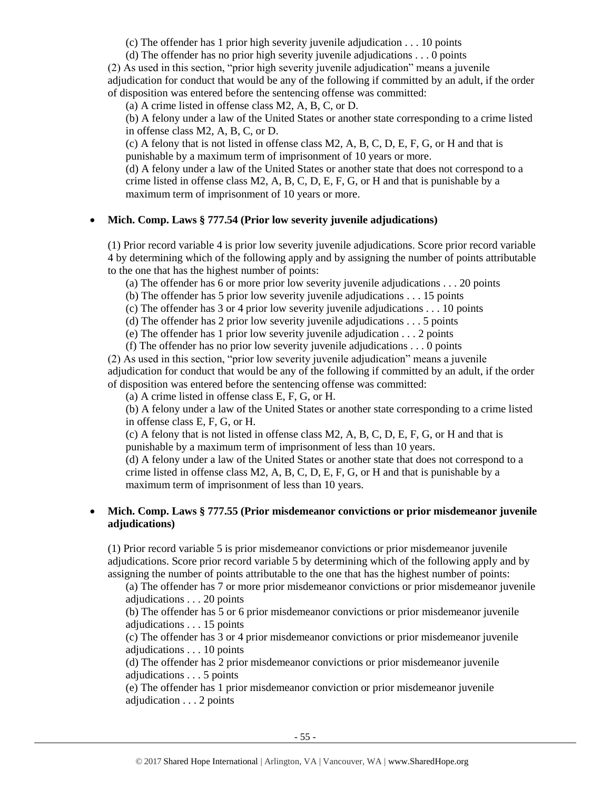(c) The offender has 1 prior high severity juvenile adjudication . . . 10 points

(d) The offender has no prior high severity juvenile adjudications . . . 0 points

(2) As used in this section, "prior high severity juvenile adjudication" means a juvenile adjudication for conduct that would be any of the following if committed by an adult, if the order of disposition was entered before the sentencing offense was committed:

(a) A crime listed in offense class M2, A, B, C, or D.

(b) A felony under a law of the United States or another state corresponding to a crime listed in offense class M2, A, B, C, or D.

(c) A felony that is not listed in offense class M2, A, B, C, D, E, F, G, or H and that is punishable by a maximum term of imprisonment of 10 years or more.

(d) A felony under a law of the United States or another state that does not correspond to a crime listed in offense class M2, A, B, C, D, E, F, G, or H and that is punishable by a maximum term of imprisonment of 10 years or more.

# • **Mich. Comp. Laws § 777.54 (Prior low severity juvenile adjudications)**

(1) Prior record variable 4 is prior low severity juvenile adjudications. Score prior record variable 4 by determining which of the following apply and by assigning the number of points attributable to the one that has the highest number of points:

(a) The offender has 6 or more prior low severity juvenile adjudications . . . 20 points

(b) The offender has 5 prior low severity juvenile adjudications . . . 15 points

(c) The offender has 3 or 4 prior low severity juvenile adjudications . . . 10 points

(d) The offender has 2 prior low severity juvenile adjudications . . . 5 points

(e) The offender has 1 prior low severity juvenile adjudication . . . 2 points

(f) The offender has no prior low severity juvenile adjudications . . . 0 points

(2) As used in this section, "prior low severity juvenile adjudication" means a juvenile adjudication for conduct that would be any of the following if committed by an adult, if the order of disposition was entered before the sentencing offense was committed:

(a) A crime listed in offense class E, F, G, or H.

(b) A felony under a law of the United States or another state corresponding to a crime listed in offense class E, F, G, or H.

(c) A felony that is not listed in offense class M2, A, B, C, D, E, F, G, or H and that is punishable by a maximum term of imprisonment of less than 10 years.

(d) A felony under a law of the United States or another state that does not correspond to a crime listed in offense class M2, A, B, C, D, E, F, G, or H and that is punishable by a maximum term of imprisonment of less than 10 years.

# • **Mich. Comp. Laws § 777.55 (Prior misdemeanor convictions or prior misdemeanor juvenile adjudications)**

(1) Prior record variable 5 is prior misdemeanor convictions or prior misdemeanor juvenile adjudications. Score prior record variable 5 by determining which of the following apply and by assigning the number of points attributable to the one that has the highest number of points:

(a) The offender has 7 or more prior misdemeanor convictions or prior misdemeanor juvenile adjudications . . . 20 points

(b) The offender has 5 or 6 prior misdemeanor convictions or prior misdemeanor juvenile adjudications . . . 15 points

(c) The offender has 3 or 4 prior misdemeanor convictions or prior misdemeanor juvenile adjudications . . . 10 points

(d) The offender has 2 prior misdemeanor convictions or prior misdemeanor juvenile adjudications . . . 5 points

(e) The offender has 1 prior misdemeanor conviction or prior misdemeanor juvenile adjudication . . . 2 points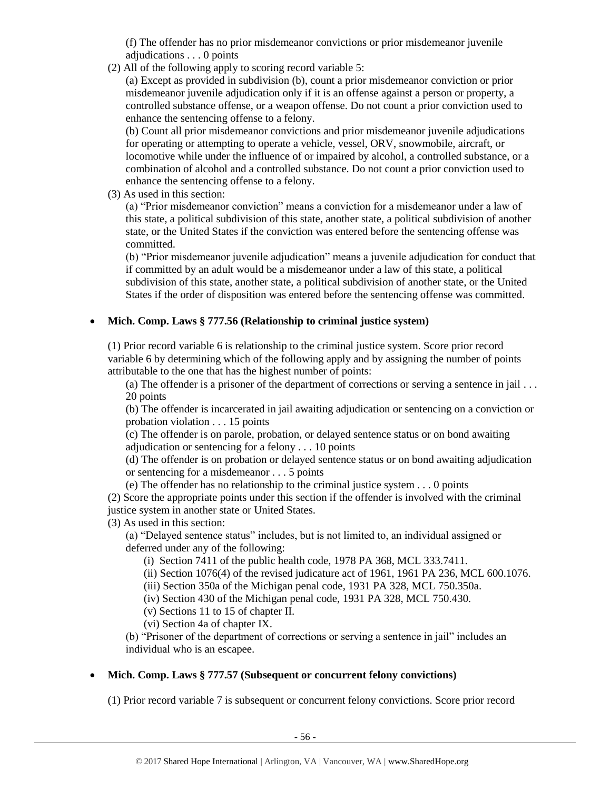(f) The offender has no prior misdemeanor convictions or prior misdemeanor juvenile adjudications . . . 0 points

(2) All of the following apply to scoring record variable 5:

(a) Except as provided in subdivision (b), count a prior misdemeanor conviction or prior misdemeanor juvenile adjudication only if it is an offense against a person or property, a controlled substance offense, or a weapon offense. Do not count a prior conviction used to enhance the sentencing offense to a felony.

(b) Count all prior misdemeanor convictions and prior misdemeanor juvenile adjudications for operating or attempting to operate a vehicle, vessel, ORV, snowmobile, aircraft, or locomotive while under the influence of or impaired by alcohol, a controlled substance, or a combination of alcohol and a controlled substance. Do not count a prior conviction used to enhance the sentencing offense to a felony.

(3) As used in this section:

(a) "Prior misdemeanor conviction" means a conviction for a misdemeanor under a law of this state, a political subdivision of this state, another state, a political subdivision of another state, or the United States if the conviction was entered before the sentencing offense was committed.

(b) "Prior misdemeanor juvenile adjudication" means a juvenile adjudication for conduct that if committed by an adult would be a misdemeanor under a law of this state, a political subdivision of this state, another state, a political subdivision of another state, or the United States if the order of disposition was entered before the sentencing offense was committed.

# • **Mich. Comp. Laws § 777.56 (Relationship to criminal justice system)**

(1) Prior record variable 6 is relationship to the criminal justice system. Score prior record variable 6 by determining which of the following apply and by assigning the number of points attributable to the one that has the highest number of points:

(a) The offender is a prisoner of the department of corrections or serving a sentence in jail . . . 20 points

(b) The offender is incarcerated in jail awaiting adjudication or sentencing on a conviction or probation violation . . . 15 points

(c) The offender is on parole, probation, or delayed sentence status or on bond awaiting adjudication or sentencing for a felony . . . 10 points

(d) The offender is on probation or delayed sentence status or on bond awaiting adjudication or sentencing for a misdemeanor . . . 5 points

(e) The offender has no relationship to the criminal justice system . . . 0 points

(2) Score the appropriate points under this section if the offender is involved with the criminal justice system in another state or United States.

(3) As used in this section:

(a) "Delayed sentence status" includes, but is not limited to, an individual assigned or deferred under any of the following:

(i) Section 7411 of the public health code, 1978 PA 368, MCL 333.7411.

(ii) Section 1076(4) of the revised judicature act of 1961, 1961 PA 236, MCL 600.1076.

(iii) Section 350a of the Michigan penal code, 1931 PA 328, MCL 750.350a.

(iv) Section 430 of the Michigan penal code, 1931 PA 328, MCL 750.430.

(v) Sections 11 to 15 of chapter II.

(vi) Section 4a of chapter IX.

(b) "Prisoner of the department of corrections or serving a sentence in jail" includes an individual who is an escapee.

# • **Mich. Comp. Laws § 777.57 (Subsequent or concurrent felony convictions)**

(1) Prior record variable 7 is subsequent or concurrent felony convictions. Score prior record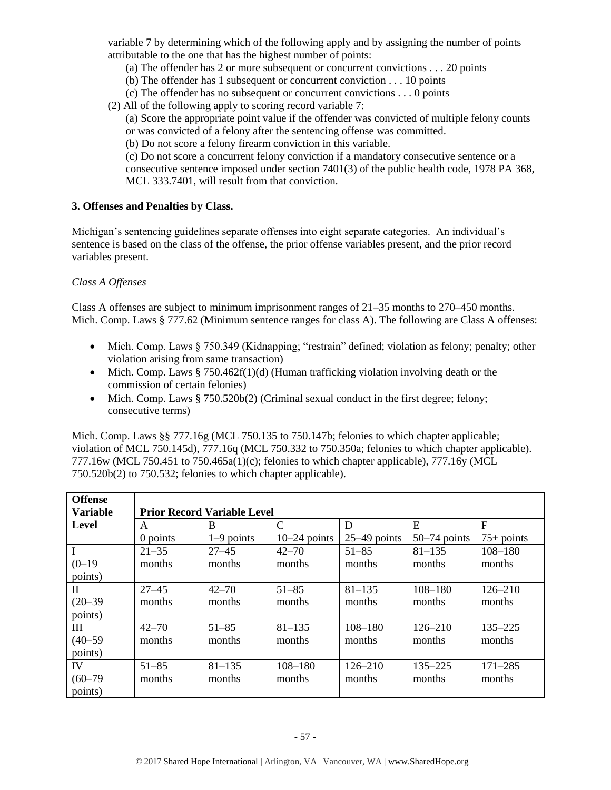variable 7 by determining which of the following apply and by assigning the number of points attributable to the one that has the highest number of points:

- (a) The offender has 2 or more subsequent or concurrent convictions . . . 20 points
- (b) The offender has 1 subsequent or concurrent conviction . . . 10 points
- (c) The offender has no subsequent or concurrent convictions . . . 0 points
- (2) All of the following apply to scoring record variable 7:
	- (a) Score the appropriate point value if the offender was convicted of multiple felony counts or was convicted of a felony after the sentencing offense was committed.
	- (b) Do not score a felony firearm conviction in this variable.

(c) Do not score a concurrent felony conviction if a mandatory consecutive sentence or a consecutive sentence imposed under section 7401(3) of the public health code, 1978 PA 368, MCL 333.7401, will result from that conviction.

#### **3. Offenses and Penalties by Class.**

Michigan's sentencing guidelines separate offenses into eight separate categories. An individual's sentence is based on the class of the offense, the prior offense variables present, and the prior record variables present.

# *Class A Offenses*

Class A offenses are subject to minimum imprisonment ranges of 21–35 months to 270–450 months. Mich. Comp. Laws § 777.62 (Minimum sentence ranges for class A). The following are Class A offenses:

- Mich. Comp. Laws § 750.349 (Kidnapping; "restrain" defined; violation as felony; penalty; other violation arising from same transaction)
- Mich. Comp. Laws § 750.462f(1)(d) (Human trafficking violation involving death or the commission of certain felonies)
- Mich. Comp. Laws  $\S 750.520b(2)$  (Criminal sexual conduct in the first degree; felony; consecutive terms)

Mich. Comp. Laws §§ 777.16g (MCL 750.135 to 750.147b; felonies to which chapter applicable; violation of MCL 750.145d), 777.16q (MCL 750.332 to 750.350a; felonies to which chapter applicable). 777.16w (MCL 750.451 to 750.465a(1)(c); felonies to which chapter applicable), 777.16y (MCL 750.520b(2) to 750.532; felonies to which chapter applicable).

| <b>Offense</b><br><b>Variable</b> |           | <b>Prior Record Variable Level</b> |                |                |                |              |
|-----------------------------------|-----------|------------------------------------|----------------|----------------|----------------|--------------|
| Level                             | A         | B                                  | $\mathcal{C}$  | D              | E              | $\mathbf F$  |
|                                   | 0 points  | $1-9$ points                       | $10-24$ points | $25-49$ points | $50-74$ points | $75+$ points |
| $\mathbf I$                       | $21 - 35$ | $27 - 45$                          | $42 - 70$      | $51 - 85$      | $81 - 135$     | $108 - 180$  |
| $(0-19)$                          | months    | months                             | months         | months         | months         | months       |
| points)                           |           |                                    |                |                |                |              |
| $\mathbf{I}$                      | $27 - 45$ | $42 - 70$                          | $51 - 85$      | $81 - 135$     | $108 - 180$    | $126 - 210$  |
| $(20 - 39)$                       | months    | months                             | months         | months         | months         | months       |
| points)                           |           |                                    |                |                |                |              |
| III                               | $42 - 70$ | $51 - 85$                          | $81 - 135$     | $108 - 180$    | $126 - 210$    | 135-225      |
| $(40 - 59)$                       | months    | months                             | months         | months         | months         | months       |
| points)                           |           |                                    |                |                |                |              |
| IV                                | $51 - 85$ | $81 - 135$                         | $108 - 180$    | $126 - 210$    | $135 - 225$    | $171 - 285$  |
| $(60 - 79)$                       | months    | months                             | months         | months         | months         | months       |
| points)                           |           |                                    |                |                |                |              |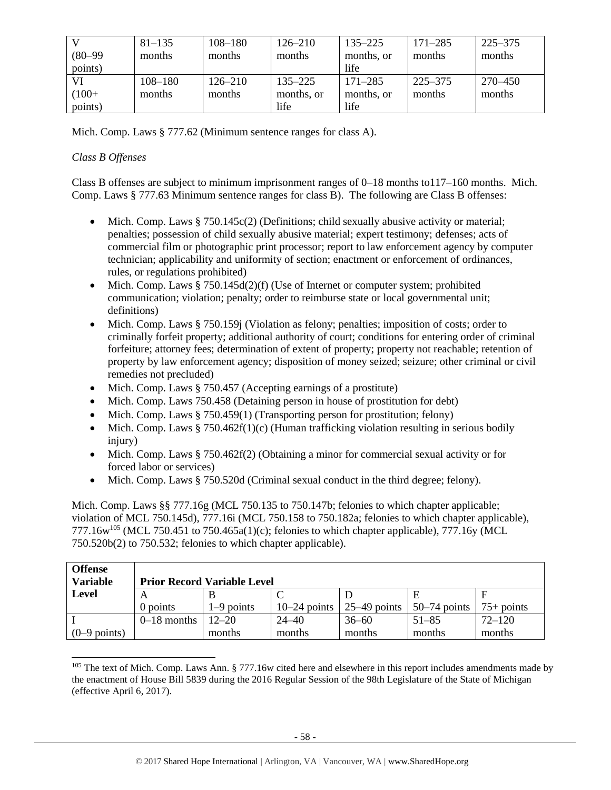|             | $81 - 135$  | $108 - 180$ | $126 - 210$ | $135 - 225$ | $171 - 285$ | 225–375 |
|-------------|-------------|-------------|-------------|-------------|-------------|---------|
| $(80 - 99)$ | months      | months      | months      | months, or  | months      | months  |
| points)     |             |             |             | life        |             |         |
|             | $108 - 180$ | $126 - 210$ | $135 - 225$ | $171 - 285$ | $225 - 375$ | 270–450 |
| $(100+$     | months      | months      | months, or  | months, or  | months      | months  |
| points)     |             |             | life        | life        |             |         |

Mich. Comp. Laws § 777.62 (Minimum sentence ranges for class A).

# *Class B Offenses*

Class B offenses are subject to minimum imprisonment ranges of 0–18 months to117–160 months. Mich. Comp. Laws § 777.63 Minimum sentence ranges for class B). The following are Class B offenses:

- Mich. Comp. Laws  $\S 750.145c(2)$  (Definitions; child sexually abusive activity or material; penalties; possession of child sexually abusive material; expert testimony; defenses; acts of commercial film or photographic print processor; report to law enforcement agency by computer technician; applicability and uniformity of section; enactment or enforcement of ordinances, rules, or regulations prohibited)
- Mich. Comp. Laws  $§ 750.145d(2)(f)$  (Use of Internet or computer system; prohibited communication; violation; penalty; order to reimburse state or local governmental unit; definitions)
- Mich. Comp. Laws § 750.159j (Violation as felony; penalties; imposition of costs; order to criminally forfeit property; additional authority of court; conditions for entering order of criminal forfeiture; attorney fees; determination of extent of property; property not reachable; retention of property by law enforcement agency; disposition of money seized; seizure; other criminal or civil remedies not precluded)
- Mich. Comp. Laws § 750.457 (Accepting earnings of a prostitute)
- Mich. Comp. Laws 750.458 (Detaining person in house of prostitution for debt)
- Mich. Comp. Laws § 750.459(1) (Transporting person for prostitution; felony)
- Mich. Comp. Laws  $§ 750.462f(1)(c)$  (Human trafficking violation resulting in serious bodily injury)
- Mich. Comp. Laws § 750.462f(2) (Obtaining a minor for commercial sexual activity or for forced labor or services)
- Mich. Comp. Laws § 750.520d (Criminal sexual conduct in the third degree; felony).

Mich. Comp. Laws §§ 777.16g (MCL 750.135 to 750.147b; felonies to which chapter applicable; violation of MCL 750.145d), 777.16i (MCL 750.158 to 750.182a; felonies to which chapter applicable), 777.16 $w^{105}$  (MCL 750.451 to 750.465a(1)(c); felonies to which chapter applicable), 777.16y (MCL 750.520b(2) to 750.532; felonies to which chapter applicable).

| <b>Offense</b><br><b>Variable</b> |               | <b>Prior Record Variable Level</b> |                |                |                |              |
|-----------------------------------|---------------|------------------------------------|----------------|----------------|----------------|--------------|
| Level                             | A             |                                    |                |                |                |              |
|                                   | 0 points      | $1-9$ points                       | $10-24$ points | $25-49$ points | $50-74$ points | $75+$ points |
|                                   | $0-18$ months | $12 - 20$                          | $24 - 40$      | $36 - 60$      | $51 - 85$      | $72 - 120$   |
| $(0-9$ points)                    |               | months                             | months         | months         | months         | months       |

 $\overline{a}$  $105$  The text of Mich. Comp. Laws Ann. § 777.16w cited here and elsewhere in this report includes amendments made by the enactment of House Bill 5839 during the 2016 Regular Session of the 98th Legislature of the State of Michigan (effective April 6, 2017).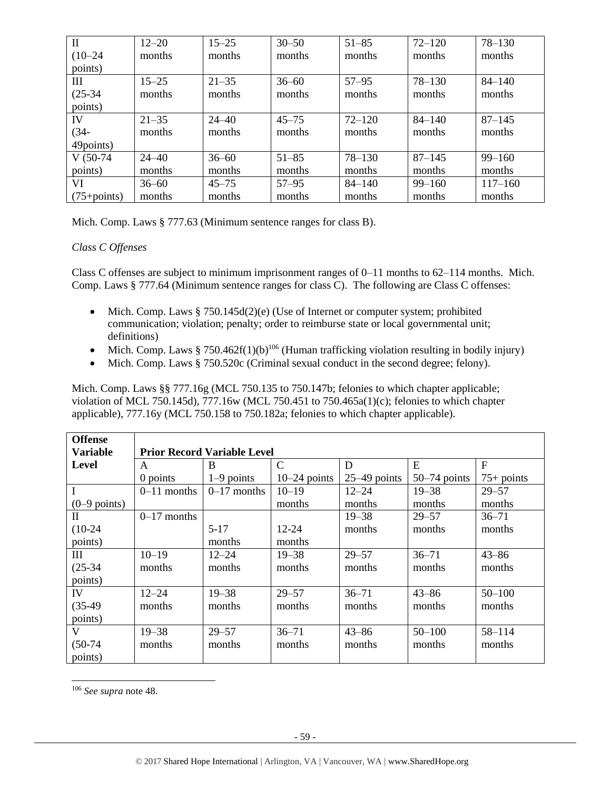| $\mathbf H$     | $12 - 20$ | $15 - 25$ | $30 - 50$ | $51 - 85$  | $72 - 120$ | $78 - 130$  |
|-----------------|-----------|-----------|-----------|------------|------------|-------------|
| $(10 - 24)$     | months    | months    | months    | months     | months     | months      |
| points)         |           |           |           |            |            |             |
| Ш               | $15 - 25$ | $21 - 35$ | $36 - 60$ | $57 - 95$  | $78 - 130$ | $84 - 140$  |
| $(25-34)$       | months    | months    | months    | months     | months     | months      |
| points)         |           |           |           |            |            |             |
| IV              | $21 - 35$ | $24 - 40$ | $45 - 75$ | $72 - 120$ | $84 - 140$ | $87 - 145$  |
| $(34 -$         | months    | months    | months    | months     | months     | months      |
| 49points)       |           |           |           |            |            |             |
| $V(50-74)$      | $24 - 40$ | $36 - 60$ | $51 - 85$ | $78 - 130$ | $87 - 145$ | $99 - 160$  |
| points)         | months    | months    | months    | months     | months     | months      |
| VI              | $36 - 60$ | $45 - 75$ | $57 - 95$ | $84 - 140$ | $99 - 160$ | $117 - 160$ |
| $(75 + points)$ | months    | months    | months    | months     | months     | months      |

Mich. Comp. Laws § 777.63 (Minimum sentence ranges for class B).

# *Class C Offenses*

Class C offenses are subject to minimum imprisonment ranges of 0–11 months to 62–114 months. Mich. Comp. Laws § 777.64 (Minimum sentence ranges for class C). The following are Class C offenses:

- Mich. Comp. Laws § 750.145d(2)(e) (Use of Internet or computer system; prohibited communication; violation; penalty; order to reimburse state or local governmental unit; definitions)
- Mich. Comp. Laws § 750.462f(1)(b)<sup>106</sup> (Human trafficking violation resulting in bodily injury)
- Mich. Comp. Laws § 750.520c (Criminal sexual conduct in the second degree; felony).

Mich. Comp. Laws §§ 777.16g (MCL 750.135 to 750.147b; felonies to which chapter applicable; violation of MCL 750.145d), 777.16w (MCL 750.451 to 750.465a(1)(c); felonies to which chapter applicable), 777.16y (MCL 750.158 to 750.182a; felonies to which chapter applicable).

| <b>Offense</b>  |                                    |               |                |                |                |              |  |  |
|-----------------|------------------------------------|---------------|----------------|----------------|----------------|--------------|--|--|
| <b>Variable</b> | <b>Prior Record Variable Level</b> |               |                |                |                |              |  |  |
| Level           | A                                  | B             | $\mathcal{C}$  | D              | E              | $\mathbf{F}$ |  |  |
|                 | 0 points                           | $1-9$ points  | $10-24$ points | $25-49$ points | $50-74$ points | $75+$ points |  |  |
| $\mathbf I$     | $0-11$ months                      | $0-17$ months | $10 - 19$      | $12 - 24$      | $19 - 38$      | $29 - 57$    |  |  |
| $(0-9$ points)  |                                    |               | months         | months         | months         | months       |  |  |
| $\mathbf{I}$    | $0-17$ months                      |               |                | $19 - 38$      | $29 - 57$      | $36 - 71$    |  |  |
| $(10-24)$       |                                    | $5-17$        | 12-24          | months         | months         | months       |  |  |
| points)         |                                    | months        | months         |                |                |              |  |  |
| Ш               | $10 - 19$                          | 12–24         | $19 - 38$      | $29 - 57$      | $36 - 71$      | $43 - 86$    |  |  |
| $(25-34)$       | months                             | months        | months         | months         | months         | months       |  |  |
| points)         |                                    |               |                |                |                |              |  |  |
| IV              | $12 - 24$                          | $19 - 38$     | $29 - 57$      | $36 - 71$      | $43 - 86$      | $50 - 100$   |  |  |
| $(35-49)$       | months                             | months        | months         | months         | months         | months       |  |  |
| points)         |                                    |               |                |                |                |              |  |  |
| V               | $19 - 38$                          | $29 - 57$     | $36 - 71$      | $43 - 86$      | $50 - 100$     | $58 - 114$   |  |  |
| $(50-74)$       | months                             | months        | months         | months         | months         | months       |  |  |
| points)         |                                    |               |                |                |                |              |  |  |

<sup>106</sup> *See supra* not[e 48.](#page-24-0)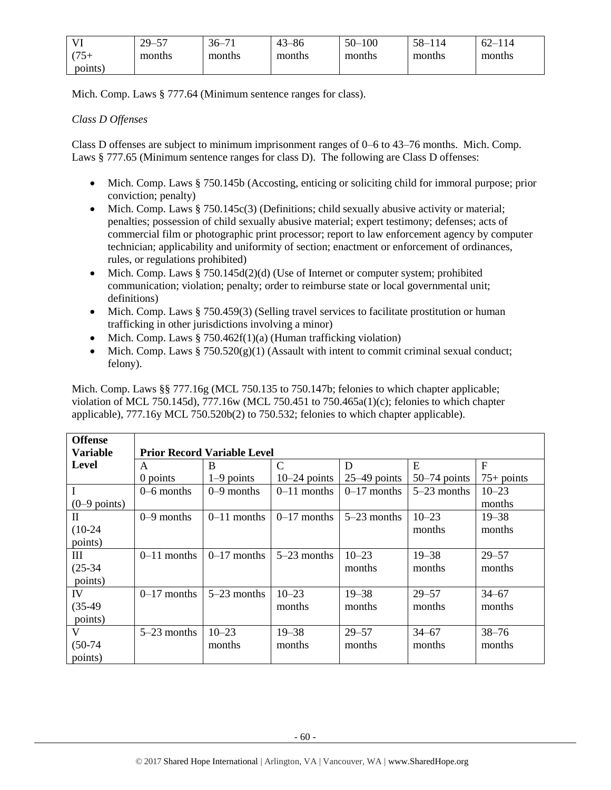| <b>TT</b> | $29 -$<br>$\overline{\phantom{0}}$<br>ັ | $36-$<br>$\sim$ | $\Delta$ 3<br>i–86 | $50-$<br>100 | $58 - 114$ | $62 - 1$<br>114 |
|-----------|-----------------------------------------|-----------------|--------------------|--------------|------------|-----------------|
| (75)      | months                                  | months          | months             | months       | months     | months          |
| points)   |                                         |                 |                    |              |            |                 |

Mich. Comp. Laws § 777.64 (Minimum sentence ranges for class).

# *Class D Offenses*

Class D offenses are subject to minimum imprisonment ranges of 0–6 to 43–76 months. Mich. Comp. Laws § 777.65 (Minimum sentence ranges for class D). The following are Class D offenses:

- Mich. Comp. Laws § 750.145b (Accosting, enticing or soliciting child for immoral purpose; prior conviction; penalty)
- Mich. Comp. Laws § 750.145c(3) (Definitions; child sexually abusive activity or material; penalties; possession of child sexually abusive material; expert testimony; defenses; acts of commercial film or photographic print processor; report to law enforcement agency by computer technician; applicability and uniformity of section; enactment or enforcement of ordinances, rules, or regulations prohibited)
- Mich. Comp. Laws  $\S 750.145d(2)(d)$  (Use of Internet or computer system; prohibited communication; violation; penalty; order to reimburse state or local governmental unit; definitions)
- Mich. Comp. Laws § 750.459(3) (Selling travel services to facilitate prostitution or human trafficking in other jurisdictions involving a minor)
- Mich. Comp. Laws  $\S 750.462f(1)(a)$  (Human trafficking violation)
- Mich. Comp. Laws  $\S 750.520(g)(1)$  (Assault with intent to commit criminal sexual conduct; felony).

Mich. Comp. Laws §§ 777.16g (MCL 750.135 to 750.147b; felonies to which chapter applicable; violation of MCL 750.145d), 777.16w (MCL 750.451 to 750.465a(1)(c); felonies to which chapter applicable), 777.16y MCL 750.520b(2) to 750.532; felonies to which chapter applicable).

| <b>Offense</b>  |                                    |               |                |                |                |              |  |  |  |
|-----------------|------------------------------------|---------------|----------------|----------------|----------------|--------------|--|--|--|
| <b>Variable</b> | <b>Prior Record Variable Level</b> |               |                |                |                |              |  |  |  |
| <b>Level</b>    | A                                  | B             | $\mathcal{C}$  | D              | E              | F            |  |  |  |
|                 | 0 points                           | $1-9$ points  | $10-24$ points | $25-49$ points | $50-74$ points | $75+$ points |  |  |  |
| $\mathbf I$     | $0-6$ months                       | $0-9$ months  | $0-11$ months  | $0-17$ months  | $5-23$ months  | $10 - 23$    |  |  |  |
| $(0-9$ points)  |                                    |               |                |                |                | months       |  |  |  |
| $\mathbf{I}$    | $0-9$ months                       | $0-11$ months | $0-17$ months  | $5-23$ months  | $10 - 23$      | $19 - 38$    |  |  |  |
| $(10-24)$       |                                    |               |                |                | months         | months       |  |  |  |
| points)         |                                    |               |                |                |                |              |  |  |  |
| III             | $0-11$ months                      | $0-17$ months | $5-23$ months  | $10 - 23$      | $19 - 38$      | $29 - 57$    |  |  |  |
| $(25-34)$       |                                    |               |                | months         | months         | months       |  |  |  |
| points)         |                                    |               |                |                |                |              |  |  |  |
| IV              | $0-17$ months                      | $5-23$ months | $10 - 23$      | $19 - 38$      | $29 - 57$      | $34 - 67$    |  |  |  |
| $(35-49)$       |                                    |               | months         | months         | months         | months       |  |  |  |
| points)         |                                    |               |                |                |                |              |  |  |  |
| V               | $5-23$ months                      | $10 - 23$     | $19 - 38$      | $29 - 57$      | $34 - 67$      | $38 - 76$    |  |  |  |
| $(50-74)$       |                                    | months        | months         | months         | months         | months       |  |  |  |
| points)         |                                    |               |                |                |                |              |  |  |  |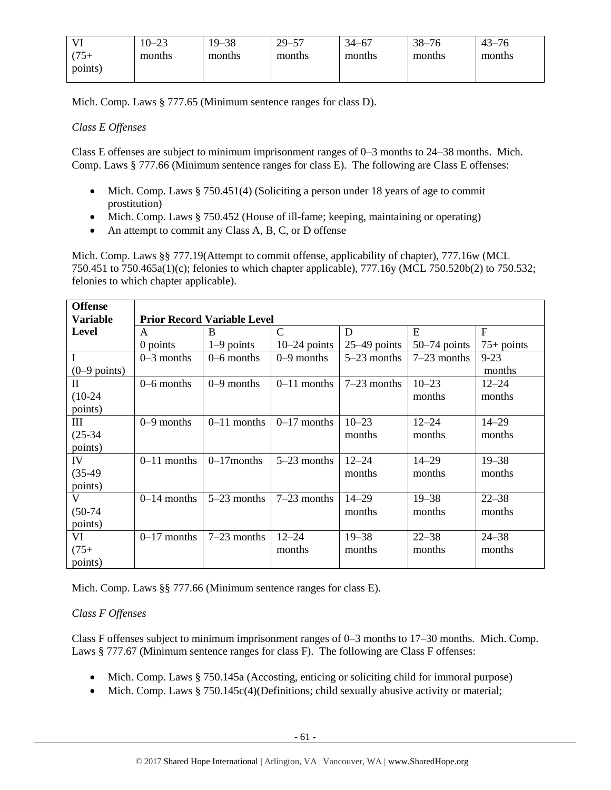|         | $10 - 23$ | 19–38  | $29 - 57$ | 34–67  | $38 - 76$ | $43 - 76$ |
|---------|-----------|--------|-----------|--------|-----------|-----------|
| $75+$   | months    | months | months    | months | months    | months    |
| points) |           |        |           |        |           |           |

Mich. Comp. Laws § 777.65 (Minimum sentence ranges for class D).

# *Class E Offenses*

Class E offenses are subject to minimum imprisonment ranges of 0–3 months to 24–38 months. Mich. Comp. Laws § 777.66 (Minimum sentence ranges for class E). The following are Class E offenses:

- Mich. Comp. Laws § 750.451(4) (Soliciting a person under 18 years of age to commit prostitution)
- Mich. Comp. Laws § 750.452 (House of ill-fame; keeping, maintaining or operating)
- An attempt to commit any Class A, B, C, or D offense

Mich. Comp. Laws §§ 777.19(Attempt to commit offense, applicability of chapter), 777.16w (MCL 750.451 to 750.465a(1)(c); felonies to which chapter applicable), 777.16y (MCL 750.520b(2) to 750.532; felonies to which chapter applicable).

| <b>Offense</b>  |                |                                    |                |                |                |                |  |  |  |  |
|-----------------|----------------|------------------------------------|----------------|----------------|----------------|----------------|--|--|--|--|
| <b>Variable</b> |                | <b>Prior Record Variable Level</b> |                |                |                |                |  |  |  |  |
| <b>Level</b>    | A              | B                                  | $\mathcal{C}$  | D              | E              | $\overline{F}$ |  |  |  |  |
|                 | 0 points       | $1-9$ points                       | $10-24$ points | $25-49$ points | $50-74$ points | $75+$ points   |  |  |  |  |
| $\mathbf I$     | $0-3$ months   | $0-6$ months                       | $0-9$ months   | $5-23$ months  | $7-23$ months  | $9 - 23$       |  |  |  |  |
| $(0-9$ points)  |                |                                    |                |                |                | months         |  |  |  |  |
| $\mathbf{I}$    | $0 - 6$ months | $0-9$ months                       | $0-11$ months  | $7-23$ months  | $10 - 23$      | $12 - 24$      |  |  |  |  |
| $(10-24)$       |                |                                    |                |                | months         | months         |  |  |  |  |
| points)         |                |                                    |                |                |                |                |  |  |  |  |
| Ш               | $0-9$ months   | $0-11$ months                      | $0-17$ months  | $10 - 23$      | $12 - 24$      | $14 - 29$      |  |  |  |  |
| $(25-34)$       |                |                                    |                | months         | months         | months         |  |  |  |  |
| points)         |                |                                    |                |                |                |                |  |  |  |  |
| IV              | $0-11$ months  | $0-17$ months                      | $5-23$ months  | $12 - 24$      | $14 - 29$      | $19 - 38$      |  |  |  |  |
| $(35-49)$       |                |                                    |                | months         | months         | months         |  |  |  |  |
| points)         |                |                                    |                |                |                |                |  |  |  |  |
| $\mathbf{V}$    | $0-14$ months  | $5-23$ months                      | $7-23$ months  | $14 - 29$      | $19 - 38$      | $22 - 38$      |  |  |  |  |
| $(50-74)$       |                |                                    |                | months         | months         | months         |  |  |  |  |
| points)         |                |                                    |                |                |                |                |  |  |  |  |
| VI              | $0-17$ months  | $7-23$ months                      | $12 - 24$      | $19 - 38$      | $22 - 38$      | $24 - 38$      |  |  |  |  |
| $(75 +$         |                |                                    | months         | months         | months         | months         |  |  |  |  |
| points)         |                |                                    |                |                |                |                |  |  |  |  |

Mich. Comp. Laws §§ 777.66 (Minimum sentence ranges for class E).

# *Class F Offenses*

Class F offenses subject to minimum imprisonment ranges of 0–3 months to 17–30 months. Mich. Comp. Laws § 777.67 (Minimum sentence ranges for class F). The following are Class F offenses:

- Mich. Comp. Laws § 750.145a (Accosting, enticing or soliciting child for immoral purpose)
- Mich. Comp. Laws § 750.145c(4)(Definitions; child sexually abusive activity or material;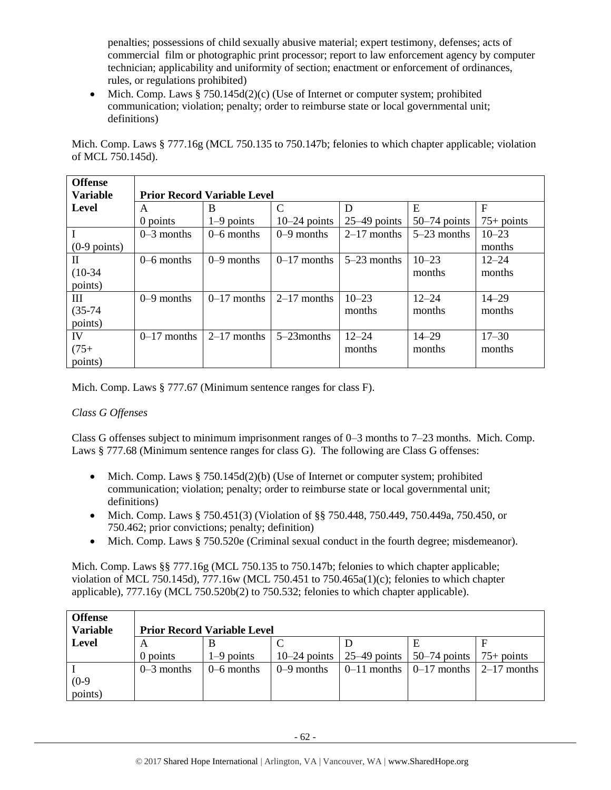penalties; possessions of child sexually abusive material; expert testimony, defenses; acts of commercial film or photographic print processor; report to law enforcement agency by computer technician; applicability and uniformity of section; enactment or enforcement of ordinances, rules, or regulations prohibited)

• Mich. Comp. Laws  $§ 750.145d(2)(c)$  (Use of Internet or computer system; prohibited communication; violation; penalty; order to reimburse state or local governmental unit; definitions)

Mich. Comp. Laws § 777.16g (MCL 750.135 to 750.147b; felonies to which chapter applicable; violation of MCL 750.145d).

| <b>Offense</b>  |                                    |               |                |                |                |              |  |  |
|-----------------|------------------------------------|---------------|----------------|----------------|----------------|--------------|--|--|
| <b>Variable</b> | <b>Prior Record Variable Level</b> |               |                |                |                |              |  |  |
| Level           | A                                  | B             | C              | D              | E              | F            |  |  |
|                 | 0 points                           | $1-9$ points  | $10-24$ points | $25-49$ points | $50-74$ points | $75+$ points |  |  |
| $\mathbf I$     | $0-3$ months                       | $0-6$ months  | $0-9$ months   | $2-17$ months  | $5-23$ months  | $10 - 23$    |  |  |
| $(0-9$ points)  |                                    |               |                |                |                | months       |  |  |
| $\mathbf{I}$    | $0-6$ months                       | $0-9$ months  | $0-17$ months  | $5-23$ months  | $10 - 23$      | $12 - 24$    |  |  |
| $(10-34)$       |                                    |               |                |                | months         | months       |  |  |
| points)         |                                    |               |                |                |                |              |  |  |
| Ш               | $0-9$ months                       | $0-17$ months | $2-17$ months  | $10 - 23$      | $12 - 24$      | $14 - 29$    |  |  |
| $(35-74)$       |                                    |               |                | months         | months         | months       |  |  |
| points)         |                                    |               |                |                |                |              |  |  |
| IV              | $0-17$ months                      | $2-17$ months | $5-23$ months  | $12 - 24$      | $14 - 29$      | $17 - 30$    |  |  |
| $(75+)$         |                                    |               |                | months         | months         | months       |  |  |
| points)         |                                    |               |                |                |                |              |  |  |

Mich. Comp. Laws § 777.67 (Minimum sentence ranges for class F).

# *Class G Offenses*

Class G offenses subject to minimum imprisonment ranges of 0–3 months to 7–23 months. Mich. Comp. Laws § 777.68 (Minimum sentence ranges for class G). The following are Class G offenses:

- Mich. Comp. Laws  $\S 750.145d(2)(b)$  (Use of Internet or computer system; prohibited communication; violation; penalty; order to reimburse state or local governmental unit; definitions)
- Mich. Comp. Laws § 750.451(3) (Violation of §§ 750.448, 750.449, 750.449a, 750.450, or 750.462; prior convictions; penalty; definition)
- Mich. Comp. Laws § 750.520e (Criminal sexual conduct in the fourth degree; misdemeanor).

Mich. Comp. Laws §§ 777.16g (MCL 750.135 to 750.147b; felonies to which chapter applicable; violation of MCL 750.145d), 777.16w (MCL 750.451 to 750.465a(1)(c); felonies to which chapter applicable), 777.16y (MCL 750.520b(2) to 750.532; felonies to which chapter applicable).

| <b>Offense</b>  |              |                                    |              |                                                             |  |
|-----------------|--------------|------------------------------------|--------------|-------------------------------------------------------------|--|
| <b>Variable</b> |              | <b>Prior Record Variable Level</b> |              |                                                             |  |
| Level           |              |                                    |              |                                                             |  |
|                 | $0$ points   | $1-9$ points                       |              | 10–24 points   25–49 points   50–74 points   75+ points     |  |
|                 | $0-3$ months | 0–6 months                         | $0-9$ months | $\vert 0-11$ months $\vert 0-17$ months $\vert 2-17$ months |  |
| $(0-9)$         |              |                                    |              |                                                             |  |
| points)         |              |                                    |              |                                                             |  |